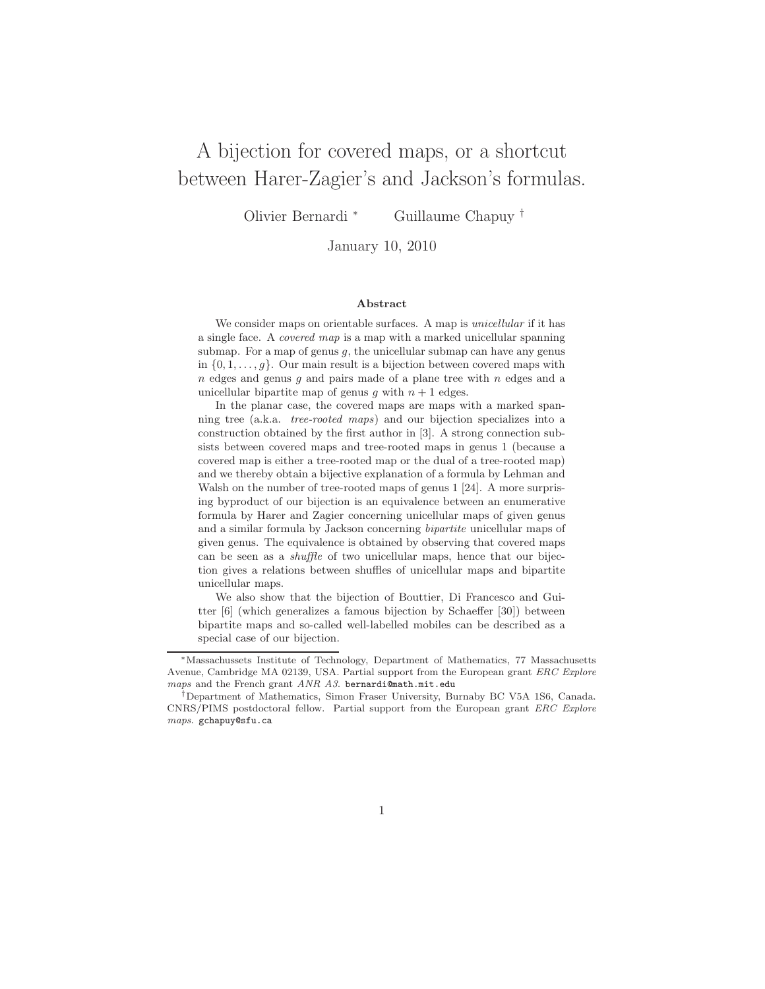# A bijection for covered maps, or a shortcut between Harer-Zagier's and Jackson's formulas.

Olivier Bernardi <sup>∗</sup> Guillaume Chapuy †

January 10, 2010

#### Abstract

We consider maps on orientable surfaces. A map is *unicellular* if it has a single face. A covered map is a map with a marked unicellular spanning submap. For a map of genus  $g$ , the unicellular submap can have any genus in  $\{0, 1, \ldots, g\}$ . Our main result is a bijection between covered maps with  $n$  edges and genus  $q$  and pairs made of a plane tree with  $n$  edges and a unicellular bipartite map of genus g with  $n + 1$  edges.

In the planar case, the covered maps are maps with a marked spanning tree (a.k.a. tree-rooted maps) and our bijection specializes into a construction obtained by the first author in [3]. A strong connection subsists between covered maps and tree-rooted maps in genus 1 (because a covered map is either a tree-rooted map or the dual of a tree-rooted map) and we thereby obtain a bijective explanation of a formula by Lehman and Walsh on the number of tree-rooted maps of genus 1 [24]. A more surprising byproduct of our bijection is an equivalence between an enumerative formula by Harer and Zagier concerning unicellular maps of given genus and a similar formula by Jackson concerning bipartite unicellular maps of given genus. The equivalence is obtained by observing that covered maps can be seen as a shuffle of two unicellular maps, hence that our bijection gives a relations between shuffles of unicellular maps and bipartite unicellular maps.

We also show that the bijection of Bouttier, Di Francesco and Guitter [6] (which generalizes a famous bijection by Schaeffer [30]) between bipartite maps and so-called well-labelled mobiles can be described as a special case of our bijection.

<sup>∗</sup>Massachussets Institute of Technology, Department of Mathematics, 77 Massachusetts Avenue, Cambridge MA 02139, USA. Partial support from the European grant ERC Explore maps and the French grant  $ANR$   $A3$ . bernardi@math.mit.edu

<sup>†</sup>Department of Mathematics, Simon Fraser University, Burnaby BC V5A 1S6, Canada. CNRS/PIMS postdoctoral fellow. Partial support from the European grant ERC Explore maps. gchapuy@sfu.ca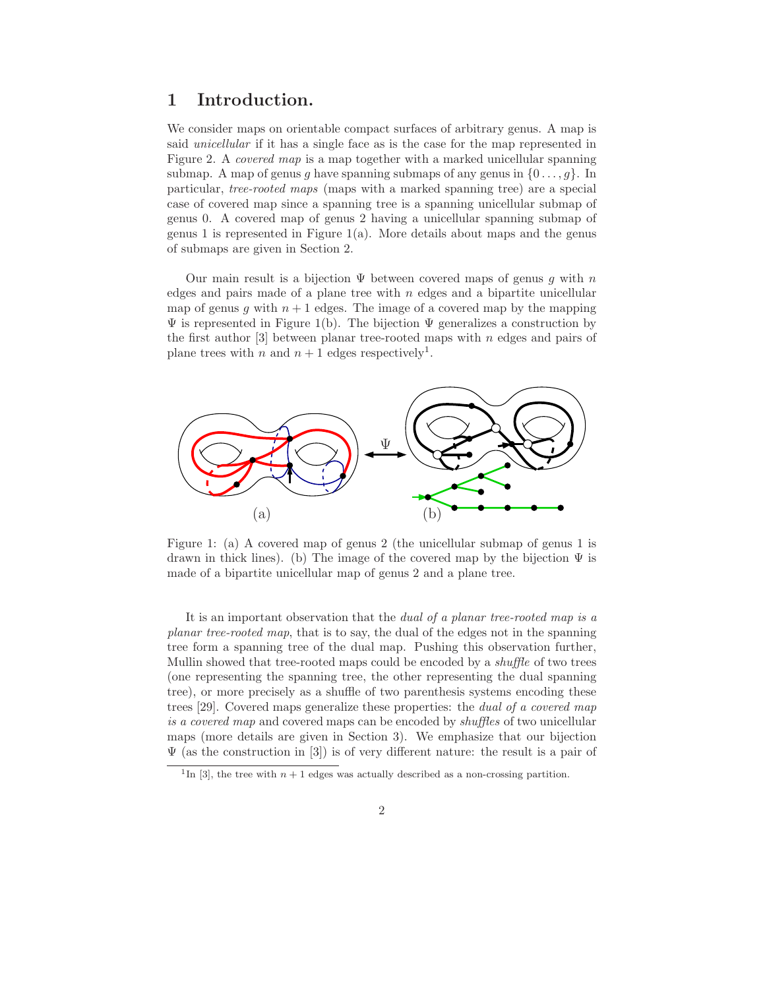# 1 Introduction.

We consider maps on orientable compact surfaces of arbitrary genus. A map is said unicellular if it has a single face as is the case for the map represented in Figure 2. A covered map is a map together with a marked unicellular spanning submap. A map of genus q have spanning submaps of any genus in  $\{0 \ldots, q\}$ . In particular, tree-rooted maps (maps with a marked spanning tree) are a special case of covered map since a spanning tree is a spanning unicellular submap of genus 0. A covered map of genus 2 having a unicellular spanning submap of genus 1 is represented in Figure  $1(a)$ . More details about maps and the genus of submaps are given in Section 2.

Our main result is a bijection  $\Psi$  between covered maps of genus q with n edges and pairs made of a plane tree with  $n$  edges and a bipartite unicellular map of genus g with  $n + 1$  edges. The image of a covered map by the mapping  $\Psi$  is represented in Figure 1(b). The bijection  $\Psi$  generalizes a construction by the first author  $\lceil 3 \rceil$  between planar tree-rooted maps with n edges and pairs of plane trees with n and  $n + 1$  edges respectively<sup>1</sup>.



Figure 1: (a) A covered map of genus 2 (the unicellular submap of genus 1 is drawn in thick lines). (b) The image of the covered map by the bijection  $\Psi$  is made of a bipartite unicellular map of genus 2 and a plane tree.

It is an important observation that the dual of a planar tree-rooted map is a planar tree-rooted map, that is to say, the dual of the edges not in the spanning tree form a spanning tree of the dual map. Pushing this observation further, Mullin showed that tree-rooted maps could be encoded by a *shuffle* of two trees (one representing the spanning tree, the other representing the dual spanning tree), or more precisely as a shuffle of two parenthesis systems encoding these trees [29]. Covered maps generalize these properties: the dual of a covered map is a covered map and covered maps can be encoded by shuffles of two unicellular maps (more details are given in Section 3). We emphasize that our bijection  $\Psi$  (as the construction in [3]) is of very different nature: the result is a pair of

<sup>&</sup>lt;sup>1</sup>In [3], the tree with  $n + 1$  edges was actually described as a non-crossing partition.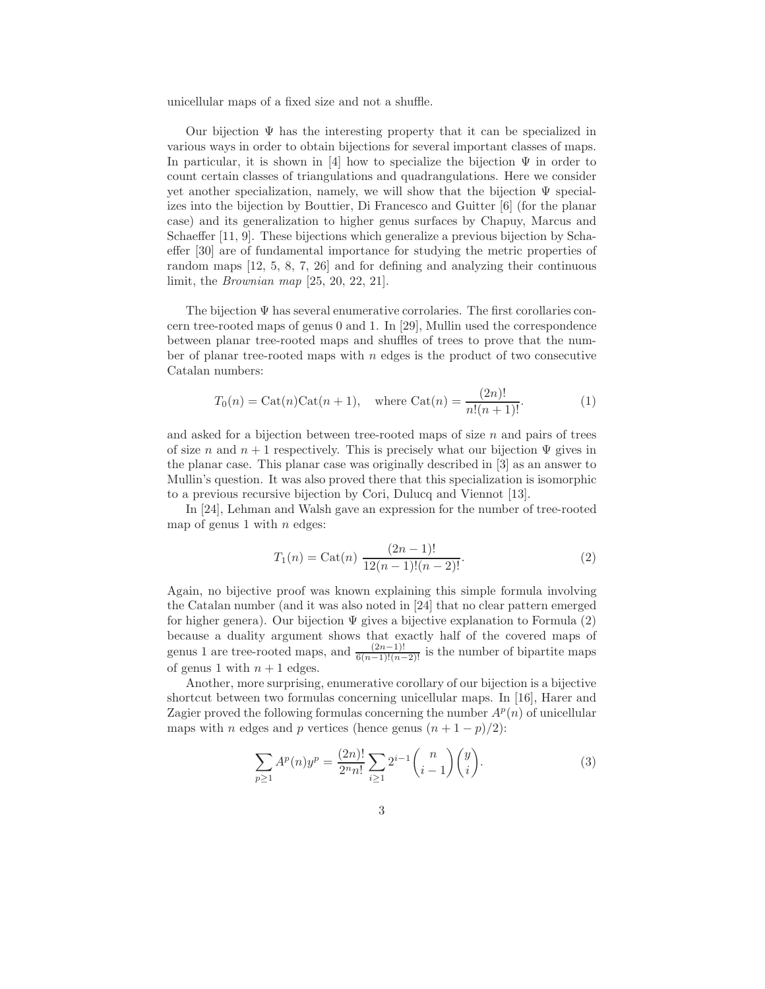unicellular maps of a fixed size and not a shuffle.

Our bijection  $\Psi$  has the interesting property that it can be specialized in various ways in order to obtain bijections for several important classes of maps. In particular, it is shown in [4] how to specialize the bijection  $\Psi$  in order to count certain classes of triangulations and quadrangulations. Here we consider yet another specialization, namely, we will show that the bijection  $\Psi$  specializes into the bijection by Bouttier, Di Francesco and Guitter [6] (for the planar case) and its generalization to higher genus surfaces by Chapuy, Marcus and Schaeffer [11, 9]. These bijections which generalize a previous bijection by Schaeffer [30] are of fundamental importance for studying the metric properties of random maps [12, 5, 8, 7, 26] and for defining and analyzing their continuous limit, the Brownian map [25, 20, 22, 21].

The bijection Ψ has several enumerative corrolaries. The first corollaries concern tree-rooted maps of genus 0 and 1. In [29], Mullin used the correspondence between planar tree-rooted maps and shuffles of trees to prove that the number of planar tree-rooted maps with  $n$  edges is the product of two consecutive Catalan numbers:

$$
T_0(n) = \text{Cat}(n)\text{Cat}(n+1)
$$
, where  $\text{Cat}(n) = \frac{(2n)!}{n!(n+1)!}$ . (1)

and asked for a bijection between tree-rooted maps of size  $n$  and pairs of trees of size n and  $n + 1$  respectively. This is precisely what our bijection  $\Psi$  gives in the planar case. This planar case was originally described in [3] as an answer to Mullin's question. It was also proved there that this specialization is isomorphic to a previous recursive bijection by Cori, Dulucq and Viennot [13].

In [24], Lehman and Walsh gave an expression for the number of tree-rooted map of genus 1 with  $n$  edges:

$$
T_1(n) = \text{Cat}(n) \ \frac{(2n-1)!}{12(n-1)!(n-2)!}.
$$
 (2)

Again, no bijective proof was known explaining this simple formula involving the Catalan number (and it was also noted in [24] that no clear pattern emerged for higher genera). Our bijection  $\Psi$  gives a bijective explanation to Formula (2) because a duality argument shows that exactly half of the covered maps of genus 1 are tree-rooted maps, and  $\frac{(2n-1)!}{6(n-1)!(n-2)!}$  is the number of bipartite maps of genus 1 with  $n + 1$  edges.

Another, more surprising, enumerative corollary of our bijection is a bijective shortcut between two formulas concerning unicellular maps. In [16], Harer and Zagier proved the following formulas concerning the number  $A<sup>p</sup>(n)$  of unicellular maps with n edges and p vertices (hence genus  $(n + 1 - p)/2$ ):

$$
\sum_{p\geq 1} A^p(n)y^p = \frac{(2n)!}{2^n n!} \sum_{i\geq 1} 2^{i-1} \binom{n}{i-1} \binom{y}{i}.
$$
 (3)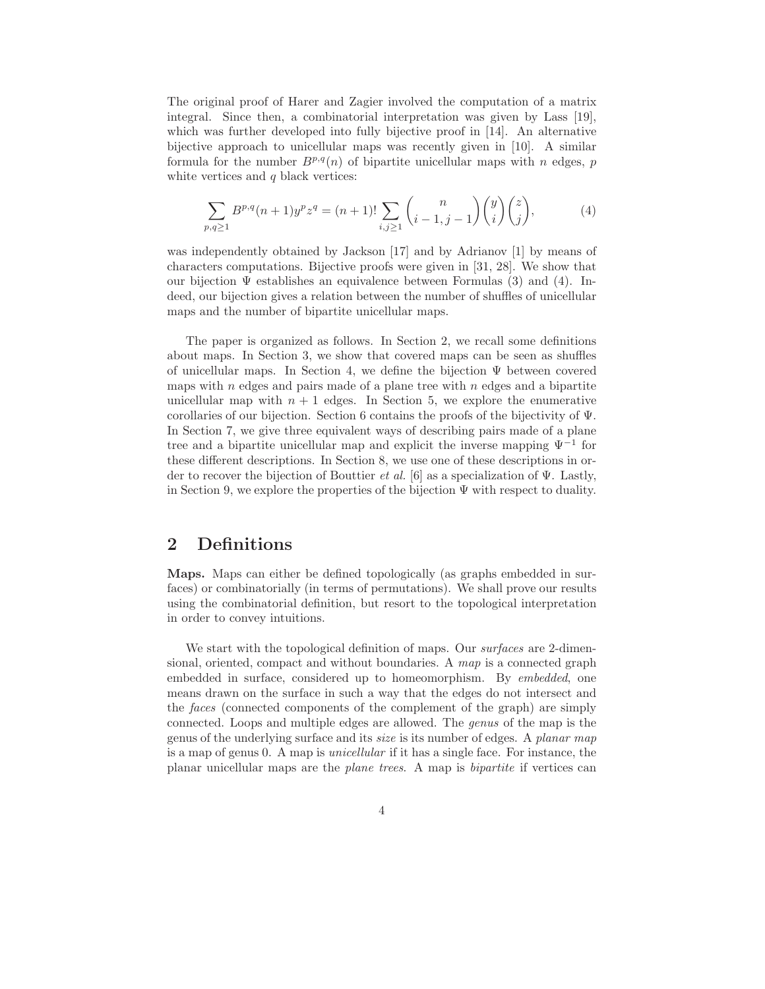The original proof of Harer and Zagier involved the computation of a matrix integral. Since then, a combinatorial interpretation was given by Lass [19], which was further developed into fully bijective proof in [14]. An alternative bijective approach to unicellular maps was recently given in [10]. A similar formula for the number  $B^{p,q}(n)$  of bipartite unicellular maps with n edges, p white vertices and  $q$  black vertices:  $\;$ 

$$
\sum_{p,q\geq 1} B^{p,q}(n+1)y^p z^q = (n+1)! \sum_{i,j\geq 1} {n \choose i-1,j-1} {y \choose i}{z \choose j},
$$
 (4)

was independently obtained by Jackson [17] and by Adrianov [1] by means of characters computations. Bijective proofs were given in [31, 28]. We show that our bijection  $\Psi$  establishes an equivalence between Formulas (3) and (4). Indeed, our bijection gives a relation between the number of shuffles of unicellular maps and the number of bipartite unicellular maps.

The paper is organized as follows. In Section 2, we recall some definitions about maps. In Section 3, we show that covered maps can be seen as shuffles of unicellular maps. In Section 4, we define the bijection Ψ between covered maps with  $n$  edges and pairs made of a plane tree with  $n$  edges and a bipartite unicellular map with  $n + 1$  edges. In Section 5, we explore the enumerative corollaries of our bijection. Section 6 contains the proofs of the bijectivity of Ψ. In Section 7, we give three equivalent ways of describing pairs made of a plane tree and a bipartite unicellular map and explicit the inverse mapping Ψ<sup>−</sup><sup>1</sup> for these different descriptions. In Section 8, we use one of these descriptions in order to recover the bijection of Bouttier *et al.* [6] as a specialization of  $\Psi$ . Lastly, in Section 9, we explore the properties of the bijection  $\Psi$  with respect to duality.

## 2 Definitions

Maps. Maps can either be defined topologically (as graphs embedded in surfaces) or combinatorially (in terms of permutations). We shall prove our results using the combinatorial definition, but resort to the topological interpretation in order to convey intuitions.

We start with the topological definition of maps. Our *surfaces* are 2-dimensional, oriented, compact and without boundaries. A map is a connected graph embedded in surface, considered up to homeomorphism. By embedded, one means drawn on the surface in such a way that the edges do not intersect and the faces (connected components of the complement of the graph) are simply connected. Loops and multiple edges are allowed. The genus of the map is the genus of the underlying surface and its size is its number of edges. A planar map is a map of genus 0. A map is unicellular if it has a single face. For instance, the planar unicellular maps are the plane trees. A map is bipartite if vertices can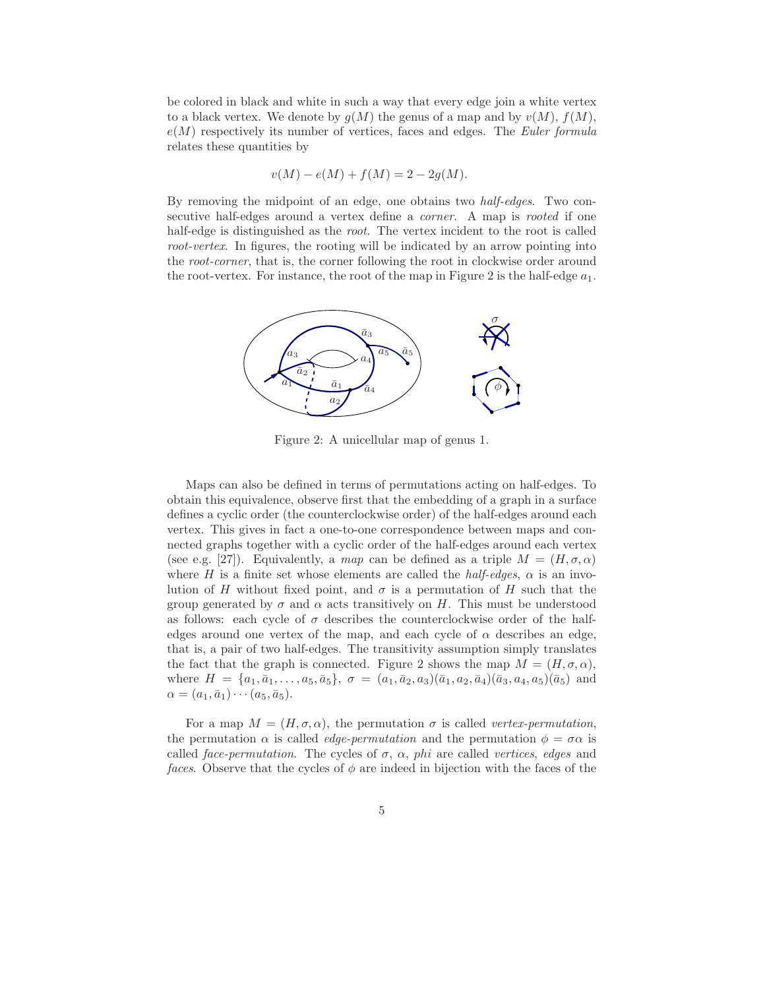be colored in black and white in such a way that every edge join a white vertex to a black vertex. We denote by  $g(M)$  the genus of a map and by  $v(M)$ ,  $f(M)$ ,  $e(M)$  respectively its number of vertices, faces and edges. The Euler formula relates these quantities by

$$
v(M) - e(M) + f(M) = 2 - 2g(M).
$$

By removing the midpoint of an edge, one obtains two half-edges. Two consecutive half-edges around a vertex define a corner. A map is rooted if one half-edge is distinguished as the *root*. The vertex incident to the root is called root-vertex. In figures, the rooting will be indicated by an arrow pointing into the root-corner, that is, the corner following the root in clockwise order around the root-vertex. For instance, the root of the map in Figure 2 is the half-edge  $a_1$ .



Figure 2: A unicellular map of genus 1.

Maps can also be defined in terms of permutations acting on half-edges. To obtain this equivalence, observe first that the embedding of a graph in a surface defines a cyclic order (the counterclockwise order) of the half-edges around each vertex. This gives in fact a one-to-one correspondence between maps and connected graphs together with a cyclic order of the half-edges around each vertex (see e.g. [27]). Equivalently, a map can be defined as a triple  $M = (H, \sigma, \alpha)$ where H is a finite set whose elements are called the *half-edges*,  $\alpha$  is an involution of H without fixed point, and  $\sigma$  is a permutation of H such that the group generated by  $\sigma$  and  $\alpha$  acts transitively on H. This must be understood as follows: each cycle of  $\sigma$  describes the counterclockwise order of the halfedges around one vertex of the map, and each cycle of  $\alpha$  describes an edge, that is, a pair of two half-edges. The transitivity assumption simply translates the fact that the graph is connected. Figure 2 shows the map  $M = (H, \sigma, \alpha)$ , where  $H = \{a_1, \bar{a}_1, \ldots, a_5, \bar{a}_5\}, \sigma = (a_1, \bar{a}_2, a_3)(\bar{a}_1, a_2, \bar{a}_4)(\bar{a}_3, a_4, a_5)(\bar{a}_5)$  and  $\alpha = (a_1, \bar{a}_1) \cdots (a_5, \bar{a}_5).$ 

For a map  $M = (H, \sigma, \alpha)$ , the permutation  $\sigma$  is called vertex-permutation, the permutation  $\alpha$  is called *edge-permutation* and the permutation  $\phi = \sigma \alpha$  is called face-permutation. The cycles of  $\sigma$ ,  $\alpha$ , phi are called vertices, edges and faces. Observe that the cycles of  $\phi$  are indeed in bijection with the faces of the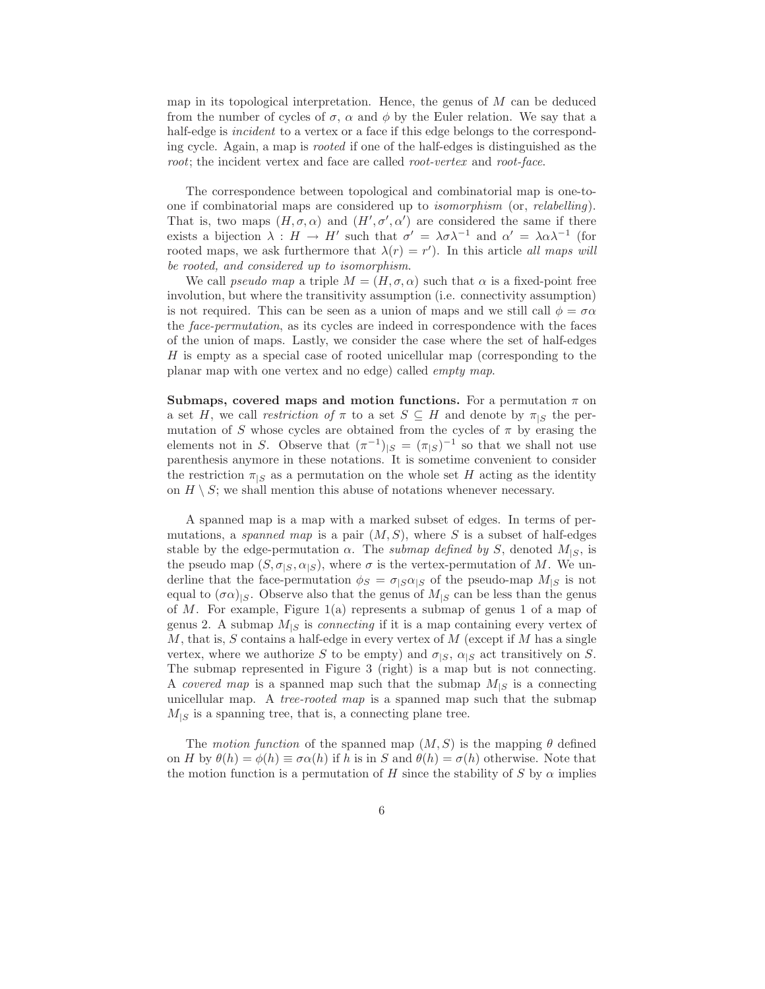map in its topological interpretation. Hence, the genus of  $M$  can be deduced from the number of cycles of  $\sigma$ ,  $\alpha$  and  $\phi$  by the Euler relation. We say that a half-edge is *incident* to a vertex or a face if this edge belongs to the corresponding cycle. Again, a map is rooted if one of the half-edges is distinguished as the root; the incident vertex and face are called root-vertex and root-face.

The correspondence between topological and combinatorial map is one-toone if combinatorial maps are considered up to isomorphism (or, relabelling). That is, two maps  $(H, \sigma, \alpha)$  and  $(H', \sigma', \alpha')$  are considered the same if there exists a bijection  $\lambda : H \to H'$  such that  $\sigma' = \lambda \sigma \lambda^{-1}$  and  $\alpha' = \lambda \alpha \lambda^{-1}$  (for rooted maps, we ask furthermore that  $\lambda(r) = r'$ . In this article all maps will be rooted, and considered up to isomorphism.

We call *pseudo map* a triple  $M = (H, \sigma, \alpha)$  such that  $\alpha$  is a fixed-point free involution, but where the transitivity assumption (i.e. connectivity assumption) is not required. This can be seen as a union of maps and we still call  $\phi = \sigma \alpha$ the face-permutation, as its cycles are indeed in correspondence with the faces of the union of maps. Lastly, we consider the case where the set of half-edges  $H$  is empty as a special case of rooted unicellular map (corresponding to the planar map with one vertex and no edge) called empty map.

Submaps, covered maps and motion functions. For a permutation  $\pi$  on a set H, we call restriction of  $\pi$  to a set  $S \subseteq H$  and denote by  $\pi_{|S}$  the permutation of S whose cycles are obtained from the cycles of  $\pi$  by erasing the elements not in S. Observe that  $(\pi^{-1})_{|S} = (\pi_{|S})^{-1}$  so that we shall not use parenthesis anymore in these notations. It is sometime convenient to consider the restriction  $\pi_{\vert S}$  as a permutation on the whole set H acting as the identity on  $H \setminus S$ ; we shall mention this abuse of notations whenever necessary.

A spanned map is a map with a marked subset of edges. In terms of permutations, a spanned map is a pair  $(M, S)$ , where S is a subset of half-edges stable by the edge-permutation  $\alpha$ . The *submap defined by* S, denoted  $M_{|S}$ , is the pseudo map  $(S, \sigma_{|S}, \alpha_{|S})$ , where  $\sigma$  is the vertex-permutation of M. We underline that the face-permutation  $\phi_S = \sigma_{|S}\alpha_{|S}$  of the pseudo-map  $M_{|S}$  is not equal to  $(\sigma \alpha)_{|S}$ . Observe also that the genus of  $M_{|S}$  can be less than the genus of M. For example, Figure 1(a) represents a submap of genus 1 of a map of genus 2. A submap  $M_{|S}$  is *connecting* if it is a map containing every vertex of  $M$ , that is,  $S$  contains a half-edge in every vertex of  $M$  (except if  $M$  has a single vertex, where we authorize S to be empty) and  $\sigma_{|S}$ ,  $\alpha_{|S}$  act transitively on S. The submap represented in Figure 3 (right) is a map but is not connecting. A *covered map* is a spanned map such that the submap  $M_{\mid S}$  is a connecting unicellular map. A tree-rooted map is a spanned map such that the submap  $M_{\mid S}$  is a spanning tree, that is, a connecting plane tree.

The motion function of the spanned map  $(M, S)$  is the mapping  $\theta$  defined on H by  $\theta(h) = \phi(h) \equiv \sigma \alpha(h)$  if h is in S and  $\theta(h) = \sigma(h)$  otherwise. Note that the motion function is a permutation of H since the stability of S by  $\alpha$  implies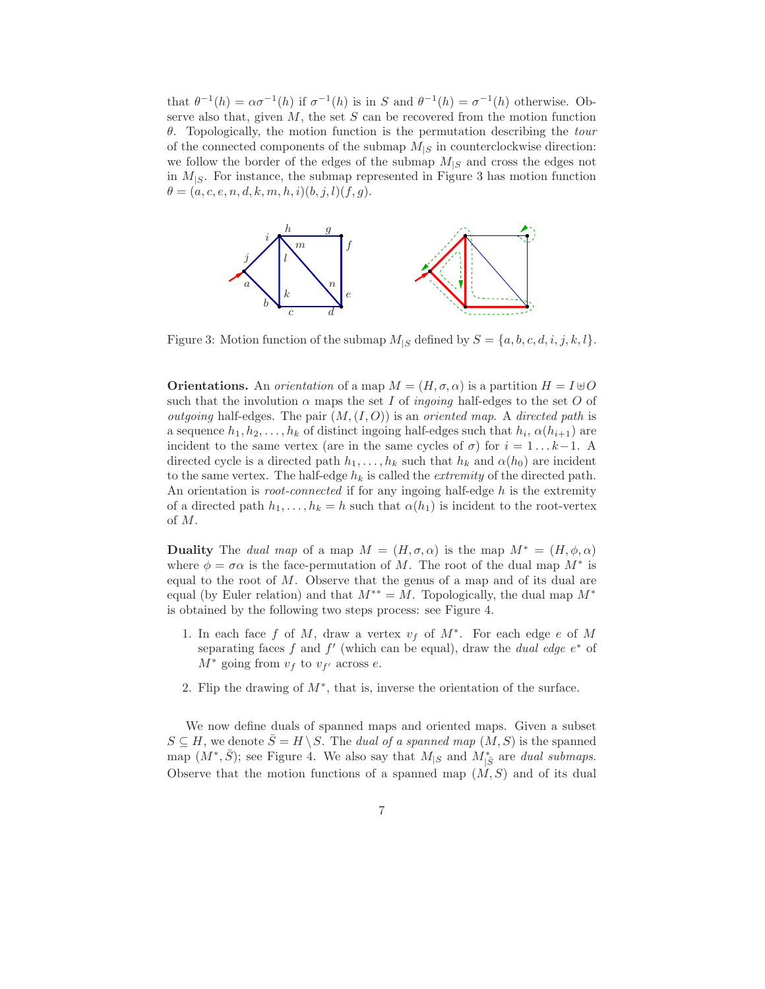that  $\theta^{-1}(h) = \alpha \sigma^{-1}(h)$  if  $\sigma^{-1}(h)$  is in S and  $\theta^{-1}(h) = \sigma^{-1}(h)$  otherwise. Observe also that, given  $M$ , the set  $S$  can be recovered from the motion function  $\theta$ . Topologically, the motion function is the permutation describing the *tour* of the connected components of the submap  $M_{|S}$  in counterclockwise direction: we follow the border of the edges of the submap  $M_{|S}$  and cross the edges not in  $M_{|S}$ . For instance, the submap represented in Figure 3 has motion function  $\theta = (a, c, e, n, d, k, m, h, i)(b, j, l)(f, g).$ 



Figure 3: Motion function of the submap  $M_{|S}$  defined by  $S = \{a, b, c, d, i, j, k, l\}.$ 

**Orientations.** An *orientation* of a map  $M = (H, \sigma, \alpha)$  is a partition  $H = I \oplus O$ such that the involution  $\alpha$  maps the set I of *ingoing* half-edges to the set O of *outgoing* half-edges. The pair  $(M,(I, O))$  is an *oriented map*. A *directed path* is a sequence  $h_1, h_2, \ldots, h_k$  of distinct ingoing half-edges such that  $h_i, \alpha(h_{i+1})$  are incident to the same vertex (are in the same cycles of  $\sigma$ ) for  $i = 1...k-1$ . A directed cycle is a directed path  $h_1, \ldots, h_k$  such that  $h_k$  and  $\alpha(h_0)$  are incident to the same vertex. The half-edge  $h_k$  is called the *extremity* of the directed path. An orientation is *root-connected* if for any ingoing half-edge  $h$  is the extremity of a directed path  $h_1, \ldots, h_k = h$  such that  $\alpha(h_1)$  is incident to the root-vertex of M.

**Duality** The dual map of a map  $M = (H, \sigma, \alpha)$  is the map  $M^* = (H, \phi, \alpha)$ where  $\phi = \sigma \alpha$  is the face-permutation of M. The root of the dual map  $M^*$  is equal to the root of  $M$ . Observe that the genus of a map and of its dual are equal (by Euler relation) and that  $M^{**} = M$ . Topologically, the dual map  $M^*$ is obtained by the following two steps process: see Figure 4.

- 1. In each face f of M, draw a vertex  $v_f$  of  $M^*$ . For each edge e of M separating faces f and f' (which can be equal), draw the *dual edge*  $e^*$  of  $M^*$  going from  $v_f$  to  $v_{f'}$  across e.
- 2. Flip the drawing of  $M^*$ , that is, inverse the orientation of the surface.

We now define duals of spanned maps and oriented maps. Given a subset  $S \subseteq H$ , we denote  $\overline{S} = H \setminus S$ . The *dual of a spanned map*  $(M, S)$  is the spanned map  $(M^*, \bar{S})$ ; see Figure 4. We also say that  $M_{|S}$  and  $M^*_{|\bar{S}}$  are dual submaps. Observe that the motion functions of a spanned map  $(M, S)$  and of its dual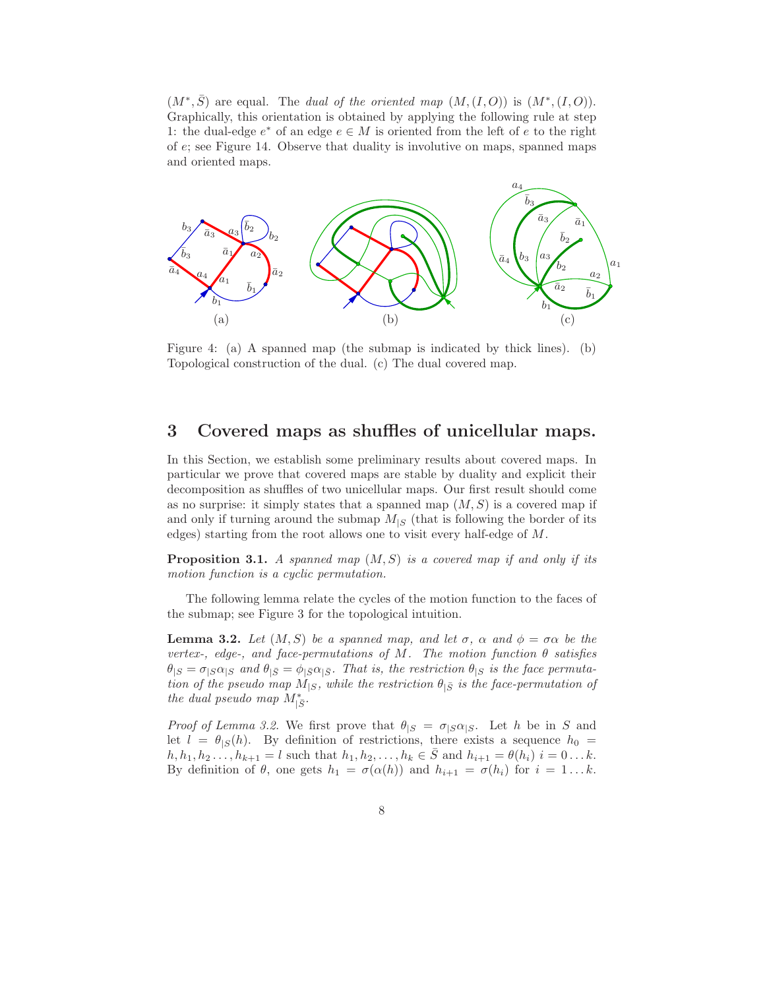$(M^*,\overline{S})$  are equal. The dual of the oriented map  $(M,(I,O))$  is  $(M^*,(I,O))$ . Graphically, this orientation is obtained by applying the following rule at step 1: the dual-edge  $e^*$  of an edge  $e \in M$  is oriented from the left of  $e$  to the right of e; see Figure 14. Observe that duality is involutive on maps, spanned maps and oriented maps.



Figure 4: (a) A spanned map (the submap is indicated by thick lines). (b) Topological construction of the dual. (c) The dual covered map.

# 3 Covered maps as shuffles of unicellular maps.

In this Section, we establish some preliminary results about covered maps. In particular we prove that covered maps are stable by duality and explicit their decomposition as shuffles of two unicellular maps. Our first result should come as no surprise: it simply states that a spanned map  $(M, S)$  is a covered map if and only if turning around the submap  $M_{\text{S}}$  (that is following the border of its edges) starting from the root allows one to visit every half-edge of M.

**Proposition 3.1.** A spanned map  $(M, S)$  is a covered map if and only if its motion function is a cyclic permutation.

The following lemma relate the cycles of the motion function to the faces of the submap; see Figure 3 for the topological intuition.

**Lemma 3.2.** Let  $(M, S)$  be a spanned map, and let  $\sigma$ ,  $\alpha$  and  $\phi = \sigma \alpha$  be the vertex-, edge-, and face-permutations of M. The motion function  $\theta$  satisfies  $\theta_{|S} = \sigma_{|S}\alpha_{|S}$  and  $\theta_{|\bar{S}} = \phi_{|\bar{S}}\alpha_{|\bar{S}}$ . That is, the restriction  $\theta_{|S}$  is the face permutation of the pseudo map  $M_{|S}$ , while the restriction  $\theta_{|\bar{S}}$  is the face-permutation of the dual pseudo map  $M^*_{|\bar{S}}$ .

*Proof of Lemma 3.2.* We first prove that  $\theta_{|S} = \sigma_{|S}\alpha_{|S}$ . Let h be in S and let  $l = \theta_{\vert S}(h)$ . By definition of restrictions, there exists a sequence  $h_0 =$  $h, h_1, h_2, \ldots, h_{k+1} = l$  such that  $h_1, h_2, \ldots, h_k \in \overline{S}$  and  $h_{i+1} = \theta(h_i)$   $i = 0 \ldots k$ . By definition of  $\theta$ , one gets  $h_1 = \sigma(\alpha(h))$  and  $h_{i+1} = \sigma(h_i)$  for  $i = 1...k$ .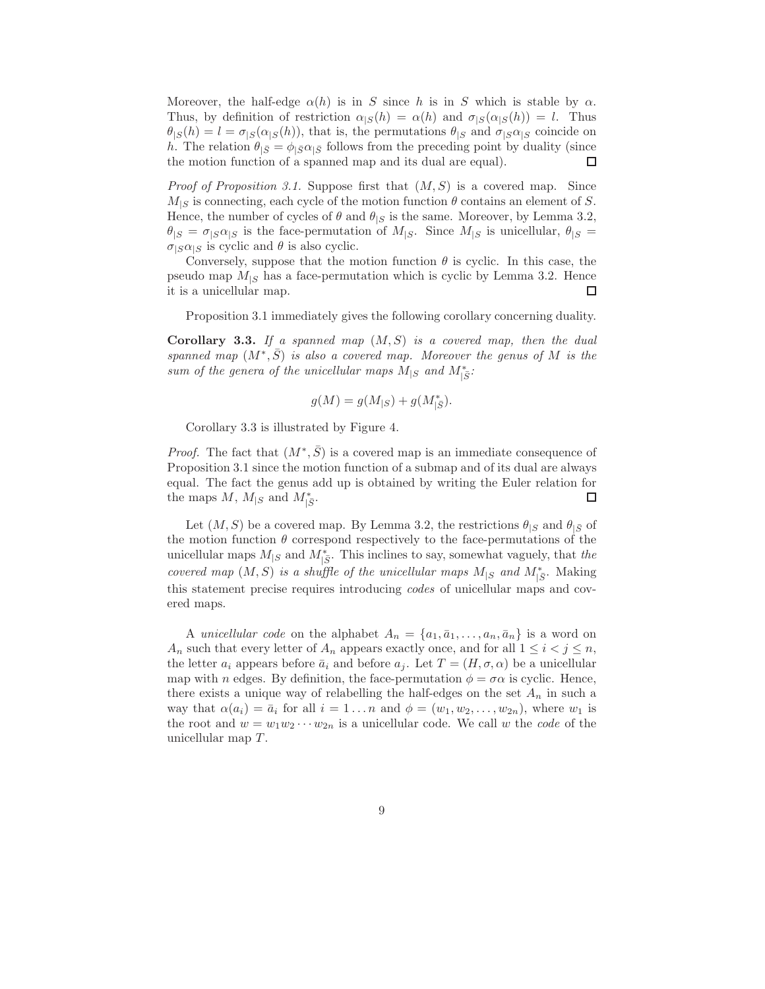Moreover, the half-edge  $\alpha(h)$  is in S since h is in S which is stable by  $\alpha$ . Thus, by definition of restriction  $\alpha_{|S}(h) = \alpha(h)$  and  $\sigma_{|S}(\alpha_{|S}(h)) = l$ . Thus  $\theta_{|S}(h) = l = \sigma_{|S}(\alpha_{|S}(h))$ , that is, the permutations  $\theta_{|S}$  and  $\sigma_{|S}\alpha_{|S}$  coincide on h. The relation  $\theta_{\bar{S}} = \phi_{\bar{S}} \alpha_{\bar{S}}$  follows from the preceding point by duality (since the motion function of a spanned map and its dual are equal). □

*Proof of Proposition 3.1.* Suppose first that  $(M, S)$  is a covered map. Since  $M_{\text{S}}$  is connecting, each cycle of the motion function  $\theta$  contains an element of S. Hence, the number of cycles of  $\theta$  and  $\theta_{|S}$  is the same. Moreover, by Lemma 3.2,  $\theta_{|S} = \sigma_{|S} \alpha_{|S}$  is the face-permutation of  $M_{|S}$ . Since  $M_{|S}$  is unicellular,  $\theta_{|S} =$  $\sigma_{|S}\alpha_{|S}$  is cyclic and  $\theta$  is also cyclic.

Conversely, suppose that the motion function  $\theta$  is cyclic. In this case, the pseudo map  $M_{\text{S}}$  has a face-permutation which is cyclic by Lemma 3.2. Hence it is a unicellular map.  $\Box$ 

Proposition 3.1 immediately gives the following corollary concerning duality.

Corollary 3.3. If a spanned map  $(M, S)$  is a covered map, then the dual spanned map  $(M^*,\overline{S})$  is also a covered map. Moreover the genus of M is the sum of the genera of the unicellular maps  $M_{|S}$  and  $M_{|\bar{S}}^*$ :

$$
g(M) = g(M_{|S}) + g(M_{|\bar{S}}^*).
$$

Corollary 3.3 is illustrated by Figure 4.

*Proof.* The fact that  $(M^*, \overline{S})$  is a covered map is an immediate consequence of Proposition 3.1 since the motion function of a submap and of its dual are always equal. The fact the genus add up is obtained by writing the Euler relation for the maps  $M$ ,  $M_{|S}$  and  $M_{|\bar{S}}^*$ . ◻

Let  $(M, S)$  be a covered map. By Lemma 3.2, the restrictions  $\theta_{|S}$  and  $\theta_{|\bar{S}}$  of the motion function  $\theta$  correspond respectively to the face-permutations of the unicellular maps  $M_{|S}$  and  $M^*_{|\bar{S}}$ . This inclines to say, somewhat vaguely, that the covered map  $(M, S)$  is a shuffle of the unicellular maps  $M_{|S}$  and  $M^*_{|S}$ . Making this statement precise requires introducing codes of unicellular maps and covered maps.

A unicellular code on the alphabet  $A_n = \{a_1, \bar{a}_1, \ldots, a_n, \bar{a}_n\}$  is a word on  $A_n$  such that every letter of  $A_n$  appears exactly once, and for all  $1 \leq i < j \leq n$ , the letter  $a_i$  appears before  $\bar{a}_i$  and before  $a_j$ . Let  $T = (H, \sigma, \alpha)$  be a unicellular map with *n* edges. By definition, the face-permutation  $\phi = \sigma \alpha$  is cyclic. Hence, there exists a unique way of relabelling the half-edges on the set  $A_n$  in such a way that  $\alpha(a_i) = \overline{a}_i$  for all  $i = 1 \dots n$  and  $\phi = (w_1, w_2, \dots, w_{2n})$ , where  $w_1$  is the root and  $w = w_1w_2\cdots w_{2n}$  is a unicellular code. We call w the *code* of the unicellular map  $T$ .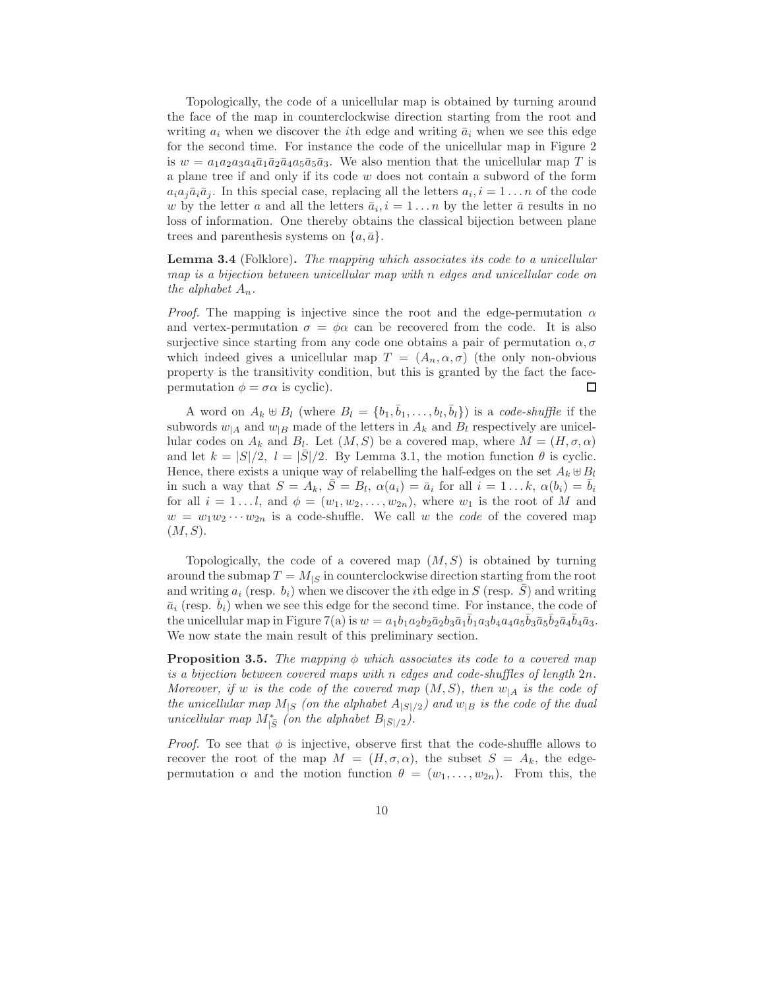Topologically, the code of a unicellular map is obtained by turning around the face of the map in counterclockwise direction starting from the root and writing  $a_i$  when we discover the *i*th edge and writing  $\bar{a}_i$  when we see this edge for the second time. For instance the code of the unicellular map in Figure 2 is  $w = a_1 a_2 a_3 a_4 \bar{a}_1 \bar{a}_2 \bar{a}_4 a_5 \bar{a}_5 \bar{a}_3$ . We also mention that the unicellular map T is a plane tree if and only if its code w does not contain a subword of the form  $a_i a_j \bar{a}_i \bar{a}_j$ . In this special case, replacing all the letters  $a_i, i = 1 \dots n$  of the code w by the letter a and all the letters  $\bar{a}_i$ ,  $i = 1...n$  by the letter  $\bar{a}$  results in no loss of information. One thereby obtains the classical bijection between plane trees and parenthesis systems on  $\{a,\bar{a}\}.$ 

Lemma 3.4 (Folklore). The mapping which associates its code to a unicellular map is a bijection between unicellular map with n edges and unicellular code on the alphabet  $A_n$ .

*Proof.* The mapping is injective since the root and the edge-permutation  $\alpha$ and vertex-permutation  $\sigma = \phi \alpha$  can be recovered from the code. It is also surjective since starting from any code one obtains a pair of permutation  $\alpha$ ,  $\sigma$ which indeed gives a unicellular map  $T = (A_n, \alpha, \sigma)$  (the only non-obvious property is the transitivity condition, but this is granted by the fact the facepermutation  $\phi = \sigma \alpha$  is cyclic). □

A word on  $A_k \oplus B_l$  (where  $B_l = \{b_1, \bar{b}_1, \ldots, b_l, \bar{b}_l\}$ ) is a code-shuffle if the subwords  $w_{|A}$  and  $w_{|B}$  made of the letters in  $A_k$  and  $B_l$  respectively are unicellular codes on  $A_k$  and  $B_l$ . Let  $(M, S)$  be a covered map, where  $M = (H, \sigma, \alpha)$ and let  $k = |S|/2$ ,  $l = |S|/2$ . By Lemma 3.1, the motion function  $\theta$  is cyclic. Hence, there exists a unique way of relabelling the half-edges on the set  $A_k \oplus B_l$ in such a way that  $S = A_k$ ,  $\overline{S} = B_l$ ,  $\alpha(a_i) = \overline{a}_i$  for all  $i = 1...k$ ,  $\alpha(b_i) = \overline{b}_i$ for all  $i = 1...l$ , and  $\phi = (w_1, w_2, ..., w_{2n})$ , where  $w_1$  is the root of M and  $w = w_1w_2\cdots w_{2n}$  is a code-shuffle. We call w the *code* of the covered map  $(M, S)$ .

Topologically, the code of a covered map  $(M, S)$  is obtained by turning around the submap  $T = M_{|S|}$  in counterclockwise direction starting from the root and writing  $a_i$  (resp.  $b_i$ ) when we discover the *i*th edge in S (resp.  $\overline{S}$ ) and writing  $\bar{a}_i$  (resp.  $\bar{b}_i$ ) when we see this edge for the second time. For instance, the code of the unicellular map in Figure 7(a) is  $w = a_1b_1a_2b_2\bar{a}_2b_3\bar{a}_1\bar{b}_1a_3b_4a_4a_5\bar{b}_3\bar{a}_5\bar{b}_2\bar{a}_4\bar{b}_4\bar{a}_3.$ We now state the main result of this preliminary section.

**Proposition 3.5.** The mapping  $\phi$  which associates its code to a covered map is a bijection between covered maps with n edges and code-shuffles of length 2n. Moreover, if w is the code of the covered map  $(M, S)$ , then  $w_{|A}$  is the code of the unicellular map  $M_{|S|}(on the alphabet A_{|S|/2})$  and  $w_{|B}$  is the code of the dual unicellular map  $M^*_{|\bar{S}|}(on the alphabet B_{|\bar{S}|/2}).$ 

*Proof.* To see that  $\phi$  is injective, observe first that the code-shuffle allows to recover the root of the map  $M = (H, \sigma, \alpha)$ , the subset  $S = A_k$ , the edgepermutation  $\alpha$  and the motion function  $\theta = (w_1, \ldots, w_{2n})$ . From this, the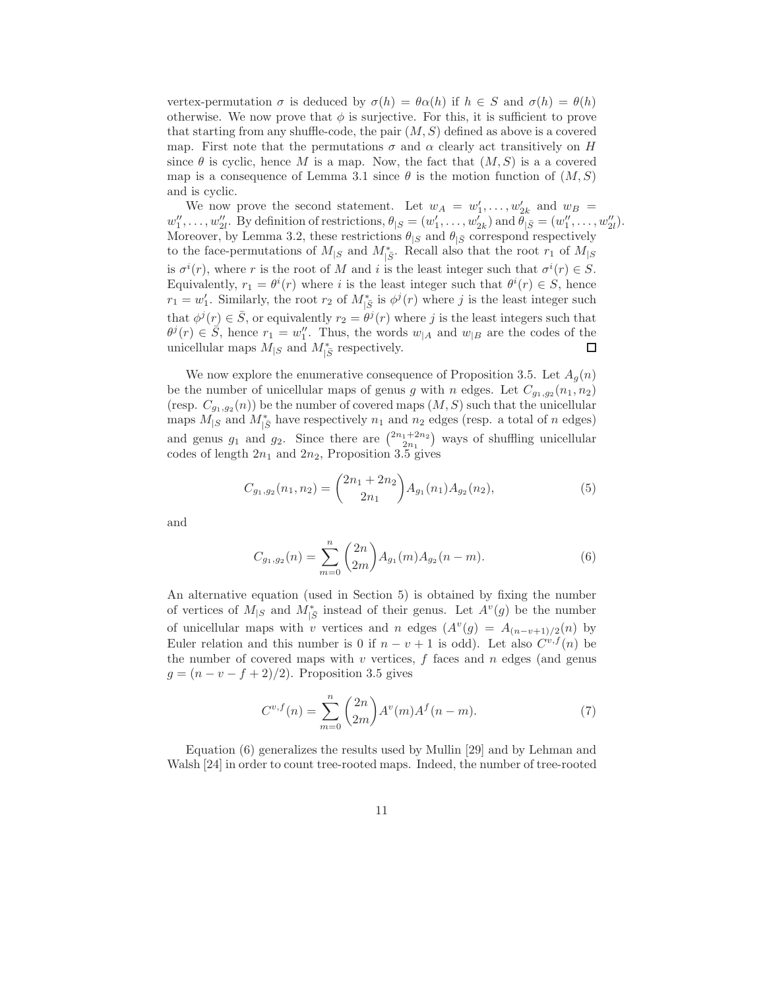vertex-permutation  $\sigma$  is deduced by  $\sigma(h) = \theta \alpha(h)$  if  $h \in S$  and  $\sigma(h) = \theta(h)$ otherwise. We now prove that  $\phi$  is surjective. For this, it is sufficient to prove that starting from any shuffle-code, the pair  $(M, S)$  defined as above is a covered map. First note that the permutations  $\sigma$  and  $\alpha$  clearly act transitively on H since  $\theta$  is cyclic, hence M is a map. Now, the fact that  $(M, S)$  is a a covered map is a consequence of Lemma 3.1 since  $\theta$  is the motion function of  $(M, S)$ and is cyclic.

We now prove the second statement. Let  $w_A = w'_1, \ldots, w'_{2k}$  and  $w_B =$  $w''_1, \ldots, w''_{2l}$ . By definition of restrictions,  $\theta_{|S} = (w'_1, \ldots, w'_{2k})$  and  $\theta_{|\bar{S}} = (w''_1, \ldots, w''_{2l})$ . Moreover, by Lemma 3.2, these restrictions  $\theta_{|S}$  and  $\theta_{|\bar{S}}$  correspond respectively to the face-permutations of  $M_{|S}$  and  $M^*_{|S}$ . Recall also that the root  $r_1$  of  $M_{|S}$ is  $\sigma^{i}(r)$ , where r is the root of M and i is the least integer such that  $\sigma^{i}(r) \in S$ . Equivalently,  $r_1 = \theta^i(r)$  where i is the least integer such that  $\theta^i(r) \in S$ , hence  $r_1 = w'_1$ . Similarly, the root  $r_2$  of  $M^*_{|\bar{S}}$  is  $\phi^j(r)$  where j is the least integer such that  $\phi^{j}(r) \in \overline{S}$ , or equivalently  $r_2 = \theta^{j}(r)$  where j is the least integers such that  $\theta^j(r) \in \overline{S}$ , hence  $r_1 = w''_1$ . Thus, the words  $w_{|A}$  and  $w_{|B}$  are the codes of the unicellular maps  $M_{|S}$  and  $M_{|\bar{S}}^*$  respectively.  $\Box$ 

We now explore the enumerative consequence of Proposition 3.5. Let  $A<sub>g</sub>(n)$ be the number of unicellular maps of genus g with n edges. Let  $C_{g_1,g_2}(n_1,n_2)$ (resp.  $C_{g_1,g_2}(n)$ ) be the number of covered maps  $(M, S)$  such that the unicellular maps  $M_{|S}$  and  $M_{|\overline{S}}^*$  have respectively  $n_1$  and  $n_2$  edges (resp. a total of n edges) and genus  $g_1$  and  $g_2$ . Since there are  $\binom{2n_1+2n_2}{2n_1}$  ways of shuffling unicellular codes of length  $2n_1$  and  $2n_2$ , Proposition 3.5 gives

$$
C_{g_1,g_2}(n_1,n_2) = {2n_1 + 2n_2 \choose 2n_1} A_{g_1}(n_1) A_{g_2}(n_2), \tag{5}
$$

and

$$
C_{g_1,g_2}(n) = \sum_{m=0}^{n} {2n \choose 2m} A_{g_1}(m) A_{g_2}(n-m).
$$
 (6)

An alternative equation (used in Section 5) is obtained by fixing the number of vertices of  $M_{|S}$  and  $M^*_{|\bar{S}}$  instead of their genus. Let  $A^v(g)$  be the number of unicellular maps with v vertices and n edges  $(A^v(g) = A_{(n-v+1)/2}(n))$  by Euler relation and this number is 0 if  $n - v + 1$  is odd). Let also  $C^{v,f}(n)$  be the number of covered maps with  $v$  vertices,  $f$  faces and  $n$  edges (and genus  $g = (n - v - f + 2)/2$ . Proposition 3.5 gives

$$
C^{v,f}(n) = \sum_{m=0}^{n} {2n \choose 2m} A^v(m) A^f(n-m).
$$
 (7)

Equation (6) generalizes the results used by Mullin [29] and by Lehman and Walsh [24] in order to count tree-rooted maps. Indeed, the number of tree-rooted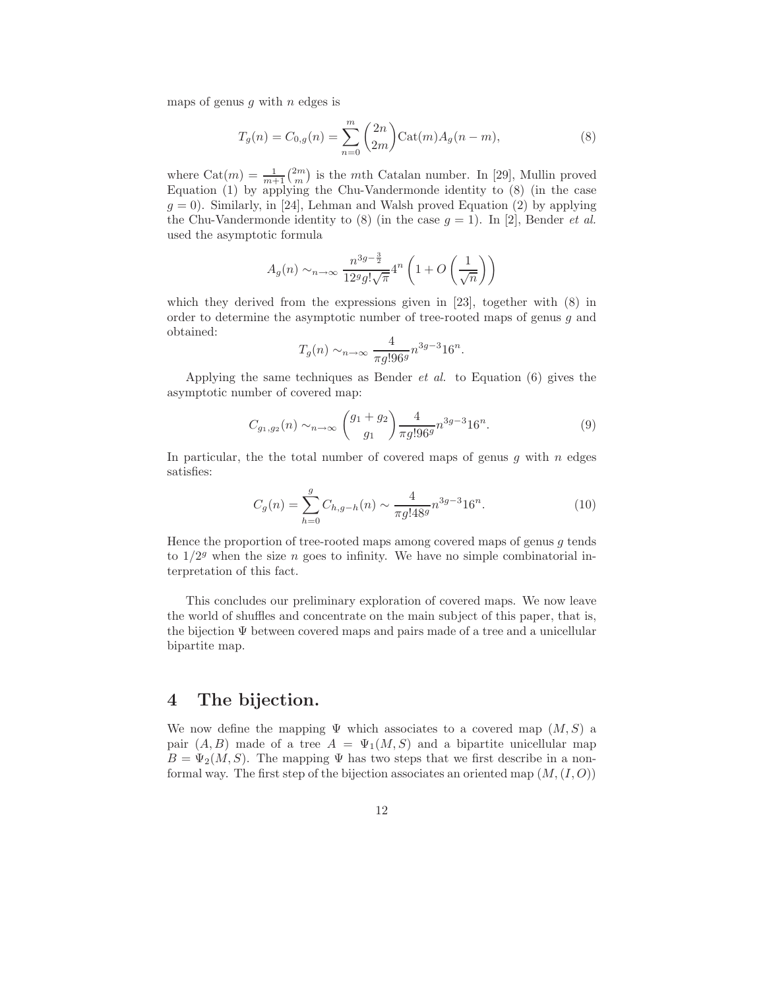maps of genus  $g$  with  $n$  edges is

$$
T_g(n) = C_{0,g}(n) = \sum_{n=0}^{m} {2n \choose 2m} \text{Cat}(m) A_g(n-m),
$$
\n(8)

where  $\text{Cat}(m) = \frac{1}{m+1} {2m \choose m}$  is the mth Catalan number. In [29], Mullin proved Equation (1) by applying the Chu-Vandermonde identity to (8) (in the case  $g = 0$ ). Similarly, in [24], Lehman and Walsh proved Equation (2) by applying the Chu-Vandermonde identity to (8) (in the case  $g = 1$ ). In [2], Bender *et al.* used the asymptotic formula

$$
A_g(n) \sim_{n \to \infty} \frac{n^{3g - \frac{3}{2}}}{12^g g! \sqrt{\pi}} 4^n \left( 1 + O\left(\frac{1}{\sqrt{n}}\right) \right)
$$

which they derived from the expressions given in [23], together with  $(8)$  in order to determine the asymptotic number of tree-rooted maps of genus  $q$  and obtained:

$$
T_g(n) \sim_{n \to \infty} \frac{4}{\pi g! 96^g} n^{3g-3} 16^n.
$$

Applying the same techniques as Bender  $et \ al.$  to Equation (6) gives the asymptotic number of covered map:

$$
C_{g_1,g_2}(n) \sim_{n \to \infty} \left(\frac{g_1 + g_2}{g_1}\right) \frac{4}{\pi g! 96^g} n^{3g-3} 16^n. \tag{9}
$$

In particular, the the total number of covered maps of genus  $g$  with  $n$  edges satisfies:

$$
C_g(n) = \sum_{h=0}^{g} C_{h,g-h}(n) \sim \frac{4}{\pi g! 48^g} n^{3g-3} 16^n.
$$
 (10)

Hence the proportion of tree-rooted maps among covered maps of genus  $g$  tends to  $1/2<sup>g</sup>$  when the size *n* goes to infinity. We have no simple combinatorial interpretation of this fact.

This concludes our preliminary exploration of covered maps. We now leave the world of shuffles and concentrate on the main subject of this paper, that is, the bijection Ψ between covered maps and pairs made of a tree and a unicellular bipartite map.

# 4 The bijection.

We now define the mapping  $\Psi$  which associates to a covered map  $(M, S)$  a pair  $(A, B)$  made of a tree  $A = \Psi_1(M, S)$  and a bipartite unicellular map  $B = \Psi_2(M, S)$ . The mapping  $\Psi$  has two steps that we first describe in a nonformal way. The first step of the bijection associates an oriented map  $(M,(I,O))$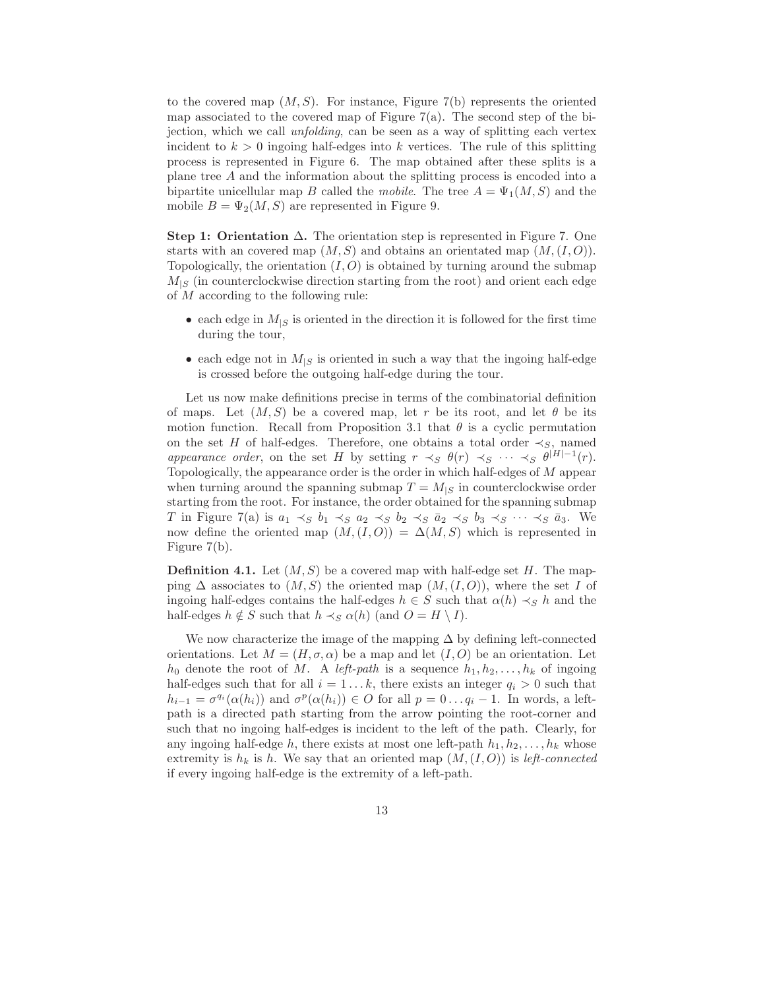to the covered map  $(M, S)$ . For instance, Figure 7(b) represents the oriented map associated to the covered map of Figure  $7(a)$ . The second step of the bijection, which we call unfolding, can be seen as a way of splitting each vertex incident to  $k > 0$  ingoing half-edges into k vertices. The rule of this splitting process is represented in Figure 6. The map obtained after these splits is a plane tree A and the information about the splitting process is encoded into a bipartite unicellular map B called the mobile. The tree  $A = \Psi_1(M, S)$  and the mobile  $B = \Psi_2(M, S)$  are represented in Figure 9.

Step 1: Orientation  $\Delta$ . The orientation step is represented in Figure 7. One starts with an covered map  $(M, S)$  and obtains an orientated map  $(M, (I, O)).$ Topologically, the orientation  $(I, O)$  is obtained by turning around the submap  $M_{\mid S}$  (in counterclockwise direction starting from the root) and orient each edge of M according to the following rule:

- each edge in  $M_{\mid S}$  is oriented in the direction it is followed for the first time during the tour,
- each edge not in  $M_{\mid S}$  is oriented in such a way that the ingoing half-edge is crossed before the outgoing half-edge during the tour.

Let us now make definitions precise in terms of the combinatorial definition of maps. Let  $(M, S)$  be a covered map, let r be its root, and let  $\theta$  be its motion function. Recall from Proposition 3.1 that  $\theta$  is a cyclic permutation on the set H of half-edges. Therefore, one obtains a total order  $\prec_S$ , named appearance order, on the set H by setting  $r \prec_S \theta(r) \prec_S \cdots \prec_S \theta^{|H|-1}(r)$ . Topologically, the appearance order is the order in which half-edges of M appear when turning around the spanning submap  $T = M_{|S}$  in counterclockwise order starting from the root. For instance, the order obtained for the spanning submap T in Figure 7(a) is  $a_1 \prec_S b_1 \prec_S a_2 \prec_S b_2 \prec_S \bar{a}_2 \prec_S b_3 \prec_S \cdots \prec_S \bar{a}_3$ . We now define the oriented map  $(M,(I,O)) = \Delta(M, S)$  which is represented in Figure 7(b).

**Definition 4.1.** Let  $(M, S)$  be a covered map with half-edge set H. The mapping  $\Delta$  associates to  $(M, S)$  the oriented map  $(M, (I, O))$ , where the set I of ingoing half-edges contains the half-edges  $h \in S$  such that  $\alpha(h) \prec_S h$  and the half-edges  $h \notin S$  such that  $h \prec_S \alpha(h)$  (and  $O = H \setminus I$ ).

We now characterize the image of the mapping  $\Delta$  by defining left-connected orientations. Let  $M = (H, \sigma, \alpha)$  be a map and let  $(I, O)$  be an orientation. Let  $h_0$  denote the root of M. A left-path is a sequence  $h_1, h_2, \ldots, h_k$  of ingoing half-edges such that for all  $i = 1...k$ , there exists an integer  $q_i > 0$  such that  $h_{i-1} = \sigma^{q_i}(\alpha(h_i))$  and  $\sigma^p(\alpha(h_i)) \in O$  for all  $p = 0 \ldots q_i - 1$ . In words, a leftpath is a directed path starting from the arrow pointing the root-corner and such that no ingoing half-edges is incident to the left of the path. Clearly, for any ingoing half-edge h, there exists at most one left-path  $h_1, h_2, \ldots, h_k$  whose extremity is  $h_k$  is h. We say that an oriented map  $(M,(I,O))$  is left-connected if every ingoing half-edge is the extremity of a left-path.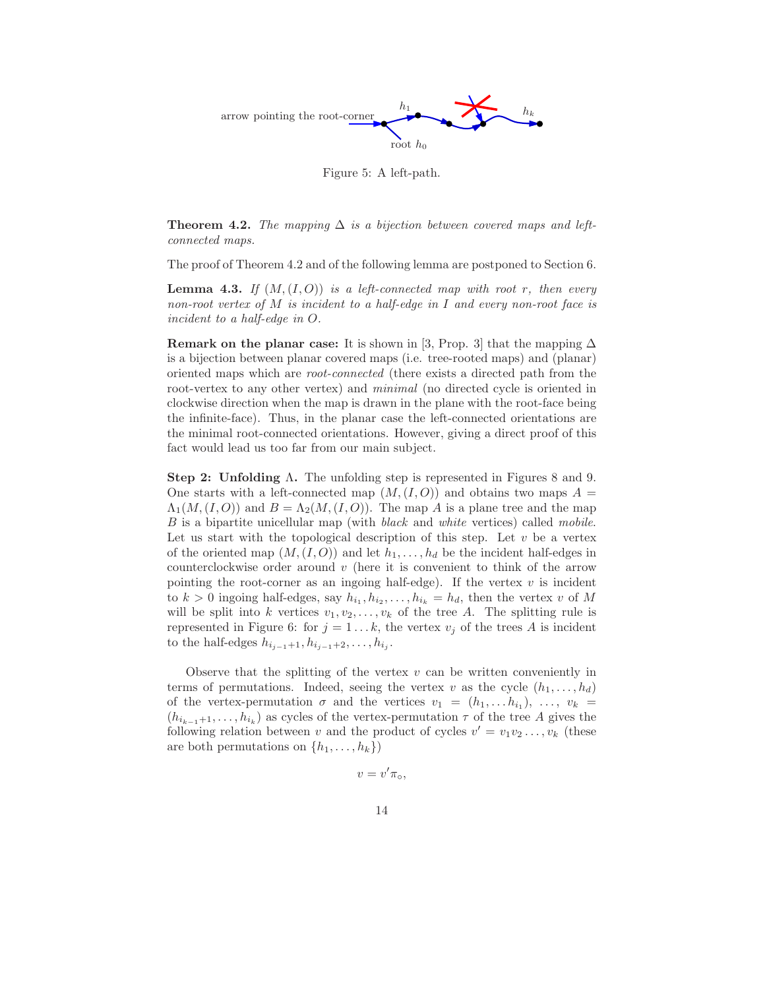

Figure 5: A left-path.

**Theorem 4.2.** The mapping  $\Delta$  is a bijection between covered maps and leftconnected maps.

The proof of Theorem 4.2 and of the following lemma are postponed to Section 6.

**Lemma 4.3.** If  $(M,(I,O))$  is a left-connected map with root r, then every non-root vertex of M is incident to a half-edge in I and every non-root face is incident to a half-edge in O.

Remark on the planar case: It is shown in [3, Prop. 3] that the mapping  $\Delta$ is a bijection between planar covered maps (i.e. tree-rooted maps) and (planar) oriented maps which are root-connected (there exists a directed path from the root-vertex to any other vertex) and *minimal* (no directed cycle is oriented in clockwise direction when the map is drawn in the plane with the root-face being the infinite-face). Thus, in the planar case the left-connected orientations are the minimal root-connected orientations. However, giving a direct proof of this fact would lead us too far from our main subject.

Step 2: Unfolding Λ. The unfolding step is represented in Figures 8 and 9. One starts with a left-connected map  $(M,(I,O))$  and obtains two maps  $A =$  $\Lambda_1(M,(I,O))$  and  $B = \Lambda_2(M,(I,O))$ . The map A is a plane tree and the map B is a bipartite unicellular map (with *black* and *white* vertices) called *mobile*. Let us start with the topological description of this step. Let  $v$  be a vertex of the oriented map  $(M,(I,O))$  and let  $h_1,\ldots,h_d$  be the incident half-edges in counterclockwise order around  $v$  (here it is convenient to think of the arrow pointing the root-corner as an ingoing half-edge). If the vertex  $v$  is incident to  $k > 0$  ingoing half-edges, say  $h_{i_1}, h_{i_2}, \ldots, h_{i_k} = h_d$ , then the vertex v of M will be split into k vertices  $v_1, v_2, \ldots, v_k$  of the tree A. The splitting rule is represented in Figure 6: for  $j = 1...k$ , the vertex  $v_j$  of the trees A is incident to the half-edges  $h_{i_{j-1}+1}, h_{i_{j-1}+2}, \ldots, h_{i_j}.$ 

Observe that the splitting of the vertex  $v$  can be written conveniently in terms of permutations. Indeed, seeing the vertex v as the cycle  $(h_1, \ldots, h_d)$ of the vertex-permutation  $\sigma$  and the vertices  $v_1 = (h_1, \ldots, h_{i_1}), \ldots, v_k =$  $(h_{i_{k-1}+1},\ldots,h_{i_k})$  as cycles of the vertex-permutation  $\tau$  of the tree A gives the following relation between v and the product of cycles  $v' = v_1v_2 \ldots, v_k$  (these are both permutations on  $\{h_1, \ldots, h_k\}$ 

$$
v=v'\pi_{\circ},
$$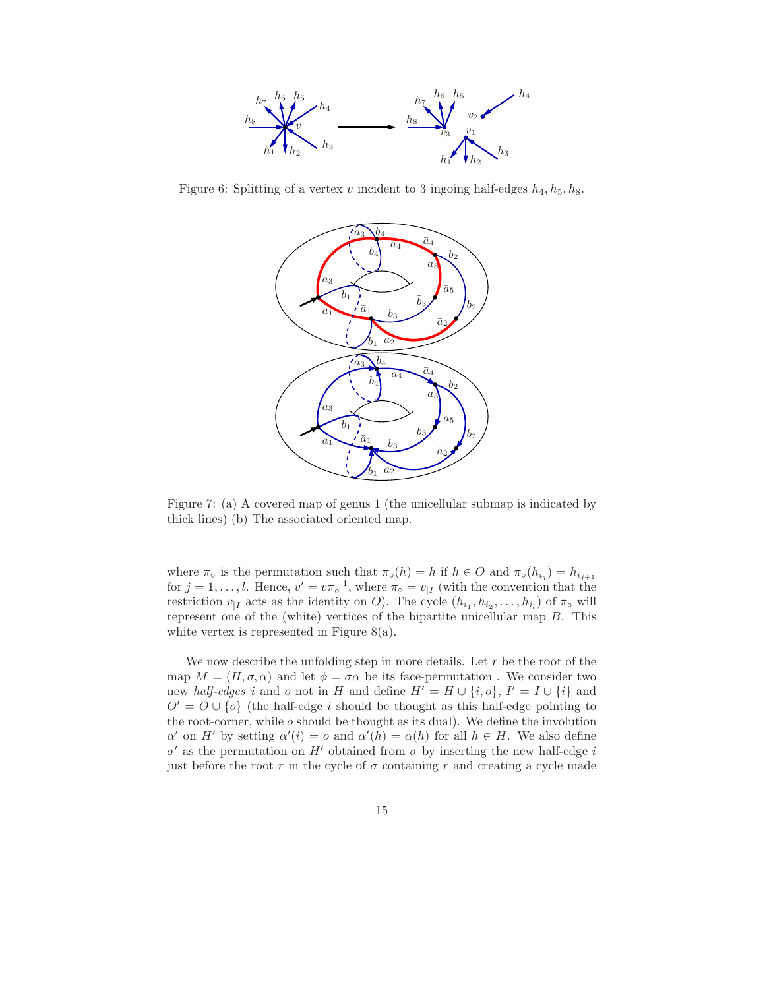

Figure 6: Splitting of a vertex v incident to 3 ingoing half-edges  $h_4, h_5, h_8$ .



Figure 7: (a) A covered map of genus 1 (the unicellular submap is indicated by thick lines) (b) The associated oriented map.

where  $\pi_{\circ}$  is the permutation such that  $\pi_{\circ}(h) = h$  if  $h \in O$  and  $\pi_{\circ}(h_{i_j}) = h_{i_{j+1}}$ for  $j = 1, \ldots, l$ . Hence,  $v' = v \pi_{\circ}^{-1}$ , where  $\pi_{\circ} = v_{|I}$  (with the convention that the restriction  $v_{|I}$  acts as the identity on O). The cycle  $(h_{i_1}, h_{i_2}, \ldots, h_{i_l})$  of  $\pi_{\circ}$  will represent one of the (white) vertices of the bipartite unicellular map  $B$ . This white vertex is represented in Figure 8(a).

We now describe the unfolding step in more details. Let  $r$  be the root of the map  $M = (H, \sigma, \alpha)$  and let  $\phi = \sigma \alpha$  be its face-permutation. We consider two new *half-edges* i and o not in H and define  $H' = H \cup \{i, o\}$ ,  $I' = I \cup \{i\}$  and  $O' = O \cup \{o\}$  (the half-edge i should be thought as this half-edge pointing to the root-corner, while  $o$  should be thought as its dual). We define the involution  $\alpha'$  on H' by setting  $\alpha'(i) = o$  and  $\alpha'(h) = \alpha(h)$  for all  $h \in H$ . We also define  $\sigma'$  as the permutation on H' obtained from  $\sigma$  by inserting the new half-edge i just before the root r in the cycle of  $\sigma$  containing r and creating a cycle made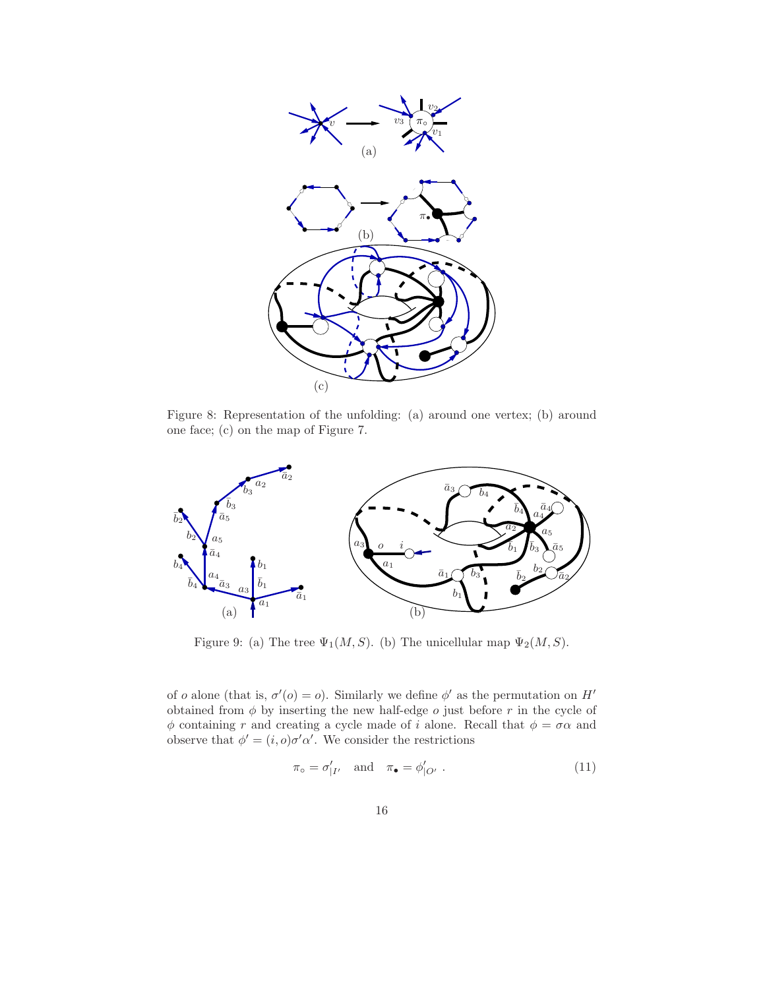

Figure 8: Representation of the unfolding: (a) around one vertex; (b) around one face; (c) on the map of Figure 7.



Figure 9: (a) The tree  $\Psi_1(M, S)$ . (b) The unicellular map  $\Psi_2(M, S)$ .

of o alone (that is,  $\sigma'(o) = o$ ). Similarly we define  $\phi'$  as the permutation on H' obtained from  $\phi$  by inserting the new half-edge  $o$  just before  $r$  in the cycle of  $\phi$  containing r and creating a cycle made of i alone. Recall that  $\phi = \sigma \alpha$  and observe that  $\phi' = (i, o)\sigma'\alpha'$ . We consider the restrictions

$$
\pi_{\circ} = \sigma'_{|I'} \quad \text{and} \quad \pi_{\bullet} = \phi'_{|O'} \ . \tag{11}
$$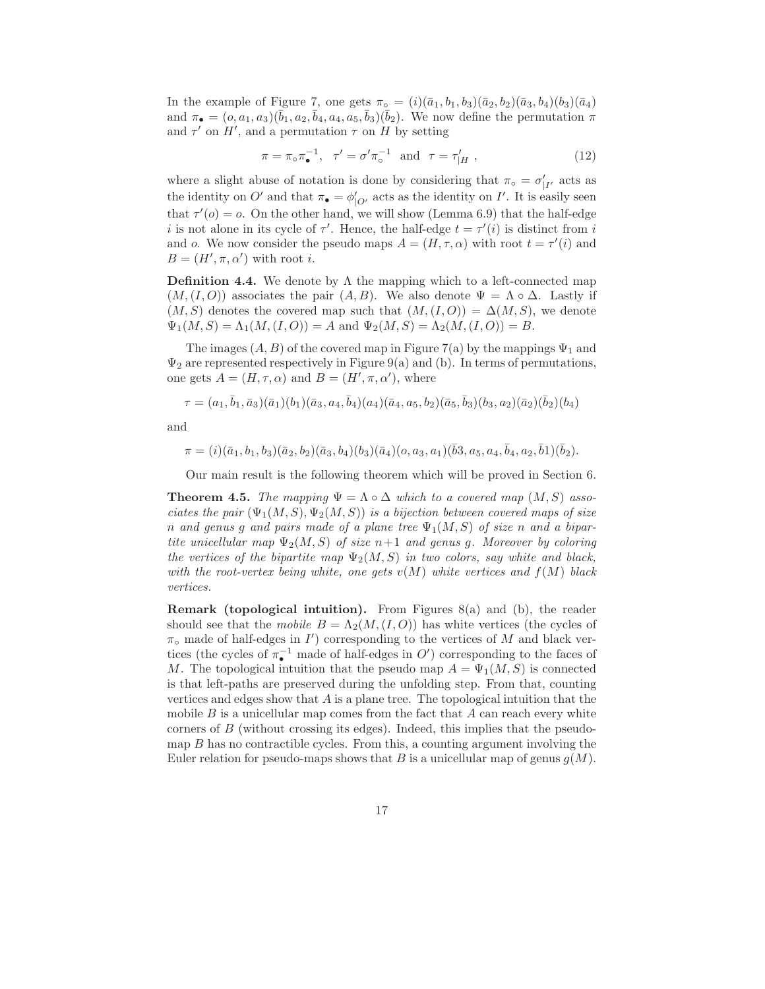In the example of Figure 7, one gets  $\pi_{\circ} = (i)(\bar{a}_1, b_1, b_3)(\bar{a}_2, b_2)(\bar{a}_3, b_4)(b_3)(\bar{a}_4)$ and  $\pi_{\bullet} = (o, a_1, a_3)(\bar{b}_1, a_2, \bar{b}_4, a_4, a_5, \bar{b}_3)(\bar{b}_2)$ . We now define the permutation  $\pi$ and  $\tau'$  on H', and a permutation  $\tau$  on H by setting

$$
\pi = \pi_{\circ} \pi_{\bullet}^{-1}, \quad \tau' = \sigma' \pi_{\circ}^{-1} \quad \text{and} \quad \tau = \tau'_{|H} \tag{12}
$$

where a slight abuse of notation is done by considering that  $\pi_{\circ} = \sigma'_{|I'}$  acts as the identity on O' and that  $\pi_{\bullet} = \phi'_{|O'}$  acts as the identity on I'. It is easily seen that  $\tau'(o) = o$ . On the other hand, we will show (Lemma 6.9) that the half-edge i is not alone in its cycle of  $\tau'$ . Hence, the half-edge  $t = \tau'(i)$  is distinct from i and o. We now consider the pseudo maps  $A = (H, \tau, \alpha)$  with root  $t = \tau'(i)$  and  $B=(H',\pi,\alpha')$  with root *i*.

**Definition 4.4.** We denote by  $\Lambda$  the mapping which to a left-connected map  $(M,(I,O))$  associates the pair  $(A, B)$ . We also denote  $\Psi = \Lambda \circ \Delta$ . Lastly if  $(M, S)$  denotes the covered map such that  $(M, (I, O)) = \Delta(M, S)$ , we denote  $\Psi_1(M, S) = \Lambda_1(M, (I, O)) = A$  and  $\Psi_2(M, S) = \Lambda_2(M, (I, O)) = B$ .

The images  $(A, B)$  of the covered map in Figure 7(a) by the mappings  $\Psi_1$  and  $\Psi_2$  are represented respectively in Figure 9(a) and (b). In terms of permutations, one gets  $A = (H, \tau, \alpha)$  and  $B = (H', \pi, \alpha')$ , where

$$
\tau=(a_1,\bar{b}_1,\bar{a}_3)(\bar{a}_1)(b_1)(\bar{a}_3,a_4,\bar{b}_4)(a_4)(\bar{a}_4,a_5,b_2)(\bar{a}_5,\bar{b}_3)(b_3,a_2)(\bar{a}_2)(\bar{b}_2)(b_4)
$$

and

$$
\pi = (i) (\bar{a}_1, b_1, b_3) (\bar{a}_2, b_2) (\bar{a}_3, b_4) (b_3) (\bar{a}_4) (o, a_3, a_1) (\bar{b}_3, a_5, a_4, \bar{b}_4, a_2, \bar{b}_1) (\bar{b}_2).
$$

Our main result is the following theorem which will be proved in Section 6.

**Theorem 4.5.** The mapping  $\Psi = \Lambda \circ \Delta$  which to a covered map  $(M, S)$  associates the pair  $(\Psi_1(M, S), \Psi_2(M, S))$  is a bijection between covered maps of size n and genus q and pairs made of a plane tree  $\Psi_1(M, S)$  of size n and a bipartite unicellular map  $\Psi_2(M, S)$  of size  $n+1$  and genus g. Moreover by coloring the vertices of the bipartite map  $\Psi_2(M, S)$  in two colors, say white and black, with the root-vertex being white, one gets  $v(M)$  white vertices and  $f(M)$  black vertices.

**Remark (topological intuition).** From Figures  $8(a)$  and (b), the reader should see that the mobile  $B = \Lambda_2(M,(I,O))$  has white vertices (the cycles of  $\pi_{\circ}$  made of half-edges in  $I'$ ) corresponding to the vertices of M and black vertices (the cycles of  $\pi_{\bullet}^{-1}$  made of half-edges in  $O'$ ) corresponding to the faces of M. The topological intuition that the pseudo map  $A = \Psi_1(M, S)$  is connected is that left-paths are preserved during the unfolding step. From that, counting vertices and edges show that  $A$  is a plane tree. The topological intuition that the mobile  $B$  is a unicellular map comes from the fact that  $A$  can reach every white corners of B (without crossing its edges). Indeed, this implies that the pseudomap  $B$  has no contractible cycles. From this, a counting argument involving the Euler relation for pseudo-maps shows that B is a unicellular map of genus  $q(M)$ .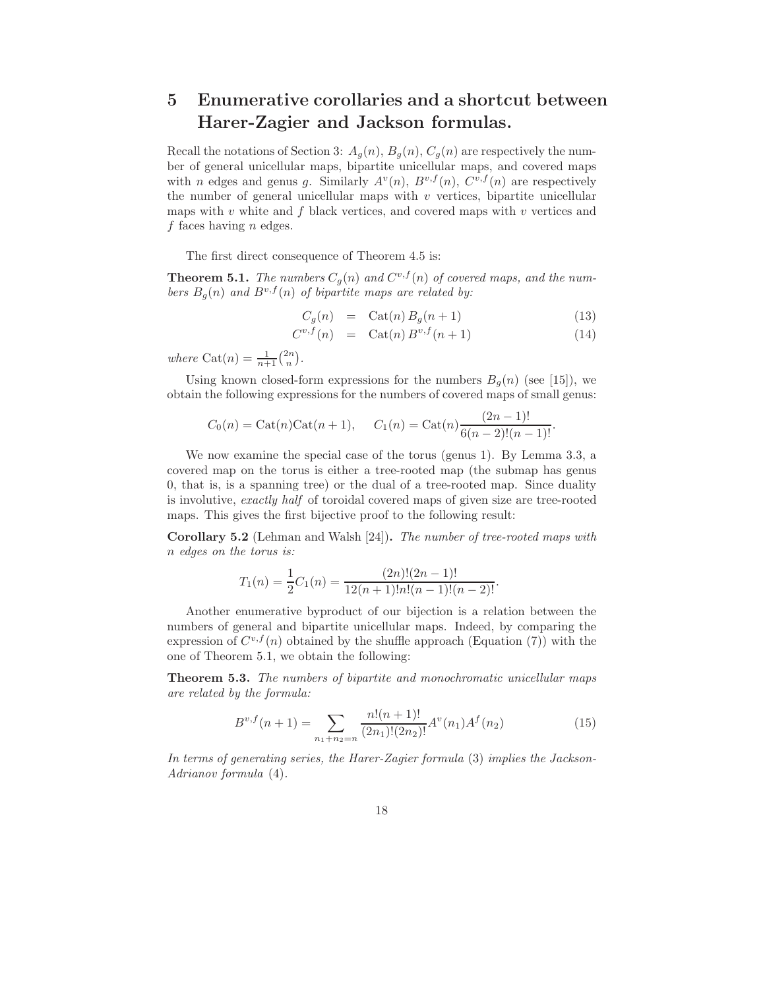# 5 Enumerative corollaries and a shortcut between Harer-Zagier and Jackson formulas.

Recall the notations of Section 3:  $A_g(n)$ ,  $B_g(n)$ ,  $C_g(n)$  are respectively the number of general unicellular maps, bipartite unicellular maps, and covered maps with *n* edges and genus g. Similarly  $A^v(n)$ ,  $B^{v,f}(n)$ ,  $C^{v,f}(n)$  are respectively the number of general unicellular maps with  $v$  vertices, bipartite unicellular maps with  $v$  white and  $f$  black vertices, and covered maps with  $v$  vertices and f faces having  $n$  edges.

The first direct consequence of Theorem 4.5 is:

**Theorem 5.1.** The numbers  $C_g(n)$  and  $C^{v,f}(n)$  of covered maps, and the numbers  $B_g(n)$  and  $B^{v,f}(n)$  of bipartite maps are related by:

$$
C_g(n) = \operatorname{Cat}(n) B_g(n+1) \tag{13}
$$

$$
C^{v,f}(n) = \text{Cat}(n) B^{v,f}(n+1)
$$
 (14)

where Cat $(n) = \frac{1}{n+1} {2n \choose n}.$ 

Using known closed-form expressions for the numbers  $B_q(n)$  (see [15]), we obtain the following expressions for the numbers of covered maps of small genus:

$$
C_0(n) = \text{Cat}(n)\text{Cat}(n+1), \quad C_1(n) = \text{Cat}(n)\frac{(2n-1)!}{6(n-2)!(n-1)!}.
$$

We now examine the special case of the torus (genus 1). By Lemma 3.3, a covered map on the torus is either a tree-rooted map (the submap has genus 0, that is, is a spanning tree) or the dual of a tree-rooted map. Since duality is involutive, exactly half of toroidal covered maps of given size are tree-rooted maps. This gives the first bijective proof to the following result:

Corollary 5.2 (Lehman and Walsh [24]). The number of tree-rooted maps with n edges on the torus is:

$$
T_1(n) = \frac{1}{2}C_1(n) = \frac{(2n)!(2n-1)!}{12(n+1)!n!(n-1)!(n-2)!}.
$$

Another enumerative byproduct of our bijection is a relation between the numbers of general and bipartite unicellular maps. Indeed, by comparing the expression of  $C^{v,f}(n)$  obtained by the shuffle approach (Equation (7)) with the one of Theorem 5.1, we obtain the following:

Theorem 5.3. The numbers of bipartite and monochromatic unicellular maps are related by the formula:

$$
B^{v,f}(n+1) = \sum_{n_1+n_2=n} \frac{n!(n+1)!}{(2n_1)!(2n_2)!} A^v(n_1) A^f(n_2)
$$
\n(15)

In terms of generating series, the Harer-Zagier formula (3) implies the Jackson-Adrianov formula (4).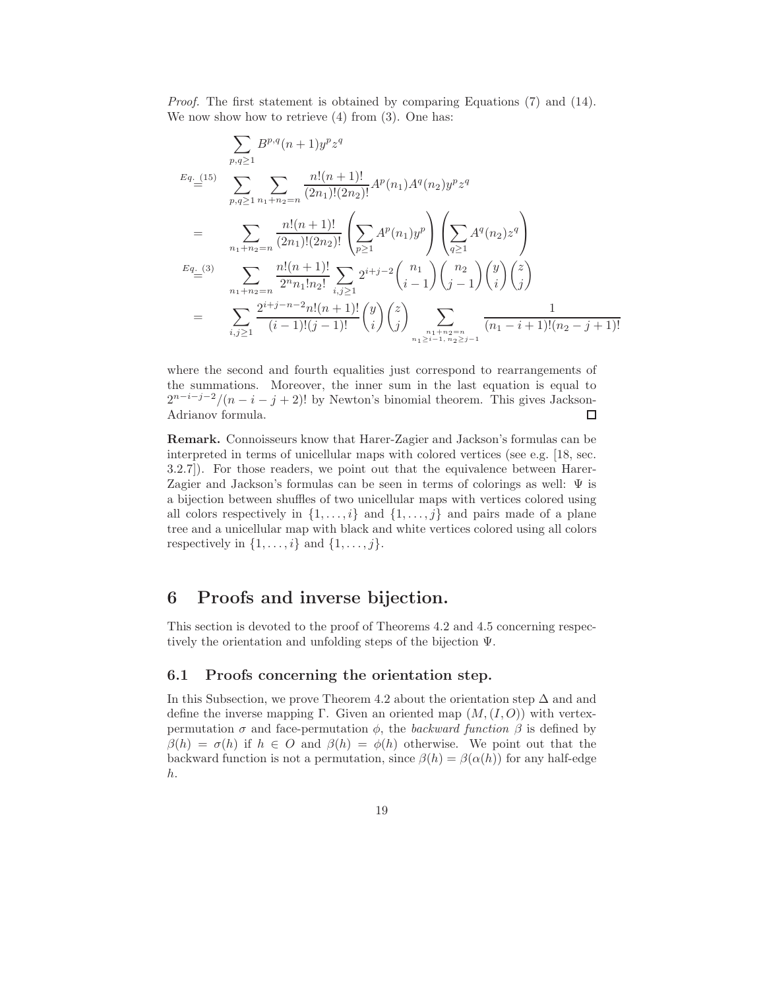Proof. The first statement is obtained by comparing Equations (7) and (14). We now show how to retrieve  $(4)$  from  $(3)$ . One has:

$$
\sum_{p,q\geq 1} B^{p,q}(n+1)y^p z^q
$$
\n
$$
E_{q. (15)} \sum_{p,q\geq 1} \sum_{n_1+n_2=n} \frac{n!(n+1)!}{(2n_1)!(2n_2)!} A^p(n_1) A^q(n_2) y^p z^q
$$
\n
$$
= \sum_{n_1+n_2=n} \frac{n!(n+1)!}{(2n_1)!(2n_2)!} \left( \sum_{p\geq 1} A^p(n_1) y^p \right) \left( \sum_{q\geq 1} A^q(n_2) z^q \right)
$$
\n
$$
E_{q. (3)} \sum_{n_1+n_2=n} \frac{n!(n+1)!}{2^n n_1! n_2!} \sum_{i,j\geq 1} 2^{i+j-2} {n_1 \choose i-1} {n_2 \choose j-1} {y \choose j} {z \choose j}
$$
\n
$$
= \sum_{i,j\geq 1} \frac{2^{i+j-n-2} n!(n+1)!}{(i-1)!(j-1)!} {y \choose i} {z \choose j} \sum_{n_1+n_2=n \atop n_1 \geq i-1, n_2 \geq j-1} \frac{1}{(n_1-i+1)!(n_2-j+1)!}
$$

where the second and fourth equalities just correspond to rearrangements of the summations. Moreover, the inner sum in the last equation is equal to  $2^{n-i-j-2}/(n-i-j+2)!$  by Newton's binomial theorem. This gives Jackson-Adrianov formula.

Remark. Connoisseurs know that Harer-Zagier and Jackson's formulas can be interpreted in terms of unicellular maps with colored vertices (see e.g. [18, sec. 3.2.7]). For those readers, we point out that the equivalence between Harer-Zagier and Jackson's formulas can be seen in terms of colorings as well:  $\Psi$  is a bijection between shuffles of two unicellular maps with vertices colored using all colors respectively in  $\{1, \ldots, i\}$  and  $\{1, \ldots, j\}$  and pairs made of a plane tree and a unicellular map with black and white vertices colored using all colors respectively in  $\{1, \ldots, i\}$  and  $\{1, \ldots, j\}$ .

# 6 Proofs and inverse bijection.

This section is devoted to the proof of Theorems 4.2 and 4.5 concerning respectively the orientation and unfolding steps of the bijection Ψ.

#### 6.1 Proofs concerning the orientation step.

In this Subsection, we prove Theorem 4.2 about the orientation step  $\Delta$  and and define the inverse mapping Γ. Given an oriented map  $(M,(I,O))$  with vertexpermutation  $\sigma$  and face-permutation  $\phi$ , the backward function  $\beta$  is defined by  $\beta(h) = \sigma(h)$  if  $h \in O$  and  $\beta(h) = \phi(h)$  otherwise. We point out that the backward function is not a permutation, since  $\beta(h) = \beta(\alpha(h))$  for any half-edge h.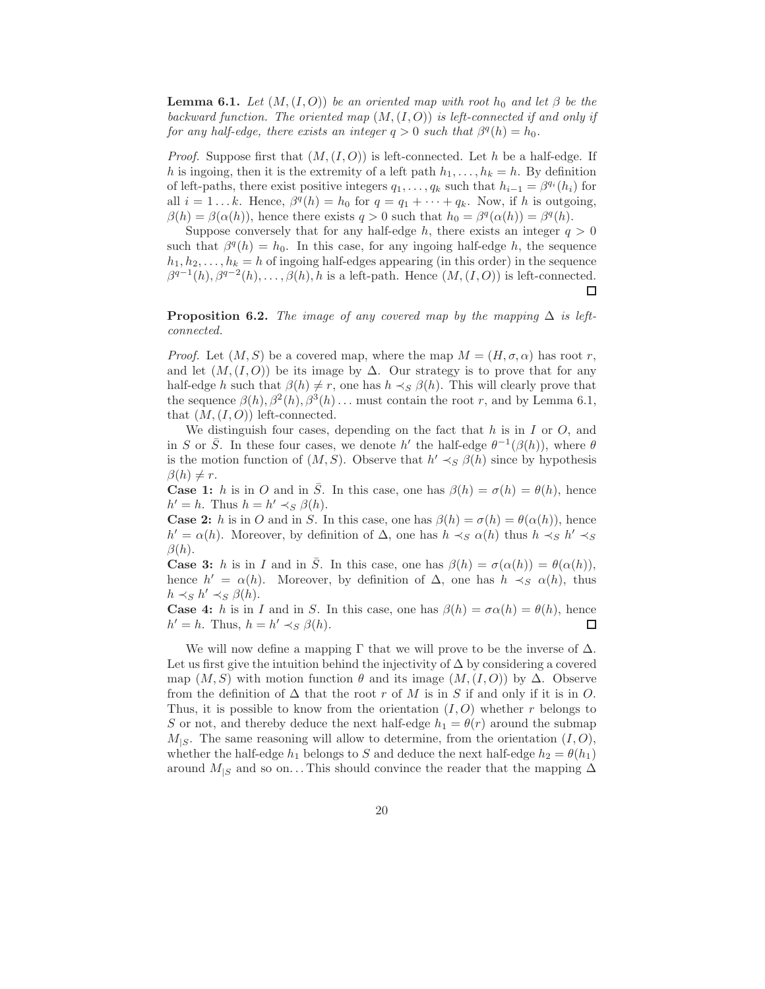**Lemma 6.1.** Let  $(M, (I, O))$  be an oriented map with root  $h_0$  and let  $\beta$  be the backward function. The oriented map  $(M,(I,O))$  is left-connected if and only if for any half-edge, there exists an integer  $q > 0$  such that  $\beta^q(h) = h_0$ .

*Proof.* Suppose first that  $(M,(I, O))$  is left-connected. Let h be a half-edge. If h is ingoing, then it is the extremity of a left path  $h_1, \ldots, h_k = h$ . By definition of left-paths, there exist positive integers  $q_1, \ldots, q_k$  such that  $h_{i-1} = \beta^{q_i}(h_i)$  for all  $i = 1...k$ . Hence,  $\beta^q(h) = h_0$  for  $q = q_1 + \cdots + q_k$ . Now, if h is outgoing,  $\beta(h) = \beta(\alpha(h))$ , hence there exists  $q > 0$  such that  $h_0 = \beta^q(\alpha(h)) = \beta^q(h)$ .

Suppose conversely that for any half-edge h, there exists an integer  $q > 0$ such that  $\beta^q(h) = h_0$ . In this case, for any ingoing half-edge h, the sequence  $h_1, h_2, \ldots, h_k = h$  of ingoing half-edges appearing (in this order) in the sequence  $\beta^{q-1}(h), \beta^{q-2}(h), \ldots, \beta(h), h$  is a left-path. Hence  $(M,(I,O))$  is left-connected.  $\Box$ 

**Proposition 6.2.** The image of any covered map by the mapping  $\Delta$  is leftconnected.

*Proof.* Let  $(M, S)$  be a covered map, where the map  $M = (H, \sigma, \alpha)$  has root r, and let  $(M,(I,O))$  be its image by  $\Delta$ . Our strategy is to prove that for any half-edge h such that  $\beta(h) \neq r$ , one has  $h \prec_S \beta(h)$ . This will clearly prove that the sequence  $\beta(h), \beta^2(h), \beta^3(h) \dots$  must contain the root r, and by Lemma 6.1, that  $(M,(I,O))$  left-connected.

We distinguish four cases, depending on the fact that  $h$  is in  $I$  or  $O$ , and in S or  $\overline{S}$ . In these four cases, we denote h' the half-edge  $\theta^{-1}(\beta(h))$ , where  $\theta$ is the motion function of  $(M, S)$ . Observe that  $h' \prec_S \beta(h)$  since by hypothesis  $\beta(h) \neq r$ .

**Case 1:** h is in O and in  $\overline{S}$ . In this case, one has  $\beta(h) = \sigma(h) = \theta(h)$ , hence  $h' = h$ . Thus  $h = h' \prec_S \beta(h)$ .

**Case 2:** h is in O and in S. In this case, one has  $\beta(h) = \sigma(h) = \theta(\alpha(h))$ , hence  $h' = \alpha(h)$ . Moreover, by definition of  $\Delta$ , one has  $h \prec_S \alpha(h)$  thus  $h \prec_S h' \prec_S$  $\beta(h)$ .

**Case 3:** h is in I and in  $\overline{S}$ . In this case, one has  $\beta(h) = \sigma(\alpha(h)) = \theta(\alpha(h)),$ hence  $h' = \alpha(h)$ . Moreover, by definition of  $\Delta$ , one has  $h \prec_S \alpha(h)$ , thus  $h \prec_S h' \prec_S \beta(h)$ .

**Case 4:** h is in I and in S. In this case, one has  $\beta(h) = \sigma \alpha(h) = \theta(h)$ , hence  $h' = h$ . Thus,  $h = h' \prec_S \beta(h)$ .  $\Box$ 

We will now define a mapping  $\Gamma$  that we will prove to be the inverse of  $\Delta$ . Let us first give the intuition behind the injectivity of  $\Delta$  by considering a covered map  $(M, S)$  with motion function  $\theta$  and its image  $(M, (I, O))$  by  $\Delta$ . Observe from the definition of  $\Delta$  that the root r of M is in S if and only if it is in O. Thus, it is possible to know from the orientation  $(I, O)$  whether r belongs to S or not, and thereby deduce the next half-edge  $h_1 = \theta(r)$  around the submap  $M_{|S}$ . The same reasoning will allow to determine, from the orientation  $(I, O)$ , whether the half-edge  $h_1$  belongs to S and deduce the next half-edge  $h_2 = \theta(h_1)$ around  $M_{|S}$  and so on... This should convince the reader that the mapping  $\Delta$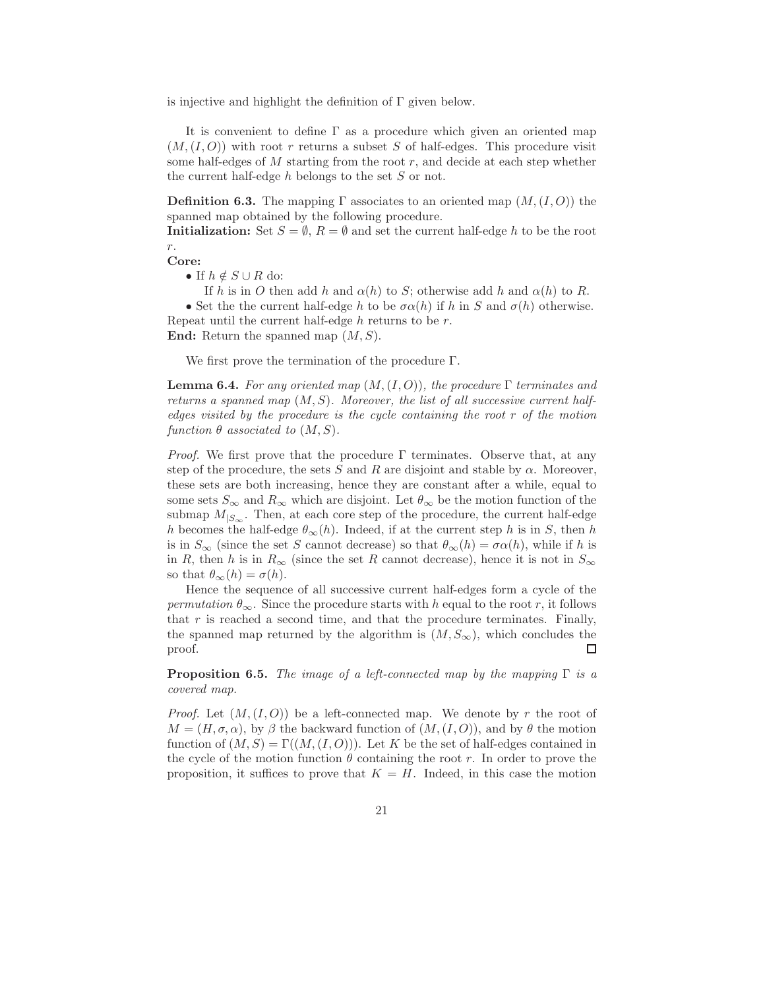is injective and highlight the definition of  $\Gamma$  given below.

It is convenient to define  $\Gamma$  as a procedure which given an oriented map  $(M,(I,O))$  with root r returns a subset S of half-edges. This procedure visit some half-edges of  $M$  starting from the root  $r$ , and decide at each step whether the current half-edge  $h$  belongs to the set  $S$  or not.

**Definition 6.3.** The mapping  $\Gamma$  associates to an oriented map  $(M,(I,O))$  the spanned map obtained by the following procedure.

**Initialization:** Set  $S = \emptyset$ ,  $R = \emptyset$  and set the current half-edge h to be the root r.

Core:

• If  $h \notin S \cup R$  do:

If h is in O then add h and  $\alpha(h)$  to S; otherwise add h and  $\alpha(h)$  to R.

• Set the the current half-edge h to be  $\sigma \alpha(h)$  if h in S and  $\sigma(h)$  otherwise. Repeat until the current half-edge  $h$  returns to be  $r$ .

**End:** Return the spanned map  $(M, S)$ .

We first prove the termination of the procedure Γ.

**Lemma 6.4.** For any oriented map  $(M,(I,O))$ , the procedure  $\Gamma$  terminates and returns a spanned map  $(M, S)$ . Moreover, the list of all successive current halfedges visited by the procedure is the cycle containing the root r of the motion function  $\theta$  associated to  $(M, S)$ .

*Proof.* We first prove that the procedure  $\Gamma$  terminates. Observe that, at any step of the procedure, the sets S and R are disjoint and stable by  $\alpha$ . Moreover, these sets are both increasing, hence they are constant after a while, equal to some sets  $S_{\infty}$  and  $R_{\infty}$  which are disjoint. Let  $\theta_{\infty}$  be the motion function of the submap  $M_{|S_{\infty}}$ . Then, at each core step of the procedure, the current half-edge h becomes the half-edge  $\theta_{\infty}(h)$ . Indeed, if at the current step h is in S, then h is in  $S_{\infty}$  (since the set S cannot decrease) so that  $\theta_{\infty}(h) = \sigma \alpha(h)$ , while if h is in R, then h is in  $R_{\infty}$  (since the set R cannot decrease), hence it is not in  $S_{\infty}$ so that  $\theta_{\infty}(h) = \sigma(h)$ .

Hence the sequence of all successive current half-edges form a cycle of the permutation  $\theta_{\infty}$ . Since the procedure starts with h equal to the root r, it follows that  $r$  is reached a second time, and that the procedure terminates. Finally, the spanned map returned by the algorithm is  $(M, S_{\infty})$ , which concludes the proof. □

**Proposition 6.5.** The image of a left-connected map by the mapping  $\Gamma$  is a covered map.

*Proof.* Let  $(M, (I, O))$  be a left-connected map. We denote by r the root of  $M = (H, \sigma, \alpha)$ , by  $\beta$  the backward function of  $(M, (I, O))$ , and by  $\theta$  the motion function of  $(M, S) = \Gamma((M, (I, O)))$ . Let K be the set of half-edges contained in the cycle of the motion function  $\theta$  containing the root r. In order to prove the proposition, it suffices to prove that  $K = H$ . Indeed, in this case the motion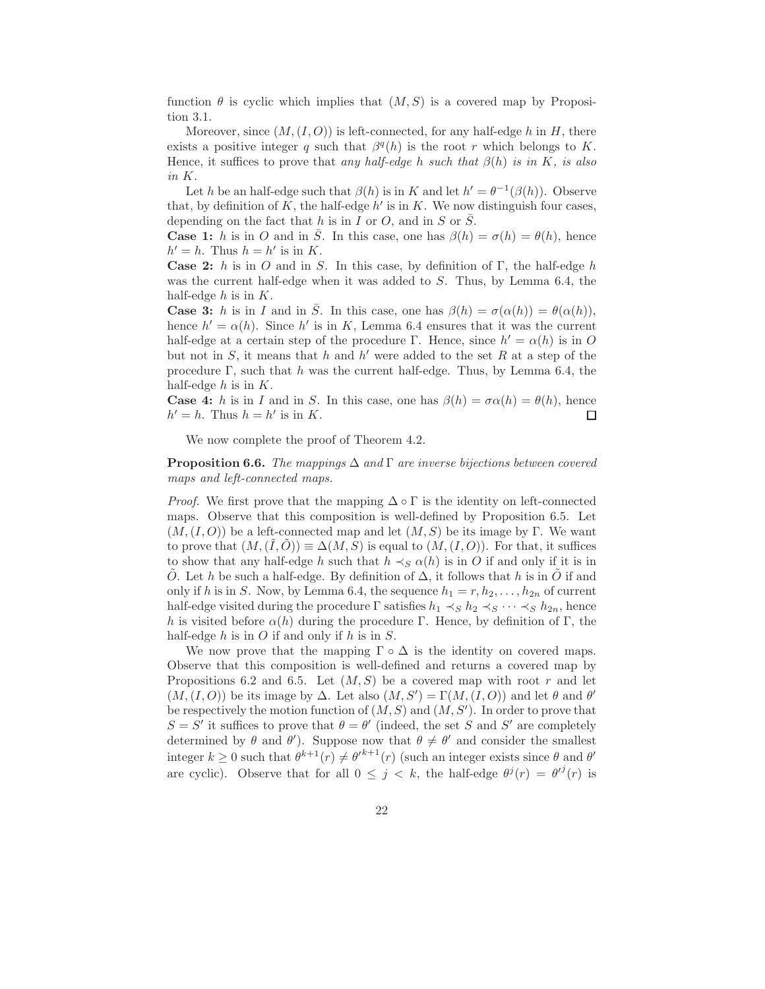function  $\theta$  is cyclic which implies that  $(M, S)$  is a covered map by Proposition 3.1.

Moreover, since  $(M,(I, O))$  is left-connected, for any half-edge h in H, there exists a positive integer q such that  $\beta^q(h)$  is the root r which belongs to K. Hence, it suffices to prove that any half-edge h such that  $\beta(h)$  is in K, is also in K.

Let h be an half-edge such that  $\beta(h)$  is in K and let  $h' = \theta^{-1}(\beta(h))$ . Observe that, by definition of  $K$ , the half-edge  $h'$  is in  $K$ . We now distinguish four cases, depending on the fact that h is in I or O, and in S or  $\overline{S}$ .

**Case 1:** h is in O and in  $\overline{S}$ . In this case, one has  $\beta(h) = \sigma(h) = \theta(h)$ , hence  $h' = h$ . Thus  $h = h'$  is in K.

Case 2: h is in O and in S. In this case, by definition of  $\Gamma$ , the half-edge h was the current half-edge when it was added to S. Thus, by Lemma 6.4, the half-edge  $h$  is in  $K$ .

**Case 3:** h is in I and in  $\overline{S}$ . In this case, one has  $\beta(h) = \sigma(\alpha(h)) = \theta(\alpha(h)),$ hence  $h' = \alpha(h)$ . Since h' is in K, Lemma 6.4 ensures that it was the current half-edge at a certain step of the procedure Γ. Hence, since  $h' = \alpha(h)$  is in O but not in  $S$ , it means that  $h$  and  $h'$  were added to the set  $R$  at a step of the procedure Γ, such that h was the current half-edge. Thus, by Lemma 6.4, the half-edge  $h$  is in  $K$ .

**Case 4:** h is in I and in S. In this case, one has  $\beta(h) = \sigma \alpha(h) = \theta(h)$ , hence  $h' = h$ . Thus  $h = h'$  is in K.  $\Box$ 

We now complete the proof of Theorem 4.2.

**Proposition 6.6.** The mappings  $\Delta$  and  $\Gamma$  are inverse bijections between covered maps and left-connected maps.

*Proof.* We first prove that the mapping  $\Delta \circ \Gamma$  is the identity on left-connected maps. Observe that this composition is well-defined by Proposition 6.5. Let  $(M,(I,O))$  be a left-connected map and let  $(M, S)$  be its image by Γ. We want to prove that  $(M,(\tilde{I},\tilde{O})) \equiv \Delta(M,S)$  is equal to  $(M,(I,O))$ . For that, it suffices to show that any half-edge h such that  $h \prec_S \alpha(h)$  is in O if and only if it is in O. Let h be such a half-edge. By definition of  $\Delta$ , it follows that h is in O if and only if h is in S. Now, by Lemma 6.4, the sequence  $h_1 = r, h_2, \ldots, h_{2n}$  of current half-edge visited during the procedure  $\Gamma$  satisfies  $h_1 \prec_S h_2 \prec_S \cdots \prec_S h_{2n}$ , hence h is visited before  $\alpha(h)$  during the procedure Γ. Hence, by definition of Γ, the half-edge  $h$  is in  $O$  if and only if  $h$  is in  $S$ .

We now prove that the mapping  $\Gamma \circ \Delta$  is the identity on covered maps. Observe that this composition is well-defined and returns a covered map by Propositions 6.2 and 6.5. Let  $(M, S)$  be a covered map with root r and let  $(M,(I,O))$  be its image by  $\Delta$ . Let also  $(M, S') = \Gamma(M,(I,O))$  and let  $\theta$  and  $\theta'$ be respectively the motion function of  $(M, S)$  and  $(M, S')$ . In order to prove that  $S = S'$  it suffices to prove that  $\theta = \theta'$  (indeed, the set S and S' are completely determined by  $\theta$  and  $\theta'$ ). Suppose now that  $\theta \neq \theta'$  and consider the smallest integer  $k \ge 0$  such that  $\theta^{k+1}(r) \ne \theta'^{k+1}(r)$  (such an integer exists since  $\theta$  and  $\theta'$ are cyclic). Observe that for all  $0 \leq j \leq k$ , the half-edge  $\theta^{j}(r) = \theta'^{j}(r)$  is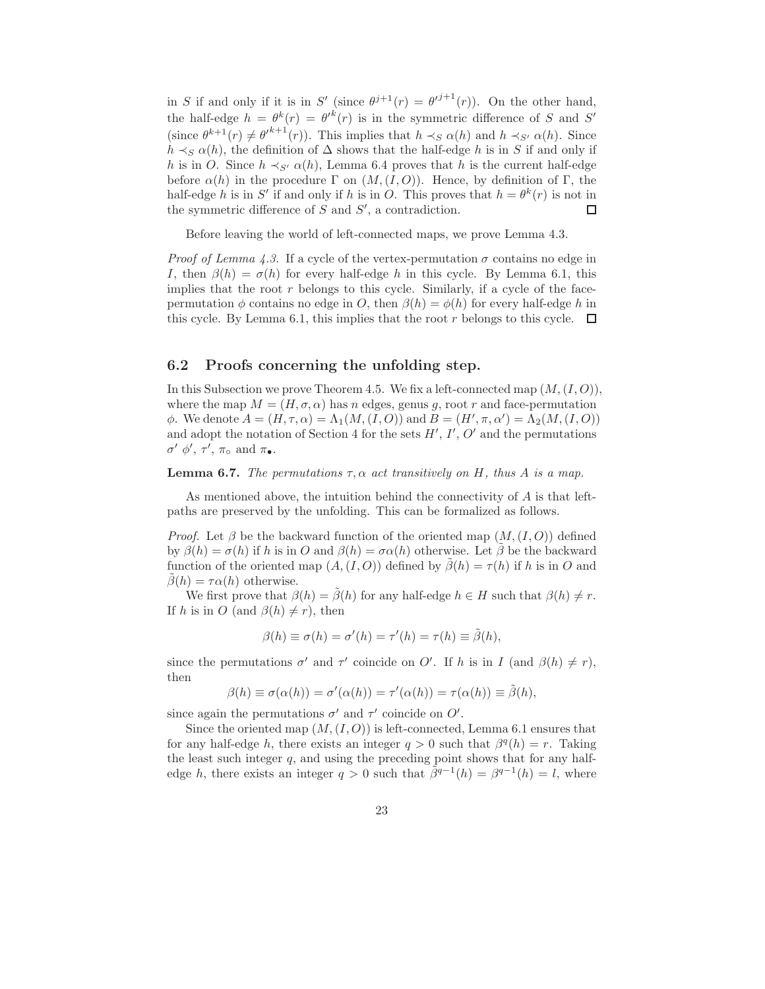in S if and only if it is in S' (since  $\theta^{j+1}(r) = \theta'^{j+1}(r)$ ). On the other hand, the half-edge  $h = \theta^k(r) = {\theta'}^k(r)$  is in the symmetric difference of S and S' (since  $\theta^{k+1}(r) \neq {\theta'}^{k+1}(r)$ ). This implies that  $h \prec_S \alpha(h)$  and  $h \prec_{S'} \alpha(h)$ . Since  $h \prec_S \alpha(h)$ , the definition of  $\Delta$  shows that the half-edge h is in S if and only if h is in O. Since  $h \prec_{S'} \alpha(h)$ , Lemma 6.4 proves that h is the current half-edge before  $\alpha(h)$  in the procedure  $\Gamma$  on  $(M,(I,O))$ . Hence, by definition of  $\Gamma$ , the half-edge h is in S' if and only if h is in O. This proves that  $h = \theta^k(r)$  is not in the symmetric difference of  $S$  and  $S'$ , a contradiction. □

Before leaving the world of left-connected maps, we prove Lemma 4.3.

*Proof of Lemma 4.3.* If a cycle of the vertex-permutation  $\sigma$  contains no edge in I, then  $\beta(h) = \sigma(h)$  for every half-edge h in this cycle. By Lemma 6.1, this implies that the root  $r$  belongs to this cycle. Similarly, if a cycle of the facepermutation  $\phi$  contains no edge in O, then  $\beta(h) = \phi(h)$  for every half-edge h in this cycle. By Lemma 6.1, this implies that the root r belongs to this cycle.  $\Box$ 

#### 6.2 Proofs concerning the unfolding step.

In this Subsection we prove Theorem 4.5. We fix a left-connected map  $(M,(I,O))$ , where the map  $M = (H, \sigma, \alpha)$  has n edges, genus g, root r and face-permutation φ. We denote  $A = (H, \tau, \alpha) = \Lambda_1(M, (I, O))$  and  $B = (H', \pi, \alpha') = \Lambda_2(M, (I, O))$ and adopt the notation of Section 4 for the sets  $H', I', O'$  and the permutations  $\sigma'$   $\phi', \tau', \pi_{\circ}$  and  $\pi_{\bullet}$ .

**Lemma 6.7.** The permutations  $\tau$ ,  $\alpha$  act transitively on H, thus A is a map.

As mentioned above, the intuition behind the connectivity of  $A$  is that leftpaths are preserved by the unfolding. This can be formalized as follows.

*Proof.* Let  $\beta$  be the backward function of the oriented map  $(M,(I,O))$  defined by  $\beta(h) = \sigma(h)$  if h is in O and  $\beta(h) = \sigma(\alpha(h))$  otherwise. Let  $\beta$  be the backward function of the oriented map  $(A,(I,O))$  defined by  $\beta(h) = \tau(h)$  if h is in O and  $\beta(h) = \tau \alpha(h)$  otherwise.

We first prove that  $\beta(h) = \beta(h)$  for any half-edge  $h \in H$  such that  $\beta(h) \neq r$ . If h is in O (and  $\beta(h) \neq r$ ), then

$$
\beta(h) \equiv \sigma(h) = \sigma'(h) = \tau'(h) = \tau(h) \equiv \tilde{\beta}(h),
$$

since the permutations  $\sigma'$  and  $\tau'$  coincide on O'. If h is in I (and  $\beta(h) \neq r$ ), then

$$
\beta(h) \equiv \sigma(\alpha(h)) = \sigma'(\alpha(h)) = \tau'(\alpha(h)) = \tau(\alpha(h)) \equiv \tilde{\beta}(h),
$$

since again the permutations  $\sigma'$  and  $\tau'$  coincide on  $O'$ .

Since the oriented map  $(M,(I,O))$  is left-connected, Lemma 6.1 ensures that for any half-edge h, there exists an integer  $q > 0$  such that  $\beta^q(h) = r$ . Taking the least such integer  $q$ , and using the preceding point shows that for any halfedge h, there exists an integer  $q > 0$  such that  $\tilde{\beta}^{q-1}(h) = \beta^{q-1}(h) = l$ , where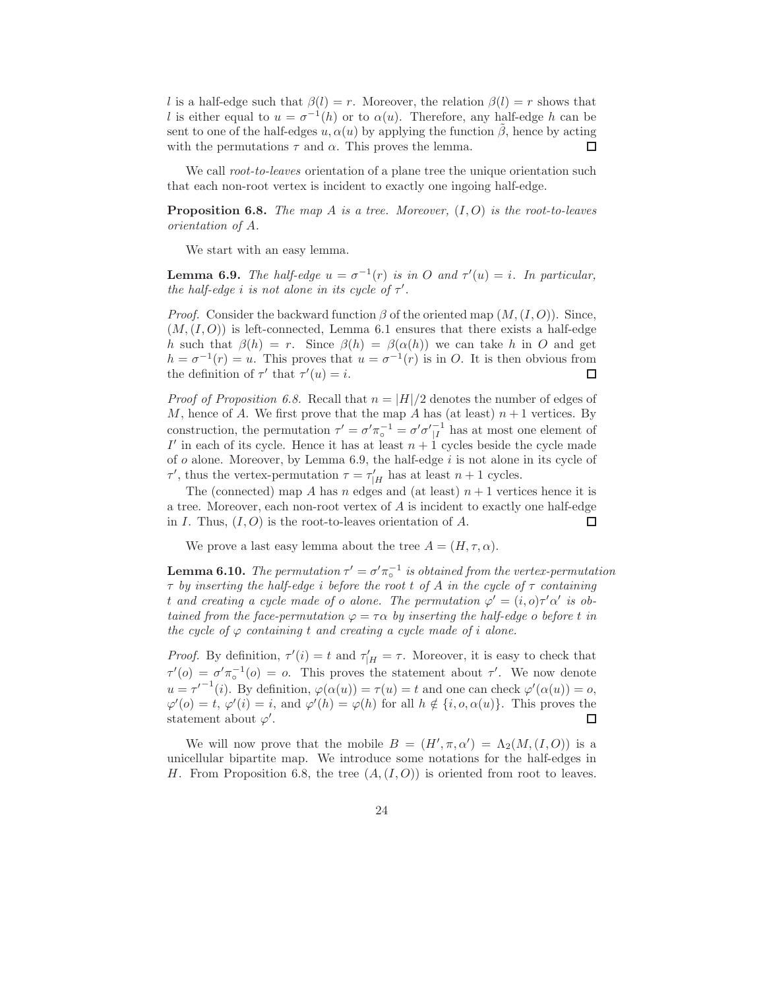l is a half-edge such that  $\beta(l) = r$ . Moreover, the relation  $\beta(l) = r$  shows that l is either equal to  $u = \sigma^{-1}(h)$  or to  $\alpha(u)$ . Therefore, any half-edge h can be sent to one of the half-edges  $u, \alpha(u)$  by applying the function  $\tilde{\beta}$ , hence by acting with the permutations  $\tau$  and  $\alpha$ . This proves the lemma. П

We call root-to-leaves orientation of a plane tree the unique orientation such that each non-root vertex is incident to exactly one ingoing half-edge.

**Proposition 6.8.** The map A is a tree. Moreover,  $(I, O)$  is the root-to-leaves orientation of A.

We start with an easy lemma.

**Lemma 6.9.** The half-edge  $u = \sigma^{-1}(r)$  is in O and  $\tau'(u) = i$ . In particular, the half-edge i is not alone in its cycle of  $\tau'$ .

*Proof.* Consider the backward function  $\beta$  of the oriented map  $(M,(I,O))$ . Since,  $(M,(I,O))$  is left-connected, Lemma 6.1 ensures that there exists a half-edge h such that  $\beta(h) = r$ . Since  $\beta(h) = \beta(\alpha(h))$  we can take h in O and get  $h = \sigma^{-1}(r) = u$ . This proves that  $u = \sigma^{-1}(r)$  is in O. It is then obvious from the definition of  $\tau'$  that  $\tau'(u) = i$ . □

*Proof of Proposition 6.8.* Recall that  $n = |H|/2$  denotes the number of edges of M, hence of A. We first prove that the map A has (at least)  $n+1$  vertices. By construction, the permutation  $\tau' = \sigma' \pi_{\circ}^{-1} = \sigma' \sigma'_{|I}^{-1}$  has at most one element of I' in each of its cycle. Hence it has at least  $n + 1$  cycles beside the cycle made of  $o$  alone. Moreover, by Lemma 6.9, the half-edge  $i$  is not alone in its cycle of  $\tau'$ , thus the vertex-permutation  $\tau = \tau'_{|H}$  has at least  $n + 1$  cycles.

The (connected) map A has n edges and (at least)  $n + 1$  vertices hence it is a tree. Moreover, each non-root vertex of  $A$  is incident to exactly one half-edge in I. Thus,  $(I, O)$  is the root-to-leaves orientation of A.  $\Box$ 

We prove a last easy lemma about the tree  $A = (H, \tau, \alpha)$ .

**Lemma 6.10.** The permutation  $\tau' = \sigma' \pi_o^{-1}$  is obtained from the vertex-permutation  $\tau$  by inserting the half-edge i before the root t of A in the cycle of  $\tau$  containing t and creating a cycle made of o alone. The permutation  $\varphi' = (i, o)\tau' \alpha'$  is obtained from the face-permutation  $\varphi = \tau \alpha$  by inserting the half-edge o before t in the cycle of  $\varphi$  containing t and creating a cycle made of i alone.

*Proof.* By definition,  $\tau'(i) = t$  and  $\tau'_{|H} = \tau$ . Moreover, it is easy to check that  $\tau'(o) = \sigma' \pi_o^{-1}(o) = o$ . This proves the statement about  $\tau'$ . We now denote  $u = \tau^{-1}(i)$ . By definition,  $\varphi(\alpha(u)) = \tau(u) = t$  and one can check  $\varphi'(\alpha(u)) = o$ ,  $\varphi'(o) = t, \varphi'(i) = i$ , and  $\varphi'(h) = \varphi(h)$  for all  $h \notin \{i, o, \alpha(u)\}$ . This proves the statement about  $\varphi'$ .

We will now prove that the mobile  $B = (H', \pi, \alpha') = \Lambda_2(M, (I, O))$  is a unicellular bipartite map. We introduce some notations for the half-edges in H. From Proposition 6.8, the tree  $(A,(I,O))$  is oriented from root to leaves.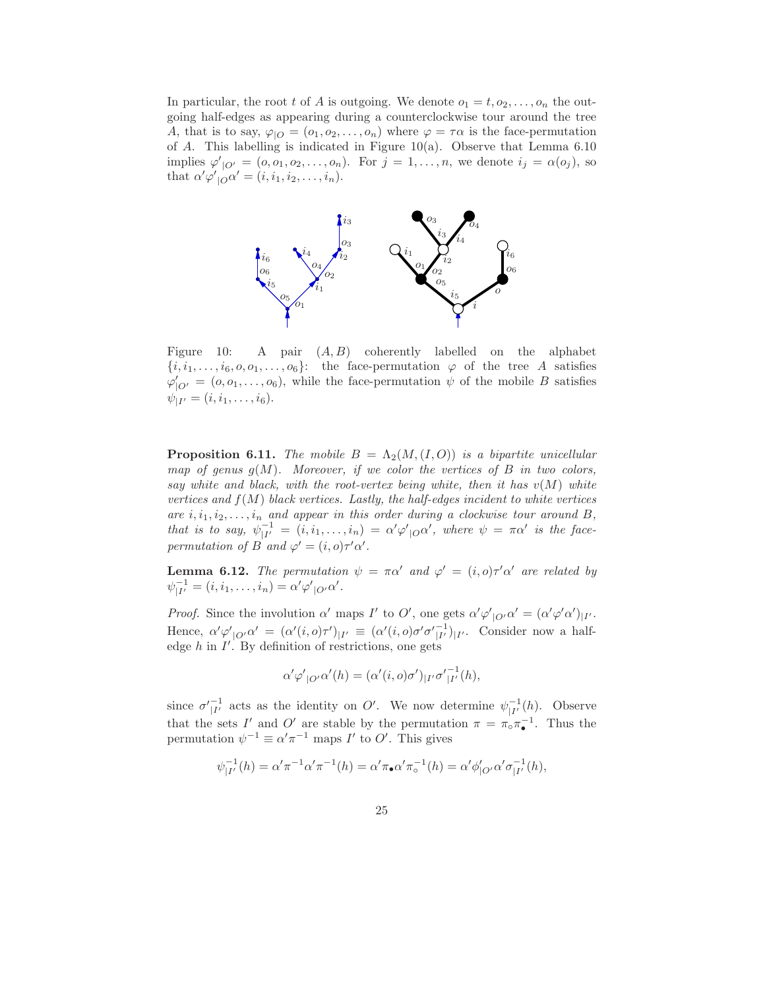In particular, the root t of A is outgoing. We denote  $o_1 = t, o_2, \ldots, o_n$  the outgoing half-edges as appearing during a counterclockwise tour around the tree A, that is to say,  $\varphi_{\text{1O}} = (o_1, o_2, \dots, o_n)$  where  $\varphi = \tau \alpha$  is the face-permutation of A. This labelling is indicated in Figure 10(a). Observe that Lemma  $6.10$ implies  $\varphi'_{\vert O'} = (0, 0, 0, 0, \ldots, 0, n)$ . For  $j = 1, \ldots, n$ , we denote  $i_j = \alpha(o_j)$ , so that  $\alpha' \varphi'_{\vert \mathcal{O}} \alpha' = (i, i_1, i_2, \ldots, i_n).$ 



Figure 10: A pair  $(A, B)$  coherently labelled on the alphabet  ${i, i_1, \ldots, i_6, o, o_1, \ldots, o_6}$ : the face-permutation  $\varphi$  of the tree A satisfies  $\varphi'_{|O'} = (0, 0, \ldots, 0, 0)$ , while the face-permutation  $\psi$  of the mobile B satisfies  $\psi_{|I'} = (i, i_1, \ldots, i_6).$ 

**Proposition 6.11.** The mobile  $B = \Lambda_2(M,(I, O))$  is a bipartite unicellular map of genus  $g(M)$ . Moreover, if we color the vertices of B in two colors, say white and black, with the root-vertex being white, then it has  $v(M)$  white vertices and  $f(M)$  black vertices. Lastly, the half-edges incident to white vertices are  $i, i_1, i_2, \ldots, i_n$  and appear in this order during a clockwise tour around B, that is to say,  $\psi_{|I'}^{-1} = (i, i_1, \ldots, i_n) = \alpha' \varphi'_{|O} \alpha'$ , where  $\psi = \pi \alpha'$  is the facepermutation of B and  $\varphi' = (i, o)\tau'\alpha'$ .

**Lemma 6.12.** The permutation  $\psi = \pi \alpha'$  and  $\varphi' = (i, o) \tau' \alpha'$  are related by  $\psi_{|I'}^{-1} = (i, i_1, \dots, i_n) = \alpha' \varphi'_{|O'} \alpha'.$ 

*Proof.* Since the involution  $\alpha'$  maps  $I'$  to  $O'$ , one gets  $\alpha' \varphi'_{|O'} \alpha' = (\alpha' \varphi' \alpha')_{|I'}$ . Hence,  $\alpha' \varphi'_{|\mathcal{O}'} \alpha' = (\alpha'(i, o)\tau')_{|I'} \equiv (\alpha'(i, o)\sigma' \sigma'_{|I'})_{|I'}$ . Consider now a halfedge  $h$  in  $I'$ . By definition of restrictions, one gets

$$
\alpha' \varphi'_{|O'} \alpha'(h) = (\alpha'(i, o)\sigma')_{|I'} \sigma'^{-1}_{|I'}(h),
$$

since  $\sigma_{|I'}^{-1}$  acts as the identity on O'. We now determine  $\psi_{|I'}^{-1}(h)$ . Observe that the sets I' and O' are stable by the permutation  $\pi = \pi_{\circ} \pi_{\bullet}^{-1}$ . Thus the permutation  $\psi^{-1} \equiv \alpha' \pi^{-1}$  maps  $I'$  to  $O'$ . This gives

$$
\psi_{|I'}^{-1}(h) = \alpha' \pi^{-1} \alpha' \pi^{-1}(h) = \alpha' \pi_{\bullet} \alpha' \pi_{\circ}^{-1}(h) = \alpha' \phi'_{|O'} \alpha' \sigma_{|I'}^{-1}(h),
$$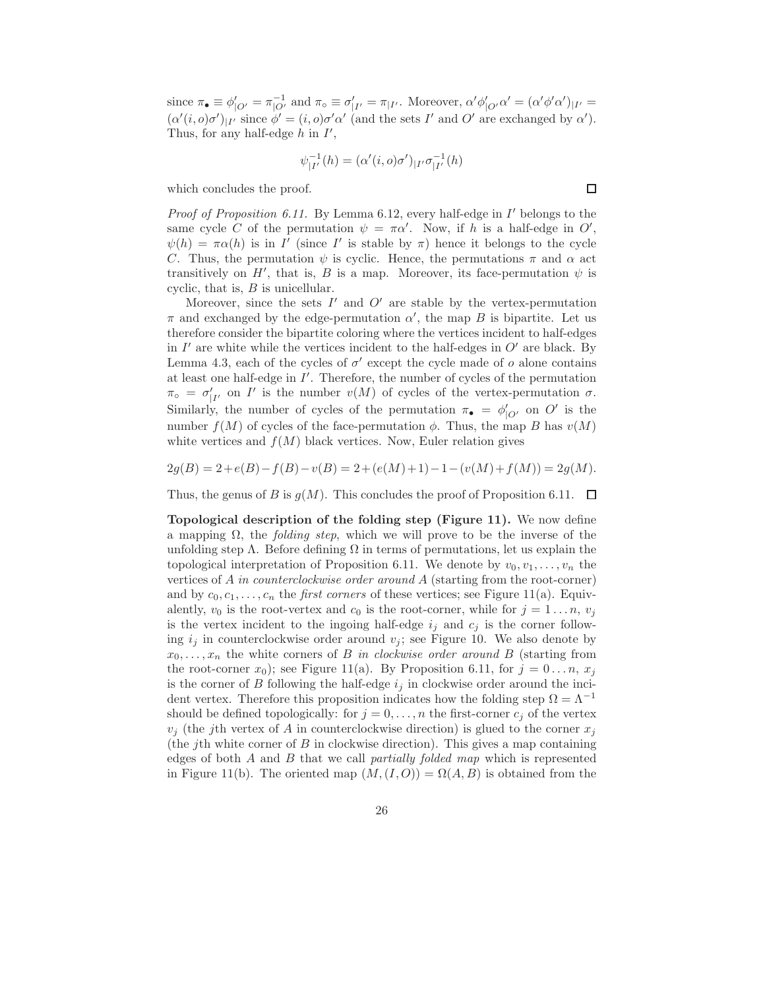since  $\pi_{\bullet} \equiv \phi'_{|O'} = \pi_{|O'}^{-1}$  and  $\pi_{\circ} \equiv \sigma'_{|I'} = \pi_{|I'}$ . Moreover,  $\alpha' \phi'_{|O'} \alpha' = (\alpha' \phi' \alpha')_{|I'} =$  $(\alpha'(i, o)\sigma')_{|I'}$  since  $\phi' = (i, o)\sigma'\alpha'$  (and the sets I' and O' are exchanged by  $\alpha'$ ). Thus, for any half-edge  $h$  in  $I'$ ,

$$
\psi_{|I'}^{-1}(h) = (\alpha'(i, o)\sigma')_{|I'} \sigma_{|I'}^{-1}(h)
$$

 $\Box$ 

which concludes the proof.

Proof of Proposition 6.11. By Lemma 6.12, every half-edge in I' belongs to the same cycle C of the permutation  $\psi = \pi \alpha'$ . Now, if h is a half-edge in O',  $\psi(h) = \pi \alpha(h)$  is in I' (since I' is stable by  $\pi$ ) hence it belongs to the cycle C. Thus, the permutation  $\psi$  is cyclic. Hence, the permutations  $\pi$  and  $\alpha$  act transitively on  $H'$ , that is, B is a map. Moreover, its face-permutation  $\psi$  is cyclic, that is,  $B$  is unicellular.

Moreover, since the sets  $I'$  and  $O'$  are stable by the vertex-permutation  $\pi$  and exchanged by the edge-permutation  $\alpha'$ , the map B is bipartite. Let us therefore consider the bipartite coloring where the vertices incident to half-edges in  $I'$  are white while the vertices incident to the half-edges in  $O'$  are black. By Lemma 4.3, each of the cycles of  $\sigma'$  except the cycle made of  $o$  alone contains at least one half-edge in I ′ . Therefore, the number of cycles of the permutation  $\pi_{\circ} = \sigma'_{|I'}$  on I' is the number  $v(M)$  of cycles of the vertex-permutation  $\sigma$ . Similarly, the number of cycles of the permutation  $\pi_{\bullet} = \phi'_{|O'}$  on O' is the number  $f(M)$  of cycles of the face-permutation  $\phi$ . Thus, the map B has  $v(M)$ white vertices and  $f(M)$  black vertices. Now, Euler relation gives

$$
2g(B) = 2 + e(B) - f(B) - v(B) = 2 + (e(M) + 1) - 1 - (v(M) + f(M)) = 2g(M).
$$

Thus, the genus of B is  $g(M)$ . This concludes the proof of Proposition 6.11.  $\Box$ 

Topological description of the folding step (Figure 11). We now define a mapping  $\Omega$ , the *folding step*, which we will prove to be the inverse of the unfolding step  $\Lambda$ . Before defining  $\Omega$  in terms of permutations, let us explain the topological interpretation of Proposition 6.11. We denote by  $v_0, v_1, \ldots, v_n$  the vertices of A in counterclockwise order around A (starting from the root-corner) and by  $c_0, c_1, \ldots, c_n$  the *first corners* of these vertices; see Figure 11(a). Equivalently,  $v_0$  is the root-vertex and  $c_0$  is the root-corner, while for  $j = 1 \dots n$ ,  $v_j$ is the vertex incident to the ingoing half-edge  $i_j$  and  $c_j$  is the corner following  $i_j$  in counterclockwise order around  $v_j$ ; see Figure 10. We also denote by  $x_0, \ldots, x_n$  the white corners of B in clockwise order around B (starting from the root-corner  $x_0$ ); see Figure 11(a). By Proposition 6.11, for  $j = 0 \ldots n$ ,  $x_j$ is the corner of B following the half-edge  $i_j$  in clockwise order around the incident vertex. Therefore this proposition indicates how the folding step  $\Omega = \Lambda^{-1}$ should be defined topologically: for  $j = 0, \ldots, n$  the first-corner  $c_j$  of the vertex  $v_i$  (the j<sup>th</sup> vertex of A in counterclockwise direction) is glued to the corner  $x_i$ (the *j*th white corner of  $B$  in clockwise direction). This gives a map containing edges of both  $A$  and  $B$  that we call partially folded map which is represented in Figure 11(b). The oriented map  $(M,(I,O)) = \Omega(A, B)$  is obtained from the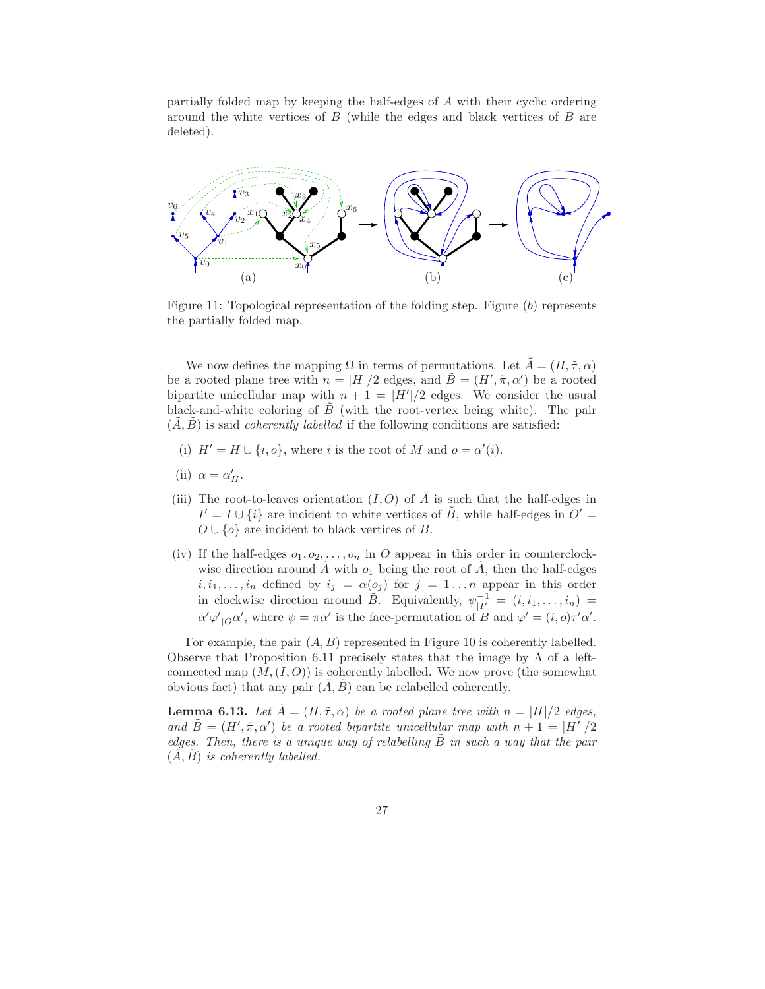partially folded map by keeping the half-edges of A with their cyclic ordering around the white vertices of  $B$  (while the edges and black vertices of  $B$  are deleted).



Figure 11: Topological representation of the folding step. Figure (b) represents the partially folded map.

We now defines the mapping  $\Omega$  in terms of permutations. Let  $\tilde{A} = (H, \tilde{\tau}, \alpha)$ be a rooted plane tree with  $n = |H|/2$  edges, and  $\tilde{B} = (H', \tilde{\pi}, \alpha')$  be a rooted bipartite unicellular map with  $n + 1 = |H'|/2$  edges. We consider the usual black-and-white coloring of  $\ddot{B}$  (with the root-vertex being white). The pair  $(\tilde{A}, \tilde{B})$  is said *coherently labelled* if the following conditions are satisfied:

- (i)  $H' = H \cup \{i, o\}$ , where i is the root of M and  $o = \alpha'(i)$ .
- (ii)  $\alpha = \alpha'_H$ .
- (iii) The root-to-leaves orientation  $(I, O)$  of  $\tilde{A}$  is such that the half-edges in  $I' = I \cup \{i\}$  are incident to white vertices of  $\tilde{B}$ , while half-edges in  $O' =$  $O \cup \{o\}$  are incident to black vertices of B.
- (iv) If the half-edges  $o_1, o_2, \ldots, o_n$  in O appear in this order in counterclockwise direction around  $\tilde{A}$  with  $o_1$  being the root of  $\tilde{A}$ , then the half-edges  $i, i_1, \ldots, i_n$  defined by  $i_j = \alpha(o_j)$  for  $j = 1 \ldots n$  appear in this order in clockwise direction around  $\tilde{B}$ . Equivalently,  $\psi_{|I'}^{-1} = (i, i_1, \ldots, i_n) =$  $\alpha' \varphi'_{\vert O} \alpha'$ , where  $\psi = \pi \alpha'$  is the face-permutation of B and  $\varphi' = (i, o) \tau' \alpha'$ .

For example, the pair  $(A, B)$  represented in Figure 10 is coherently labelled. Observe that Proposition 6.11 precisely states that the image by  $\Lambda$  of a leftconnected map  $(M,(I,O))$  is coherently labelled. We now prove (the somewhat obvious fact) that any pair  $(\tilde{A}, \tilde{B})$  can be relabelled coherently.

**Lemma 6.13.** Let  $\tilde{A} = (H, \tilde{\tau}, \alpha)$  be a rooted plane tree with  $n = |H|/2$  edges, and  $\tilde{B} = (H', \tilde{\pi}, \alpha')$  be a rooted bipartite unicellular map with  $n + 1 = |H'|/2$ edges. Then, there is a unique way of relabelling  $\ddot{B}$  in such a way that the pair  $(A, B)$  is coherently labelled.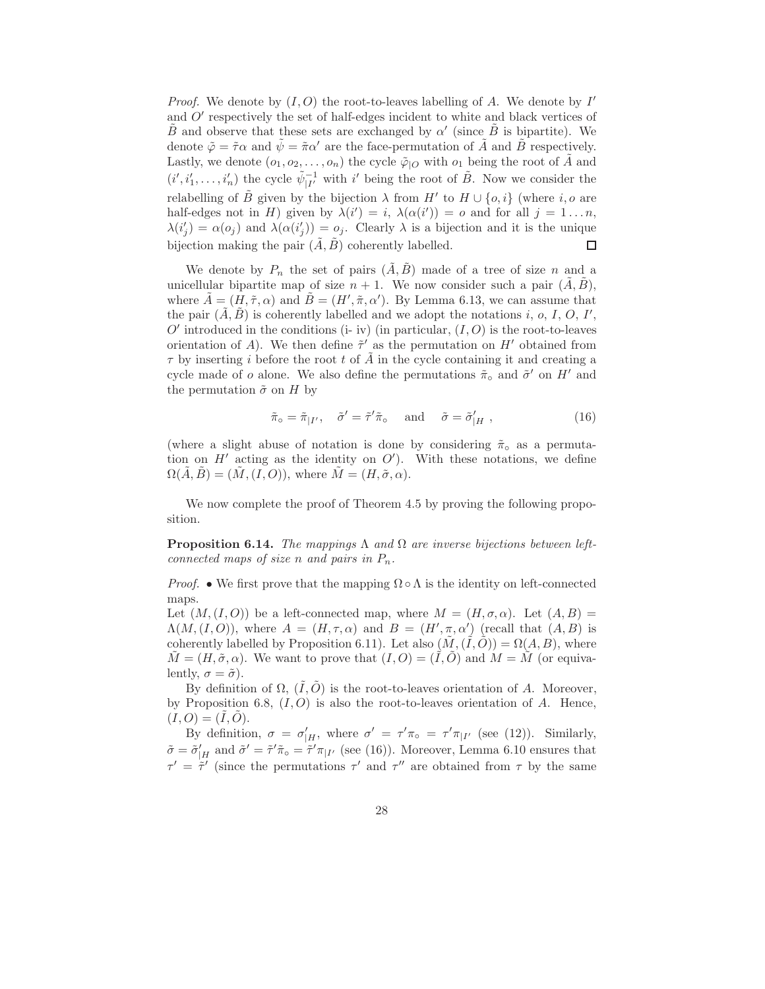*Proof.* We denote by  $(I, O)$  the root-to-leaves labelling of A. We denote by  $I'$ and  $O'$  respectively the set of half-edges incident to white and black vertices of  $\tilde{B}$  and observe that these sets are exchanged by  $\alpha'$  (since  $\tilde{B}$  is bipartite). We denote  $\tilde{\varphi} = \tilde{\tau}\alpha$  and  $\psi = \tilde{\pi}\alpha'$  are the face-permutation of A and B respectively. Lastly, we denote  $(o_1, o_2, \ldots, o_n)$  the cycle  $\tilde{\varphi}|_O$  with  $o_1$  being the root of A and  $(i', i'_1, \ldots, i'_n)$  the cycle  $\tilde{\psi}_{|I'}^{-1}$  with i' being the root of  $\tilde{B}$ . Now we consider the relabelling of  $\tilde{B}$  given by the bijection  $\lambda$  from  $H'$  to  $H \cup \{o, i\}$  (where  $i, o$  are half-edges not in H) given by  $\lambda(i') = i$ ,  $\lambda(\alpha(i')) = o$  and for all  $j = 1...n$ ,  $\lambda(i'_j) = \alpha(o_j)$  and  $\lambda(\alpha(i'_j)) = o_j$ . Clearly  $\lambda$  is a bijection and it is the unique bijection making the pair  $(\tilde{A}, \tilde{B})$  coherently labelled.  $\Box$ 

We denote by  $P_n$  the set of pairs  $(\tilde{A}, \tilde{B})$  made of a tree of size n and a unicellular bipartite map of size  $n + 1$ . We now consider such a pair  $(\tilde{A}, \tilde{B})$ , where  $\tilde{A} = (\tilde{H}, \tilde{\tau}, \alpha)$  and  $\tilde{B} = (H', \tilde{\pi}, \alpha')$ . By Lemma 6.13, we can assume that the pair  $(\tilde{A}, \tilde{B})$  is coherently labelled and we adopt the notations i, o, I, O, I',  $O'$  introduced in the conditions (i- iv) (in particular,  $(I, O)$  is the root-to-leaves orientation of A). We then define  $\tilde{\tau}'$  as the permutation on H' obtained from  $\tau$  by inserting i before the root t of  $\tilde{A}$  in the cycle containing it and creating a cycle made of  $o$  alone. We also define the permutations  $\tilde{\pi}_{\circ}$  and  $\tilde{\sigma}'$  on  $H'$  and the permutation  $\tilde{\sigma}$  on H by

$$
\tilde{\pi}_{\circ} = \tilde{\pi}_{|I'}, \quad \tilde{\sigma}' = \tilde{\tau}' \tilde{\pi}_{\circ} \quad \text{and} \quad \tilde{\sigma} = \tilde{\sigma}'_{|H} , \tag{16}
$$

(where a slight abuse of notation is done by considering  $\tilde{\pi}_{\circ}$  as a permutation on  $H'$  acting as the identity on  $O'$ ). With these notations, we define  $\Omega(A, B) = (M, (I, O)),$  where  $M = (H, \tilde{\sigma}, \alpha)$ .

We now complete the proof of Theorem 4.5 by proving the following proposition.

**Proposition 6.14.** The mappings  $\Lambda$  and  $\Omega$  are inverse bijections between leftconnected maps of size n and pairs in  $P_n$ .

*Proof.* • We first prove that the mapping  $\Omega \circ \Lambda$  is the identity on left-connected maps.

Let  $(M,(I,O))$  be a left-connected map, where  $M = (H,\sigma,\alpha)$ . Let  $(A,B)$  $\Lambda(M,(I,O))$ , where  $A = (H,\tau,\alpha)$  and  $B = (H',\pi,\alpha')$  (recall that  $(A,B)$  is coherently labelled by Proposition 6.11). Let also  $(\tilde{M}, (\tilde{I}, \tilde{O})) = \Omega(A, B)$ , where  $\tilde{M} = (H, \tilde{\sigma}, \alpha)$ . We want to prove that  $(I, O) = (\tilde{I}, \tilde{O})$  and  $M = \tilde{M}$  (or equivalently,  $\sigma = \tilde{\sigma}$ ).

By definition of  $\Omega$ ,  $(\tilde{I}, \tilde{O})$  is the root-to-leaves orientation of A. Moreover, by Proposition 6.8,  $(I, O)$  is also the root-to-leaves orientation of A. Hence,  $(I, O) = (I, O).$ 

By definition,  $\sigma = \sigma'_{|H}$ , where  $\sigma' = \tau' \pi_{\circ} = \tau' \pi_{|I'}$  (see (12)). Similarly,  $\tilde{\sigma} = \tilde{\sigma}'_{|H}$  and  $\tilde{\sigma}' = \tilde{\tau}' \tilde{\pi}_{\circ} = \tilde{\tau}' \pi_{|I'}$  (see (16)). Moreover, Lemma 6.10 ensures that  $\tau' = \tilde{\tau}'$  (since the permutations  $\tau'$  and  $\tau''$  are obtained from  $\tau$  by the same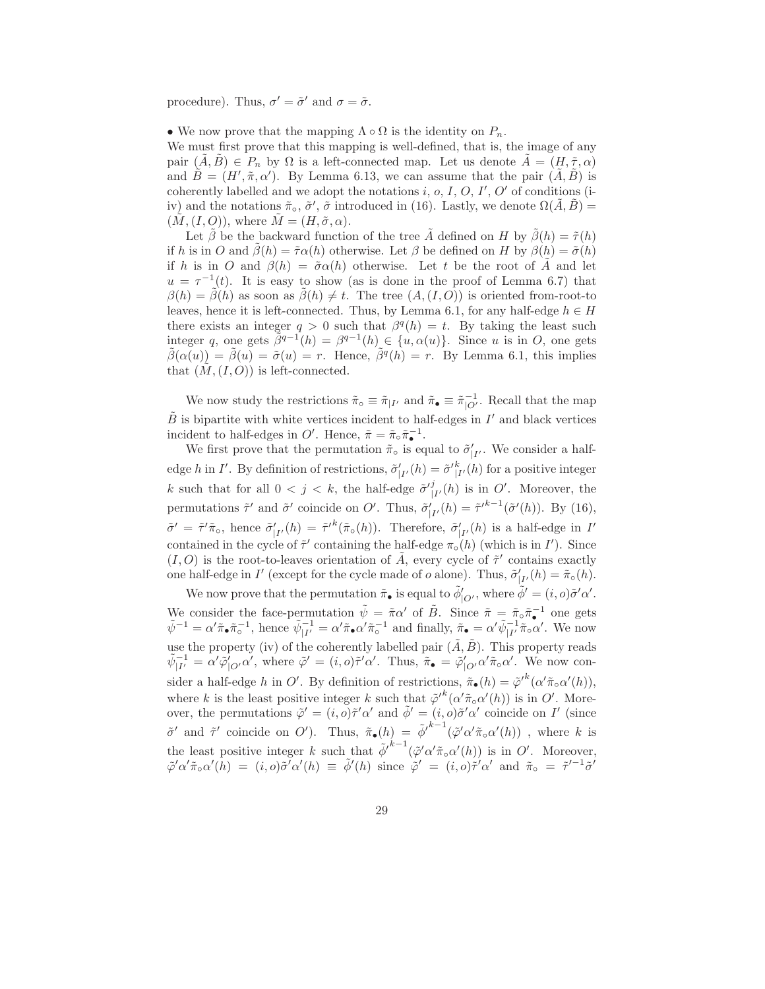procedure). Thus,  $\sigma' = \tilde{\sigma}'$  and  $\sigma = \tilde{\sigma}$ .

• We now prove that the mapping  $\Lambda \circ \Omega$  is the identity on  $P_n$ .

We must first prove that this mapping is well-defined, that is, the image of any pair  $(A, B) \in P_n$  by  $\Omega$  is a left-connected map. Let us denote  $A = (H, \tilde{\tau}, \alpha)$ and  $\tilde{B} = (H', \tilde{\pi}, \alpha')$ . By Lemma 6.13, we can assume that the pair  $(\tilde{A}, \tilde{B})$  is coherently labelled and we adopt the notations  $i, o, I, O, I', O'$  of conditions (iiv) and the notations  $\tilde{\pi}_{\circ}$ ,  $\tilde{\sigma}'$ ,  $\tilde{\sigma}$  introduced in (16). Lastly, we denote  $\Omega(\tilde{A}, \tilde{B}) =$  $(M, (I, O)),$  where  $\tilde{M} = (H, \tilde{\sigma}, \alpha)$ .

Let  $\tilde{\beta}$  be the backward function of the tree  $\tilde{A}$  defined on H by  $\tilde{\beta}(h) = \tilde{\tau}(h)$ if h is in O and  $\hat{\beta}(h) = \tilde{\tau} \alpha(h)$  otherwise. Let  $\beta$  be defined on H by  $\beta(h) = \tilde{\sigma}(h)$ if h is in O and  $\beta(h) = \tilde{\sigma} \alpha(h)$  otherwise. Let t be the root of A and let  $u = \tau^{-1}(t)$ . It is easy to show (as is done in the proof of Lemma 6.7) that  $\beta(h) = \tilde{\beta}(h)$  as soon as  $\tilde{\beta}(h) \neq t$ . The tree  $(A,(I,O))$  is oriented from-root-to leaves, hence it is left-connected. Thus, by Lemma 6.1, for any half-edge  $h \in H$ there exists an integer  $q > 0$  such that  $\beta^q(h) = t$ . By taking the least such integer q, one gets  $\tilde{\beta}^{q-1}(h) = \beta^{q-1}(h) \in \{u, \alpha(u)\}.$  Since u is in O, one gets  $\tilde{\beta}(\alpha(u)) = \tilde{\beta}(u) = \tilde{\sigma}(u) = r$ . Hence,  $\tilde{\beta}^q(h) = r$ . By Lemma 6.1, this implies that  $(\tilde{M}, (I, O))$  is left-connected.

We now study the restrictions  $\tilde{\pi}_{\circ} \equiv \tilde{\pi}_{|I'}$  and  $\tilde{\pi}_{\bullet} \equiv \tilde{\pi}_{|O'}^{-1}$ . Recall that the map  $\tilde{B}$  is bipartite with white vertices incident to half-edges in  $I'$  and black vertices incident to half-edges in  $O'$ . Hence,  $\tilde{\pi} = \tilde{\pi}_{\circ} \tilde{\pi}_{\bullet}^{-1}$ .

We first prove that the permutation  $\tilde{\pi}_{\circ}$  is equal to  $\tilde{\sigma}'_{|I'}$ . We consider a halfedge h in I'. By definition of restrictions,  $\tilde{\sigma}_{|I'}^{\prime}(h) = \tilde{\sigma}_{|I'}^{\prime}(h)$  for a positive integer k such that for all  $0 < j < k$ , the half-edge  $\tilde{\sigma}^{ij}_{|I'}(h)$  is in O'. Moreover, the permutations  $\tilde{\tau}'$  and  $\tilde{\sigma}'$  coincide on O'. Thus,  $\tilde{\sigma}'_{|I'}(h) = \tilde{\tau}'^{k-1}(\tilde{\sigma}'(h))$ . By (16),  $\tilde{\sigma}' = \tilde{\tau}' \tilde{\pi}_{\circ}$ , hence  $\tilde{\sigma}'_{|I'}(h) = \tilde{\tau}'^k(\tilde{\pi}_{\circ}(h))$ . Therefore,  $\tilde{\sigma}'_{|I'}(h)$  is a half-edge in I' contained in the cycle of  $\tilde{\tau}'$  containing the half-edge  $\pi_{\circ}(h)$  (which is in I'). Since  $(I, O)$  is the root-to-leaves orientation of  $\tilde{A}$ , every cycle of  $\tilde{\tau}'$  contains exactly one half-edge in I' (except for the cycle made of  $o$  alone). Thus,  $\tilde{\sigma}'_{|I'}(h) = \tilde{\pi}_{\circ}(h)$ .

We now prove that the permutation  $\tilde{\pi}_{\bullet}$  is equal to  $\tilde{\phi}'_{|O'}$ , where  $\tilde{\phi}' = (i, o)\tilde{\sigma}' \alpha'$ . We consider the face-permutation  $\tilde{\psi} = \tilde{\pi} \alpha'$  of  $\tilde{B}$ . Since  $\tilde{\pi} = \tilde{\pi} \circ \tilde{\pi}^{-1}$  one gets  $\tilde{\psi}^{-1} = \alpha' \tilde{\pi}_{\bullet} \tilde{\pi}_{\circ}^{-1}$ , hence  $\tilde{\psi}_{|I'}^{-1} = \alpha' \tilde{\pi}_{\bullet} \alpha' \tilde{\pi}_{\circ}^{-1}$  and finally,  $\tilde{\pi}_{\bullet} = \alpha' \tilde{\psi}_{|I'}^{-1} \tilde{\pi}_{\circ} \alpha'$ . We now use the property (iv) of the coherently labelled pair  $(\tilde{A}, \tilde{B})$ . This property reads  $\tilde{\psi}_{|I'}^{-1} = \alpha' \tilde{\varphi}_{|O'}' \alpha',$  where  $\tilde{\varphi}' = (i, o)\tilde{\tau}' \alpha'.$  Thus,  $\tilde{\pi}_{\bullet} = \tilde{\varphi}_{|O'}' \alpha' \tilde{\pi}_{\circ} \alpha'.$  We now consider a half-edge h in O'. By definition of restrictions,  $\tilde{\pi}_{\bullet}(h) = \tilde{\varphi}'^k(\alpha'\tilde{\pi}_{\circ}\alpha'(h)),$ where k is the least positive integer k such that  $\tilde{\varphi}'^k(\alpha'\tilde{\pi}_o\alpha'(h))$  is in O'. Moreover, the permutations  $\tilde{\varphi}' = (i, o)\tilde{\tau}'\alpha'$  and  $\tilde{\phi}' = (i, o)\tilde{\sigma}'\alpha'$  coincide on I' (since  $\tilde{\sigma}'$  and  $\tilde{\tau}'$  coincide on O'). Thus,  $\tilde{\pi}_{\bullet}(h) = \tilde{\phi}'^{k-1}(\tilde{\varphi}' \alpha' \tilde{\pi}_{\circ} \alpha'(h))$ , where k is the least positive integer k such that  $\tilde{\phi'}^{k-1}(\tilde{\varphi}' \alpha' \tilde{\pi}_{\circ} \alpha'(h))$  is in O'. Moreover,  $\tilde{\varphi}' \alpha' \tilde{\pi}_o \alpha'(\tilde{h}) = (i, o) \tilde{\sigma'} \alpha'(h) \equiv \tilde{\phi}'(h) \text{ since } \tilde{\varphi}' = (i, o) \tilde{\tau'} \alpha' \text{ and } \tilde{\pi}_o = \tilde{\tau}'^{-1} \tilde{\sigma'}$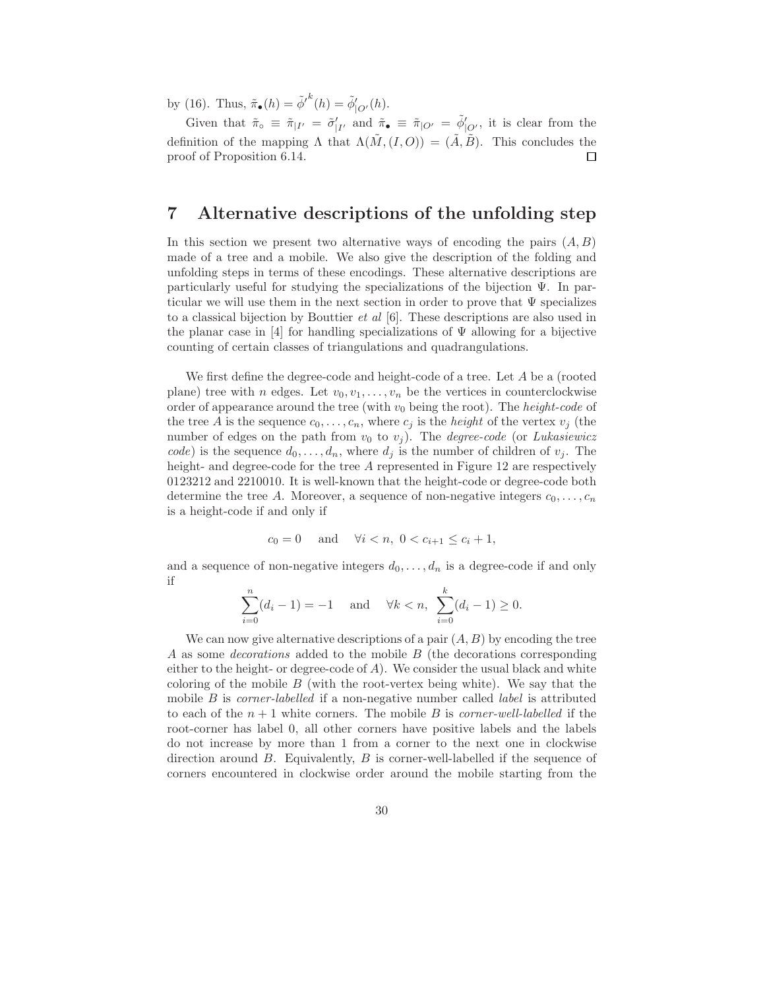by (16). Thus,  $\tilde{\pi}_{\bullet}(h) = {\tilde{\phi}'}^{k}(h) = {\tilde{\phi}}'_{|O'}(h)$ .

Given that  $\tilde{\pi}_{\circ} \equiv \tilde{\pi}_{|I'} = \tilde{\sigma}'_{|I'}$  and  $\tilde{\pi}_{\bullet} \equiv \tilde{\pi}_{|O'} = \tilde{\phi}'_{|O'}$ , it is clear from the definition of the mapping  $\Lambda$  that  $\Lambda(\tilde{M}, (I, O)) = (\tilde{A}, \tilde{B})$ . This concludes the proof of Proposition 6.14.  $\Box$ 

# 7 Alternative descriptions of the unfolding step

In this section we present two alternative ways of encoding the pairs  $(A, B)$ made of a tree and a mobile. We also give the description of the folding and unfolding steps in terms of these encodings. These alternative descriptions are particularly useful for studying the specializations of the bijection  $\Psi$ . In particular we will use them in the next section in order to prove that  $\Psi$  specializes to a classical bijection by Bouttier *et al*  $[6]$ . These descriptions are also used in the planar case in [4] for handling specializations of  $\Psi$  allowing for a bijective counting of certain classes of triangulations and quadrangulations.

We first define the degree-code and height-code of a tree. Let A be a (rooted plane) tree with n edges. Let  $v_0, v_1, \ldots, v_n$  be the vertices in counterclockwise order of appearance around the tree (with  $v_0$  being the root). The *height-code* of the tree A is the sequence  $c_0, \ldots, c_n$ , where  $c_j$  is the *height* of the vertex  $v_j$  (the number of edges on the path from  $v_0$  to  $v_j$ ). The *degree-code* (or *Lukasiewicz* code) is the sequence  $d_0, \ldots, d_n$ , where  $d_j$  is the number of children of  $v_j$ . The height- and degree-code for the tree A represented in Figure 12 are respectively 0123212 and 2210010. It is well-known that the height-code or degree-code both determine the tree A. Moreover, a sequence of non-negative integers  $c_0, \ldots, c_n$ is a height-code if and only if

$$
c_0 = 0
$$
 and  $\forall i < n, 0 < c_{i+1} \le c_i + 1$ ,

and a sequence of non-negative integers  $d_0, \ldots, d_n$  is a degree-code if and only if

$$
\sum_{i=0}^{n} (d_i - 1) = -1 \quad \text{and} \quad \forall k < n, \ \sum_{i=0}^{k} (d_i - 1) \ge 0.
$$

We can now give alternative descriptions of a pair  $(A, B)$  by encoding the tree A as some decorations added to the mobile B (the decorations corresponding either to the height- or degree-code of  $A$ ). We consider the usual black and white coloring of the mobile  $B$  (with the root-vertex being white). We say that the mobile  $B$  is *corner-labelled* if a non-negative number called *label* is attributed to each of the  $n + 1$  white corners. The mobile B is *corner-well-labelled* if the root-corner has label 0, all other corners have positive labels and the labels do not increase by more than 1 from a corner to the next one in clockwise direction around B. Equivalently, B is corner-well-labelled if the sequence of corners encountered in clockwise order around the mobile starting from the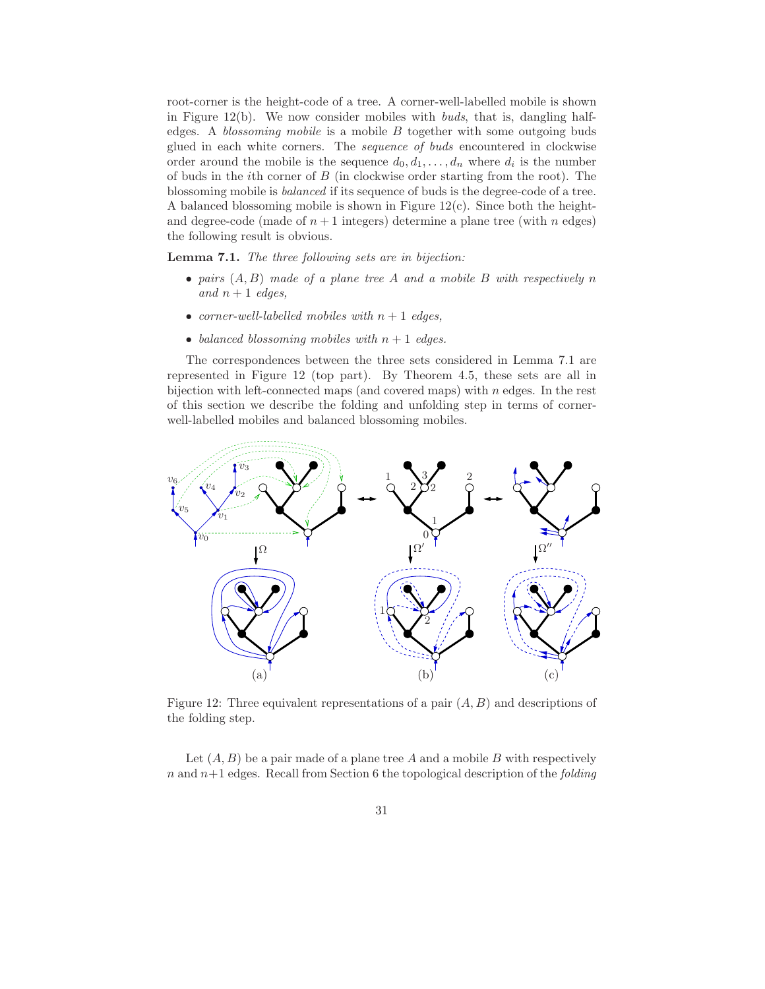root-corner is the height-code of a tree. A corner-well-labelled mobile is shown in Figure 12(b). We now consider mobiles with buds, that is, dangling halfedges. A *blossoming mobile* is a mobile  $B$  together with some outgoing buds glued in each white corners. The sequence of buds encountered in clockwise order around the mobile is the sequence  $d_0, d_1, \ldots, d_n$  where  $d_i$  is the number of buds in the *i*th corner of  $B$  (in clockwise order starting from the root). The blossoming mobile is balanced if its sequence of buds is the degree-code of a tree. A balanced blossoming mobile is shown in Figure 12(c). Since both the heightand degree-code (made of  $n+1$  integers) determine a plane tree (with n edges) the following result is obvious.

Lemma 7.1. The three following sets are in bijection:

- pairs  $(A, B)$  made of a plane tree A and a mobile B with respectively n and  $n+1$  edges,
- corner-well-labelled mobiles with  $n + 1$  edges,
- balanced blossoming mobiles with  $n + 1$  edges.

The correspondences between the three sets considered in Lemma 7.1 are represented in Figure 12 (top part). By Theorem 4.5, these sets are all in bijection with left-connected maps (and covered maps) with  $n$  edges. In the rest of this section we describe the folding and unfolding step in terms of cornerwell-labelled mobiles and balanced blossoming mobiles.



Figure 12: Three equivalent representations of a pair  $(A, B)$  and descriptions of the folding step.

Let  $(A, B)$  be a pair made of a plane tree A and a mobile B with respectively n and  $n+1$  edges. Recall from Section 6 the topological description of the *folding*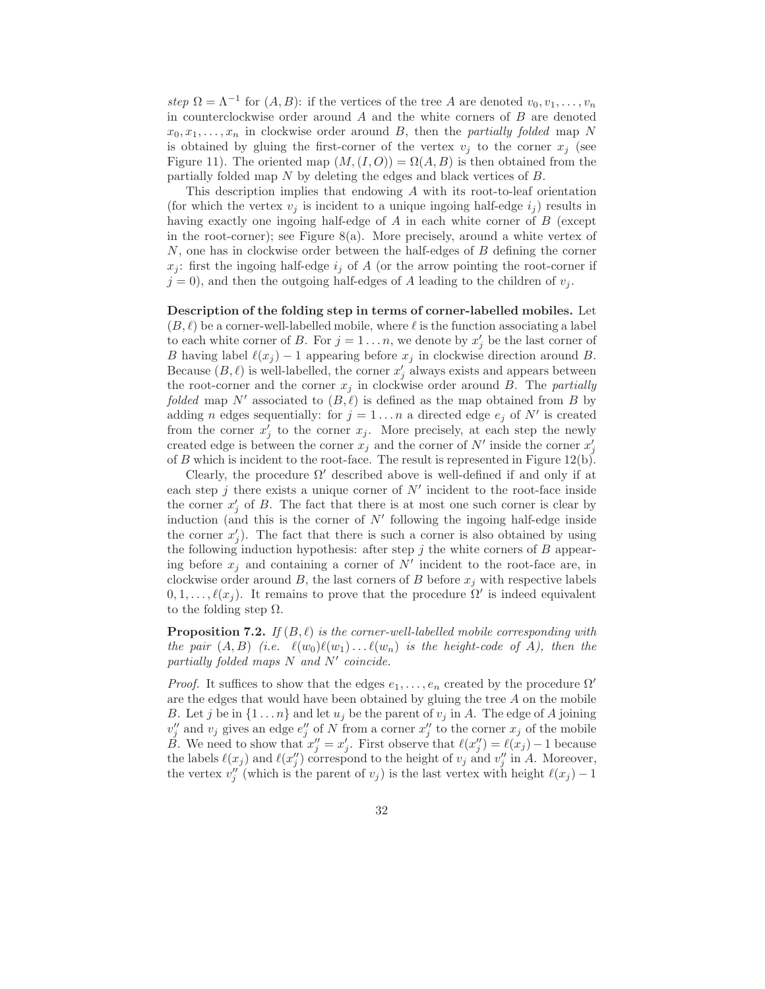step  $\Omega = \Lambda^{-1}$  for  $(A, B)$ : if the vertices of the tree A are denoted  $v_0, v_1, \ldots, v_n$ in counterclockwise order around  $A$  and the white corners of  $B$  are denoted  $x_0, x_1, \ldots, x_n$  in clockwise order around B, then the partially folded map N is obtained by gluing the first-corner of the vertex  $v_i$  to the corner  $x_i$  (see Figure 11). The oriented map  $(M,(I,O)) = \Omega(A, B)$  is then obtained from the partially folded map N by deleting the edges and black vertices of B.

This description implies that endowing A with its root-to-leaf orientation (for which the vertex  $v_i$  is incident to a unique ingoing half-edge  $i_j$ ) results in having exactly one ingoing half-edge of A in each white corner of B (except in the root-corner); see Figure 8(a). More precisely, around a white vertex of N, one has in clockwise order between the half-edges of B defining the corner  $x_i$ : first the ingoing half-edge  $i_j$  of A (or the arrow pointing the root-corner if  $j = 0$ , and then the outgoing half-edges of A leading to the children of  $v_j$ .

Description of the folding step in terms of corner-labelled mobiles. Let  $(B, \ell)$  be a corner-well-labelled mobile, where  $\ell$  is the function associating a label to each white corner of B. For  $j = 1 \ldots n$ , we denote by  $x'_j$  be the last corner of B having label  $\ell(x_j) - 1$  appearing before  $x_j$  in clockwise direction around B. Because  $(B, \ell)$  is well-labelled, the corner  $x'_j$  always exists and appears between the root-corner and the corner  $x_j$  in clockwise order around B. The partially folded map N' associated to  $(B, \ell)$  is defined as the map obtained from B by adding *n* edges sequentially: for  $j = 1...n$  a directed edge  $e_j$  of N' is created from the corner  $x'_j$  to the corner  $x_j$ . More precisely, at each step the newly created edge is between the corner  $x_j$  and the corner of N' inside the corner  $x'_j$ of  $B$  which is incident to the root-face. The result is represented in Figure 12(b).

Clearly, the procedure  $\Omega'$  described above is well-defined if and only if at each step  $j$  there exists a unique corner of  $N'$  incident to the root-face inside the corner  $x'_j$  of B. The fact that there is at most one such corner is clear by induction (and this is the corner of  $N'$  following the ingoing half-edge inside the corner  $x'_j$ ). The fact that there is such a corner is also obtained by using the following induction hypothesis: after step  $j$  the white corners of  $B$  appearing before  $x_j$  and containing a corner of  $N'$  incident to the root-face are, in clockwise order around B, the last corners of B before  $x_i$  with respective labels  $0, 1, \ldots, \ell(x_j)$ . It remains to prove that the procedure  $\Omega'$  is indeed equivalent to the folding step  $\Omega$ .

**Proposition 7.2.** If  $(B, \ell)$  is the corner-well-labelled mobile corresponding with the pair  $(A, B)$  (i.e.  $\ell(w_0)\ell(w_1)\ldots\ell(w_n)$  is the height-code of A), then the partially folded maps N and N′ coincide.

*Proof.* It suffices to show that the edges  $e_1, \ldots, e_n$  created by the procedure  $\Omega'$ are the edges that would have been obtained by gluing the tree A on the mobile B. Let j be in  $\{1 \dots n\}$  and let  $u_j$  be the parent of  $v_j$  in A. The edge of A joining  $v''_j$  and  $v_j$  gives an edge  $e''_j$  of N from a corner  $x''_j$  to the corner  $x_j$  of the mobile B. We need to show that  $x''_j = x'_j$ . First observe that  $\ell(x''_j) = \ell(x_j) - 1$  because the labels  $\ell(x_j)$  and  $\ell(x''_j)$  correspond to the height of  $v_j$  and  $v''_j$  in A. Moreover, the vertex  $v''_j$  (which is the parent of  $v_j$ ) is the last vertex with height  $\ell(x_j) - 1$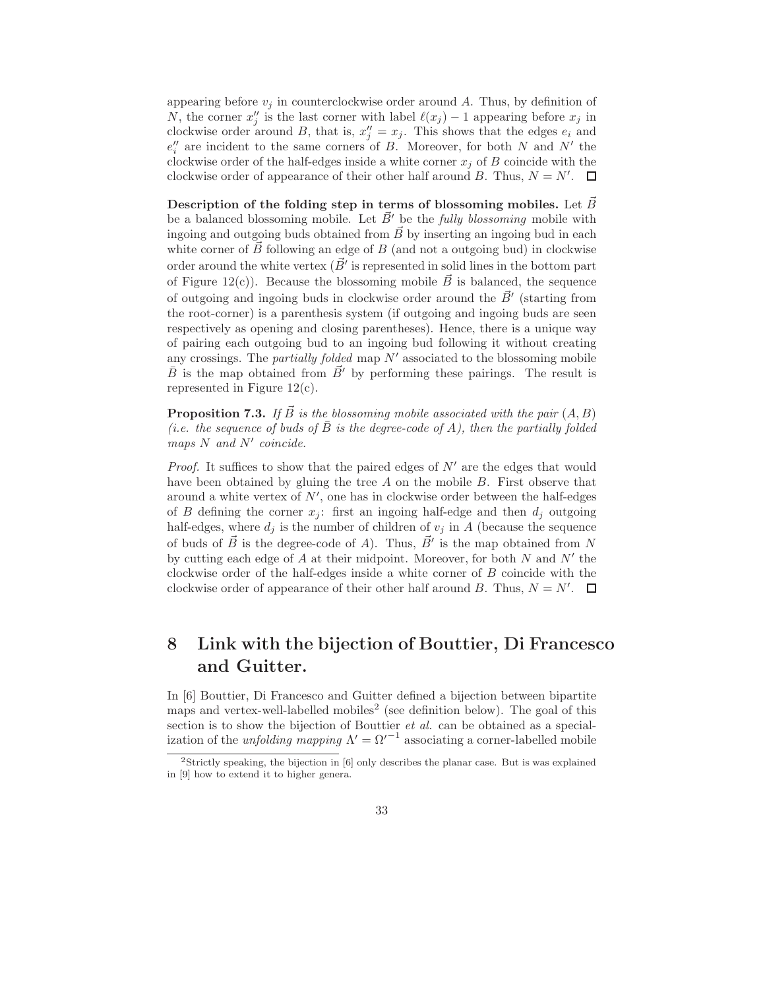appearing before  $v_j$  in counterclockwise order around A. Thus, by definition of N, the corner  $x''_j$  is the last corner with label  $\ell(x_j) - 1$  appearing before  $x_j$  in clockwise order around B, that is,  $x''_j = x_j$ . This shows that the edges  $e_i$  and  $e''_i$  are incident to the same corners of B. Moreover, for both N and N' the clockwise order of the half-edges inside a white corner  $x_i$  of B coincide with the clockwise order of appearance of their other half around B. Thus,  $N = N'$ .

Description of the folding step in terms of blossoming mobiles. Let  $\vec{B}$ be a balanced blossoming mobile. Let  $\vec{B}$ <sup>'</sup> be the *fully blossoming* mobile with ingoing and outgoing buds obtained from  $\vec{B}$  by inserting an ingoing bud in each white corner of  $\vec{B}~$  following an edge of  $B~$  (and not a outgoing bud) in clockwise order around the white vertex  $(\vec{B}'$  is represented in solid lines in the bottom part of Figure 12(c)). Because the blossoming mobile  $\vec{B}$  is balanced, the sequence of outgoing and ingoing buds in clockwise order around the  $\vec{B}'$  (starting from the root-corner) is a parenthesis system (if outgoing and ingoing buds are seen respectively as opening and closing parentheses). Hence, there is a unique way of pairing each outgoing bud to an ingoing bud following it without creating any crossings. The *partially folded* map  $N'$  associated to the blossoming mobile  $\bar{B}$  is the map obtained from  $\bar{B}$ <sup>'</sup> by performing these pairings. The result is represented in Figure 12(c).

**Proposition 7.3.** If  $\vec{B}$  is the blossoming mobile associated with the pair  $(A, B)$ (i.e. the sequence of buds of B is the degree-code of A), then the partially folded maps N and N' coincide.

*Proof.* It suffices to show that the paired edges of  $N'$  are the edges that would have been obtained by gluing the tree  $A$  on the mobile  $B$ . First observe that around a white vertex of  $N'$ , one has in clockwise order between the half-edges of B defining the corner  $x_j$ : first an ingoing half-edge and then  $d_j$  outgoing half-edges, where  $d_j$  is the number of children of  $v_j$  in A (because the sequence of buds of  $\vec{B}$  is the degree-code of A). Thus,  $\vec{B}'$  is the map obtained from N by cutting each edge of  $A$  at their midpoint. Moreover, for both  $N$  and  $N'$  the clockwise order of the half-edges inside a white corner of B coincide with the clockwise order of appearance of their other half around B. Thus,  $N = N'$ .

# 8 Link with the bijection of Bouttier, Di Francesco and Guitter.

In [6] Bouttier, Di Francesco and Guitter defined a bijection between bipartite maps and vertex-well-labelled mobiles<sup>2</sup> (see definition below). The goal of this section is to show the bijection of Bouttier *et al.* can be obtained as a specialization of the *unfolding mapping*  $\Lambda' = \Omega'^{-1}$  associating a corner-labelled mobile

<sup>&</sup>lt;sup>2</sup>Strictly speaking, the bijection in [6] only describes the planar case. But is was explained in [9] how to extend it to higher genera.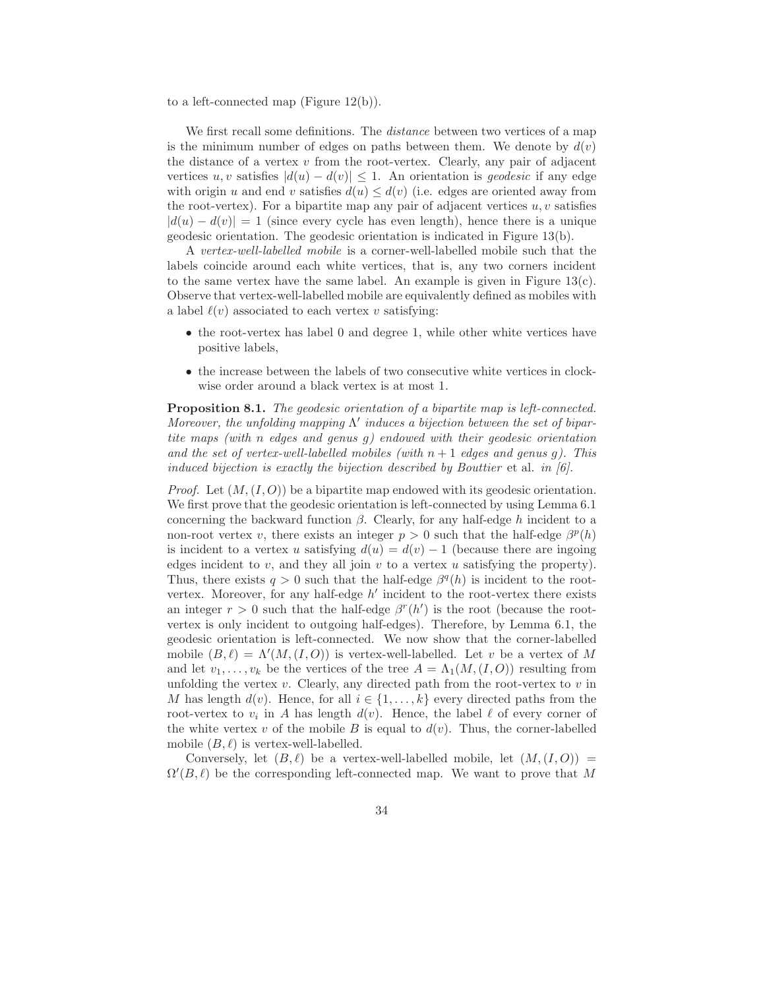to a left-connected map (Figure 12(b)).

We first recall some definitions. The *distance* between two vertices of a map is the minimum number of edges on paths between them. We denote by  $d(v)$ the distance of a vertex  $v$  from the root-vertex. Clearly, any pair of adjacent vertices u, v satisfies  $|d(u) - d(v)| \leq 1$ . An orientation is geodesic if any edge with origin u and end v satisfies  $d(u) \leq d(v)$  (i.e. edges are oriented away from the root-vertex). For a bipartite map any pair of adjacent vertices  $u, v$  satisfies  $|d(u) - d(v)| = 1$  (since every cycle has even length), hence there is a unique geodesic orientation. The geodesic orientation is indicated in Figure 13(b).

A vertex-well-labelled mobile is a corner-well-labelled mobile such that the labels coincide around each white vertices, that is, any two corners incident to the same vertex have the same label. An example is given in Figure  $13(c)$ . Observe that vertex-well-labelled mobile are equivalently defined as mobiles with a label  $\ell(v)$  associated to each vertex v satisfying:

- the root-vertex has label 0 and degree 1, while other white vertices have positive labels,
- the increase between the labels of two consecutive white vertices in clockwise order around a black vertex is at most 1.

Proposition 8.1. The geodesic orientation of a bipartite map is left-connected. Moreover, the unfolding mapping  $\Lambda'$  induces a bijection between the set of bipartite maps (with n edges and genus g) endowed with their geodesic orientation and the set of vertex-well-labelled mobiles (with  $n + 1$  edges and genus g). This induced bijection is exactly the bijection described by Bouttier et al. in [6].

*Proof.* Let  $(M, (I, O))$  be a bipartite map endowed with its geodesic orientation. We first prove that the geodesic orientation is left-connected by using Lemma 6.1 concerning the backward function  $\beta$ . Clearly, for any half-edge h incident to a non-root vertex v, there exists an integer  $p > 0$  such that the half-edge  $\beta^p(h)$ is incident to a vertex u satisfying  $d(u) = d(v) - 1$  (because there are ingoing edges incident to v, and they all join v to a vertex u satisfying the property). Thus, there exists  $q > 0$  such that the half-edge  $\beta^q(h)$  is incident to the rootvertex. Moreover, for any half-edge  $h'$  incident to the root-vertex there exists an integer  $r > 0$  such that the half-edge  $\beta^r(h')$  is the root (because the rootvertex is only incident to outgoing half-edges). Therefore, by Lemma 6.1, the geodesic orientation is left-connected. We now show that the corner-labelled mobile  $(B, \ell) = \Lambda'(M, (I, O))$  is vertex-well-labelled. Let v be a vertex of M and let  $v_1, \ldots, v_k$  be the vertices of the tree  $A = \Lambda_1(M,(I,O))$  resulting from unfolding the vertex  $v$ . Clearly, any directed path from the root-vertex to  $v$  in M has length  $d(v)$ . Hence, for all  $i \in \{1, \ldots, k\}$  every directed paths from the root-vertex to  $v_i$  in A has length  $d(v)$ . Hence, the label  $\ell$  of every corner of the white vertex v of the mobile B is equal to  $d(v)$ . Thus, the corner-labelled mobile  $(B, \ell)$  is vertex-well-labelled.

Conversely, let  $(B, \ell)$  be a vertex-well-labelled mobile, let  $(M, (I, O))$  =  $\Omega'(B,\ell)$  be the corresponding left-connected map. We want to prove that M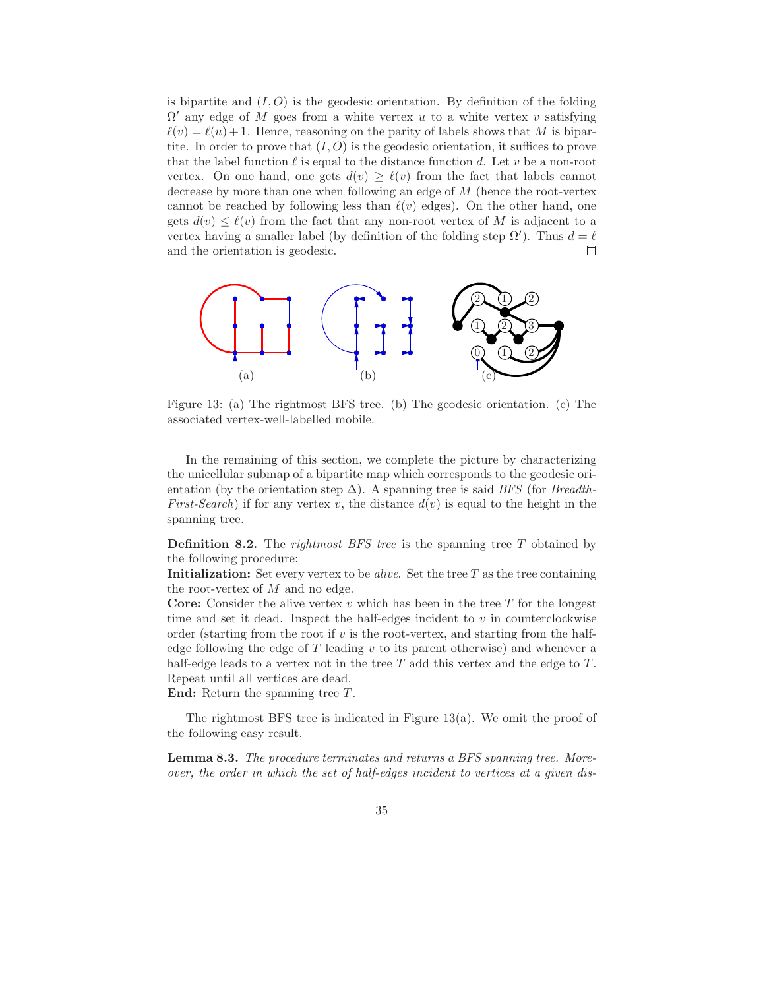is bipartite and  $(I, O)$  is the geodesic orientation. By definition of the folding  $\Omega'$  any edge of M goes from a white vertex u to a white vertex v satisfying  $\ell(v) = \ell(u) + 1$ . Hence, reasoning on the parity of labels shows that M is bipartite. In order to prove that  $(I, O)$  is the geodesic orientation, it suffices to prove that the label function  $\ell$  is equal to the distance function d. Let v be a non-root vertex. On one hand, one gets  $d(v) \geq \ell(v)$  from the fact that labels cannot decrease by more than one when following an edge of M (hence the root-vertex cannot be reached by following less than  $\ell(v)$  edges). On the other hand, one gets  $d(v) \leq \ell(v)$  from the fact that any non-root vertex of M is adjacent to a vertex having a smaller label (by definition of the folding step  $\Omega'$ ). Thus  $d = \ell$ and the orientation is geodesic. п



Figure 13: (a) The rightmost BFS tree. (b) The geodesic orientation. (c) The associated vertex-well-labelled mobile.

In the remaining of this section, we complete the picture by characterizing the unicellular submap of a bipartite map which corresponds to the geodesic orientation (by the orientation step  $\Delta$ ). A spanning tree is said BFS (for Breadth-*First-Search*) if for any vertex v, the distance  $d(v)$  is equal to the height in the spanning tree.

**Definition 8.2.** The rightmost BFS tree is the spanning tree  $T$  obtained by the following procedure:

Initialization: Set every vertex to be *alive*. Set the tree  $T$  as the tree containing the root-vertex of  $M$  and no edge.

**Core:** Consider the alive vertex  $v$  which has been in the tree  $T$  for the longest time and set it dead. Inspect the half-edges incident to  $v$  in counterclockwise order (starting from the root if  $v$  is the root-vertex, and starting from the halfedge following the edge of  $T$  leading  $v$  to its parent otherwise) and whenever a half-edge leads to a vertex not in the tree  $T$  add this vertex and the edge to  $T$ . Repeat until all vertices are dead.

End: Return the spanning tree  $T$ .

The rightmost BFS tree is indicated in Figure  $13(a)$ . We omit the proof of the following easy result.

Lemma 8.3. The procedure terminates and returns a BFS spanning tree. Moreover, the order in which the set of half-edges incident to vertices at a given dis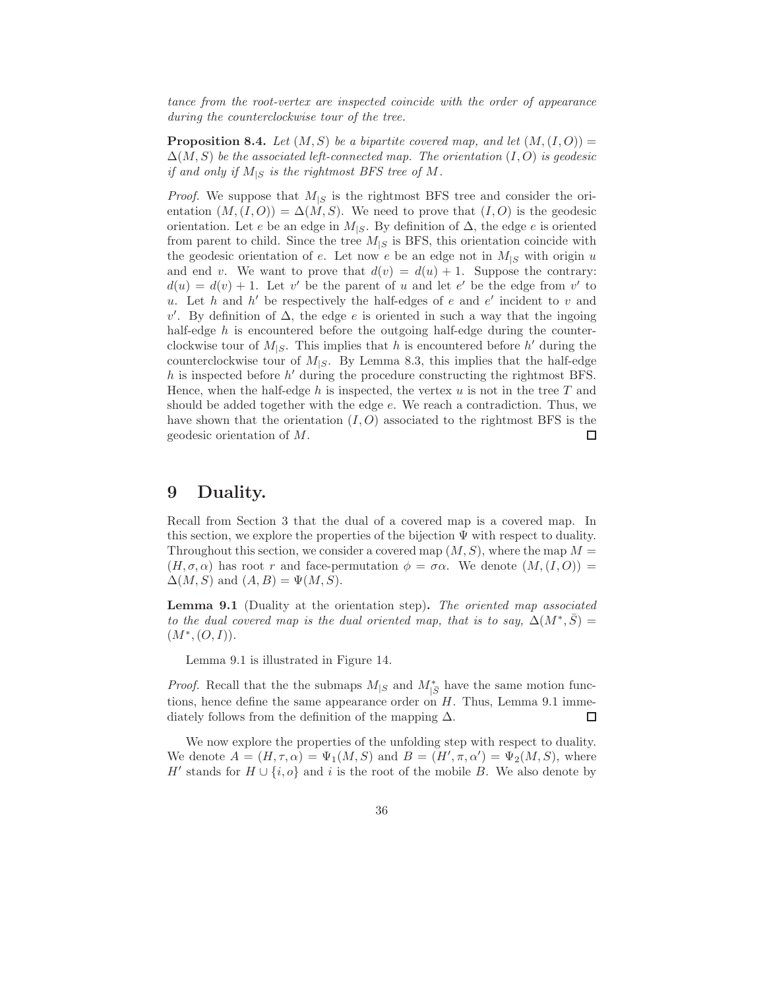tance from the root-vertex are inspected coincide with the order of appearance during the counterclockwise tour of the tree.

**Proposition 8.4.** Let  $(M, S)$  be a bipartite covered map, and let  $(M, (I, O)) =$  $\Delta(M, S)$  be the associated left-connected map. The orientation  $(I, O)$  is geodesic if and only if  $M_{|S}$  is the rightmost BFS tree of M.

*Proof.* We suppose that  $M_{\rm s}$  is the rightmost BFS tree and consider the orientation  $(M,(I,O)) = \Delta(M, S)$ . We need to prove that  $(I, O)$  is the geodesic orientation. Let e be an edge in  $M_{|S}$ . By definition of  $\Delta$ , the edge e is oriented from parent to child. Since the tree  $M_{|S}$  is BFS, this orientation coincide with the geodesic orientation of e. Let now e be an edge not in  $M_{|S}$  with origin u and end v. We want to prove that  $d(v) = d(u) + 1$ . Suppose the contrary:  $d(u) = d(v) + 1$ . Let v' be the parent of u and let e' be the edge from v' to u. Let h and  $h'$  be respectively the half-edges of e and  $e'$  incident to v and  $v'$ . By definition of Δ, the edge *e* is oriented in such a way that the ingoing half-edge h is encountered before the outgoing half-edge during the counterclockwise tour of  $M_{|S}$ . This implies that h is encountered before h' during the counterclockwise tour of  $M_{|S}$ . By Lemma 8.3, this implies that the half-edge  $h$  is inspected before  $h'$  during the procedure constructing the rightmost BFS. Hence, when the half-edge  $h$  is inspected, the vertex  $u$  is not in the tree  $T$  and should be added together with the edge e. We reach a contradiction. Thus, we have shown that the orientation  $(I, O)$  associated to the rightmost BFS is the geodesic orientation of M.  $\Box$ 

### 9 Duality.

Recall from Section 3 that the dual of a covered map is a covered map. In this section, we explore the properties of the bijection  $\Psi$  with respect to duality. Throughout this section, we consider a covered map  $(M, S)$ , where the map  $M =$  $(H, \sigma, \alpha)$  has root r and face-permutation  $\phi = \sigma \alpha$ . We denote  $(M, (I, O))$  =  $\Delta(M, S)$  and  $(A, B) = \Psi(M, S)$ .

Lemma 9.1 (Duality at the orientation step). The oriented map associated to the dual covered map is the dual oriented map, that is to say,  $\Delta(M^*,\bar{S})=$  $(M^*, (O, I)).$ 

Lemma 9.1 is illustrated in Figure 14.

*Proof.* Recall that the the submaps  $M_{|S}$  and  $M_{|S}^*$  have the same motion functions, hence define the same appearance order on  $H$ . Thus, Lemma 9.1 imme- $\Box$ diately follows from the definition of the mapping  $\Delta$ .

We now explore the properties of the unfolding step with respect to duality. We denote  $A = (H, \tau, \alpha) = \Psi_1(M, S)$  and  $B = (H', \pi, \alpha') = \Psi_2(M, S)$ , where  $H'$  stands for  $H \cup \{i, o\}$  and i is the root of the mobile B. We also denote by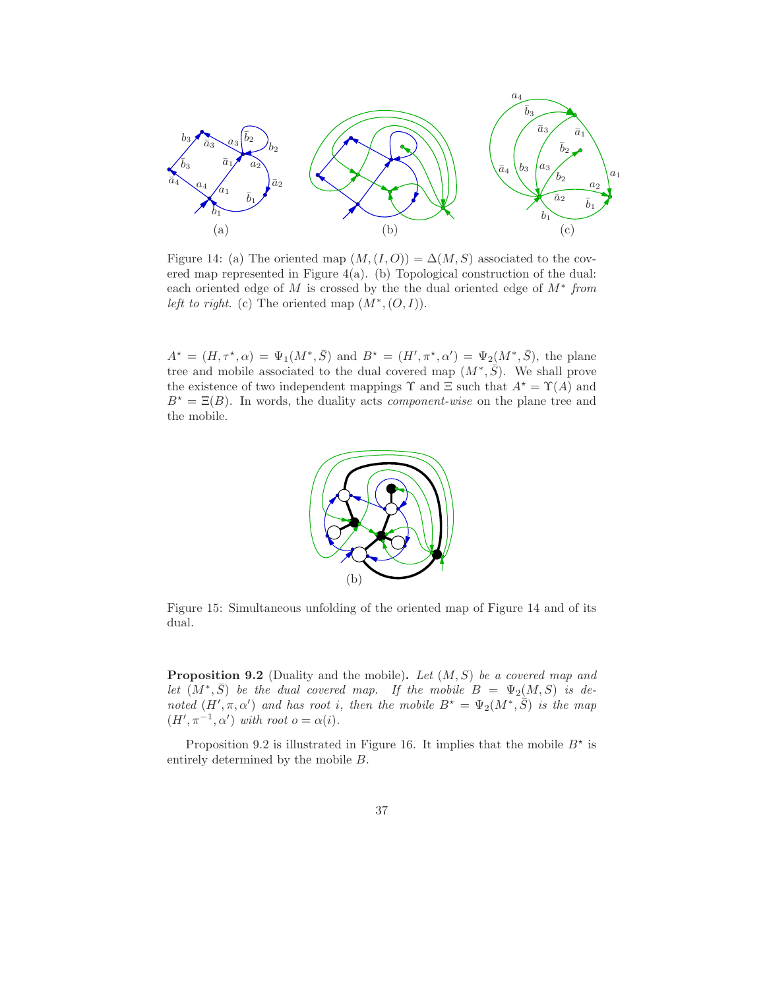

Figure 14: (a) The oriented map  $(M,(I,O)) = \Delta(M, S)$  associated to the covered map represented in Figure 4(a). (b) Topological construction of the dual: each oriented edge of  $M$  is crossed by the the dual oriented edge of  $M^*$  from left to right. (c) The oriented map  $(M^*, (O,I)).$ 

 $A^* = (H, \tau^*, \alpha) = \Psi_1(M^*, \bar{S})$  and  $B^* = (H', \pi^*, \alpha') = \Psi_2(M^*, \bar{S})$ , the plane tree and mobile associated to the dual covered map  $(M^*,\overline{S})$ . We shall prove the existence of two independent mappings  $\Upsilon$  and  $\Xi$  such that  $A^* = \Upsilon(A)$  and  $B^* = \Xi(B)$ . In words, the duality acts *component-wise* on the plane tree and the mobile.



Figure 15: Simultaneous unfolding of the oriented map of Figure 14 and of its dual.

**Proposition 9.2** (Duality and the mobile). Let  $(M, S)$  be a covered map and let  $(M^*,\bar{S})$  be the dual covered map. If the mobile  $B = \Psi_2(M,S)$  is denoted  $(H', \pi, \alpha')$  and has root i, then the mobile  $B^* = \Psi_2(M^*, \overline{S})$  is the map  $(H', \pi^{-1}, \alpha')$  with root  $o = \alpha(i)$ .

Proposition 9.2 is illustrated in Figure 16. It implies that the mobile  $B^*$  is entirely determined by the mobile B.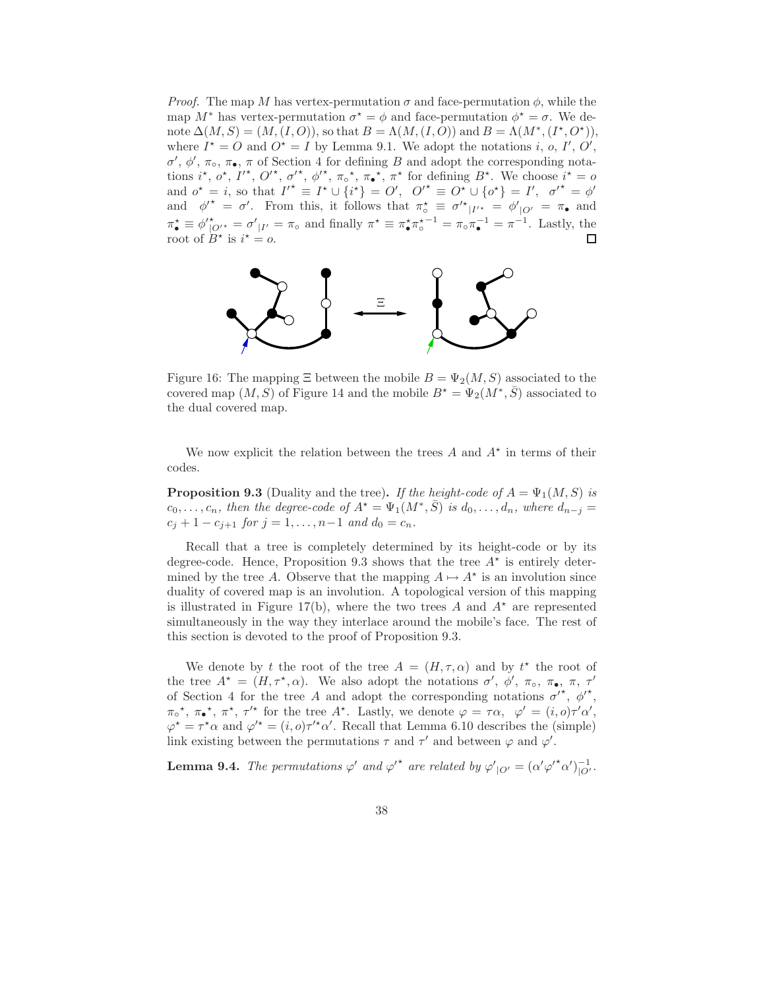*Proof.* The map M has vertex-permutation  $\sigma$  and face-permutation  $\phi$ , while the map  $M^*$  has vertex-permutation  $\sigma^* = \phi$  and face-permutation  $\phi^* = \sigma$ . We denote  $\Delta(M, S) = (M, (I, O)),$  so that  $B = \Lambda(M, (I, O))$  and  $B = \Lambda(M^*, (I^*, O^*)),$ where  $I^* = O$  and  $O^* = I$  by Lemma 9.1. We adopt the notations i, o, I', O',  $\sigma'$ ,  $\phi'$ , π<sub>ο</sub>, π<sub>ο</sub>, π of Section 4 for defining B and adopt the corresponding notations  $i^*, \, o^*, \, I'^*, \, O'^*, \, \sigma'^*, \, \phi'^*, \, \pi_\circ^*, \, \pi_\bullet^*, \, \pi^*$  for defining  $B^*$ . We choose  $i^* = o$ and  $o^* = i$ , so that  $I'^* \equiv I^* \cup \{i^*\} = O'$ ,  $O'^* \equiv O^* \cup \{o^*\} = I'$ ,  $\sigma'^* = \phi'$ and  $\phi'^* = \sigma'$ . From this, it follows that  $\pi_{\circ}^* \equiv \sigma'^*_{|I'^*} = \phi'_{|O'} = \pi_{\bullet}$  and  $\pi_{\bullet}^{\star} \equiv \phi_{\vert \mathcal{O}^{\prime}}^{\star} = \sigma_{\vert \mathcal{I}^{\prime}}^{\prime} = \pi_{\circ}$  and finally  $\pi^{\star} \equiv \pi_{\bullet}^{\star} \pi_{\circ}^{\star -1} = \pi_{\circ} \pi_{\bullet}^{-1} = \pi^{-1}$ . Lastly, the root of  $B^*$  is  $i^* = o$ .  $\Box$ 



Figure 16: The mapping  $\Xi$  between the mobile  $B = \Psi_2(M, S)$  associated to the covered map  $(M, S)$  of Figure 14 and the mobile  $B^* = \Psi_2(M^*, \bar{S})$  associated to the dual covered map.

We now explicit the relation between the trees  $A$  and  $A^*$  in terms of their codes.

**Proposition 9.3** (Duality and the tree). If the height-code of  $A = \Psi_1(M, S)$  is  $c_0, \ldots, c_n$ , then the degree-code of  $A^* = \Psi_1(M^*, \bar{S})$  is  $d_0, \ldots, d_n$ , where  $d_{n-j} =$  $c_j + 1 - c_{j+1}$  for  $j = 1, \ldots, n-1$  and  $d_0 = c_n$ .

Recall that a tree is completely determined by its height-code or by its degree-code. Hence, Proposition 9.3 shows that the tree  $A^*$  is entirely determined by the tree A. Observe that the mapping  $A \mapsto A^*$  is an involution since duality of covered map is an involution. A topological version of this mapping is illustrated in Figure 17(b), where the two trees A and  $A^*$  are represented simultaneously in the way they interlace around the mobile's face. The rest of this section is devoted to the proof of Proposition 9.3.

We denote by t the root of the tree  $A = (H, \tau, \alpha)$  and by  $t^*$  the root of the tree  $A^* = (H, \tau^*, \alpha)$ . We also adopt the notations  $\sigma'$ ,  $\phi'$ ,  $\pi_{\circ}$ ,  $\pi_{\bullet}$ ,  $\pi$ ,  $\tau'$ of Section 4 for the tree A and adopt the corresponding notations  $\sigma^{\prime^*}, \phi^{\prime^*}$ ,  $\pi_{\circ}^{\star}, \pi_{\bullet}^{\star}, \pi^{\star}, \pi^{\prime\star}$  for the tree  $A^{\star}$ . Lastly, we denote  $\varphi = \tau \alpha, \varphi' = (i, o)\tau' \alpha'$ ,  $\varphi^* = \tau^* \alpha$  and  $\varphi'^* = (i, o)\tau'^* \alpha'$ . Recall that Lemma 6.10 describes the (simple) link existing between the permutations  $\tau$  and  $\tau'$  and between  $\varphi$  and  $\varphi'$ .

**Lemma 9.4.** The permutations  $\varphi'$  and  $\varphi'^*$  are related by  $\varphi'_{|O'} = (\alpha' \varphi'^* \alpha')_{|O'}^{-1}$ .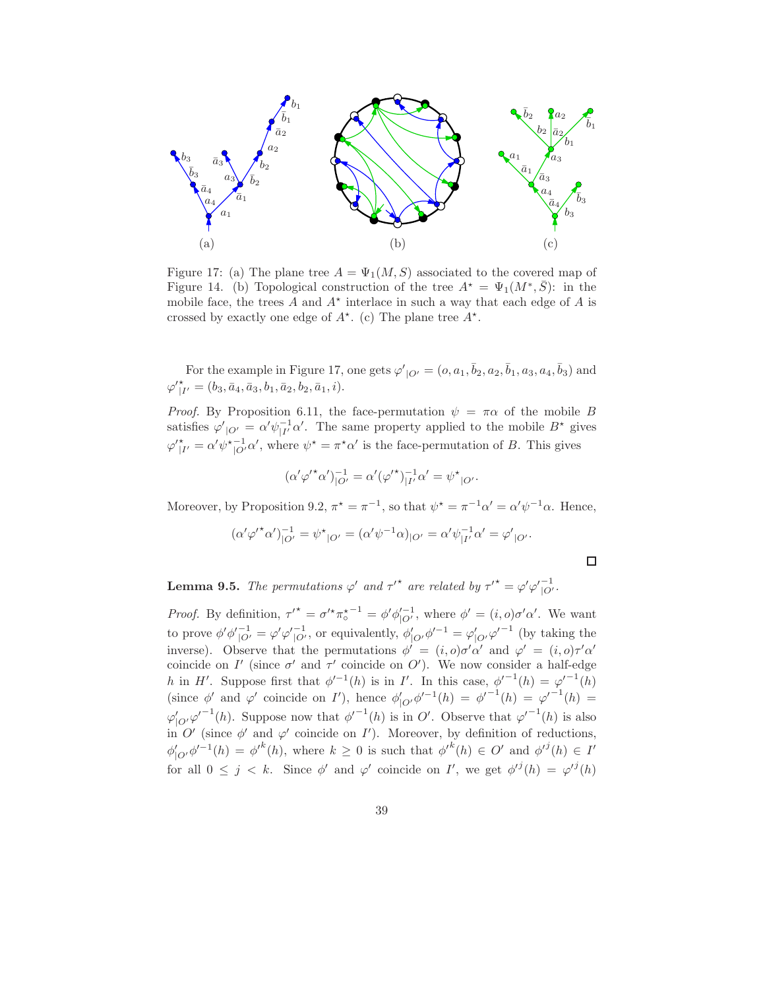

Figure 17: (a) The plane tree  $A = \Psi_1(M, S)$  associated to the covered map of Figure 14. (b) Topological construction of the tree  $A^* = \Psi_1(M^*, \bar{S})$ : in the mobile face, the trees  $A$  and  $A^*$  interlace in such a way that each edge of  $A$  is crossed by exactly one edge of  $A^*$ . (c) The plane tree  $A^*$ .

For the example in Figure 17, one gets  $\varphi'_{|O'} = (o, a_1, \bar{b}_2, a_2, \bar{b}_1, a_3, a_4, \bar{b}_3)$  and  $\varphi'_{|I'}^* = (b_3, \bar{a}_4, \bar{a}_3, b_1, \bar{a}_2, b_2, \bar{a}_1, i).$ 

*Proof.* By Proposition 6.11, the face-permutation  $\psi = \pi \alpha$  of the mobile B satisfies  $\varphi'_{|O'} = \alpha' \psi_{|I'}^{-1} \alpha'$ . The same property applied to the mobile  $B^*$  gives  $\varphi'_{|I'}^* = \alpha' \psi_{|O'}^{*-1} \alpha'$ , where  $\psi^* = \pi^* \alpha'$  is the face-permutation of B. This gives

$$
(\alpha' \varphi'^* \alpha')_{|O'}^{-1} = \alpha' (\varphi'^*)_{|I'}^{-1} \alpha' = \psi^*_{|O'}.
$$

Moreover, by Proposition 9.2,  $\pi^* = \pi^{-1}$ , so that  $\psi^* = \pi^{-1} \alpha' = \alpha' \psi^{-1} \alpha$ . Hence,

$$
(\alpha' \varphi'^* \alpha')_{|O'}^{-1} = \psi^*_{|O'} = (\alpha' \psi^{-1} \alpha)_{|O'} = \alpha' \psi_{|I'}^{-1} \alpha' = \varphi'_{|O'}.
$$

 $\Box$ 

**Lemma 9.5.** The permutations  $\varphi'$  and  $\tau'^*$  are related by  $\tau'^* = \varphi' \varphi'_{|O'}^{-1}$ .

Proof. By definition,  $\tau'^* = \sigma'^* \pi_{\circ}^{*-1} = \phi' \phi_{|O'}'^{-1}$ , where  $\phi' = (i, o)\sigma' \alpha'$ . We want to prove  $\phi' \phi'_{\vert O'}^{-1} = \varphi' \varphi'_{\vert O'}^{-1}$ , or equivalently,  $\phi'_{\vert O'} \phi'^{-1} = \varphi'_{\vert O'} \varphi'^{-1}$  (by taking the inverse). Observe that the permutations  $\phi' = (i, o)\sigma'\alpha'$  and  $\varphi' = (i, o)\tau'\alpha'$ coincide on  $I'$  (since  $\sigma'$  and  $\tau'$  coincide on O'). We now consider a half-edge h in H'. Suppose first that  $\phi'^{-1}(h)$  is in I'. In this case,  $\phi'^{-1}(h) = {\varphi'}^{-1}(h)$ (since  $\phi'$  and  $\varphi'$  coincide on I'), hence  $\phi'_{|O'}\phi'^{-1}(h) = {\phi'}^{-1}(h) = {\varphi'}^{-1}(h) =$  $\varphi'_{|O'}\varphi'^{-1}(h)$ . Suppose now that  $\varphi'^{-1}(h)$  is in O'. Observe that  $\varphi'^{-1}(h)$  is also in  $O'$  (since  $\phi'$  and  $\varphi'$  coincide on  $I'$ ). Moreover, by definition of reductions,  $\phi'_{|O'}\phi'^{-1}(h) = \phi'^k(h)$ , where  $k \geq 0$  is such that  $\phi'^k(h) \in O'$  and  $\phi'^j(h) \in I'$ for all  $0 \leq j \leq k$ . Since  $\phi'$  and  $\varphi'$  coincide on I', we get  $\phi'^{j}(h) = \varphi'^{j}(h)$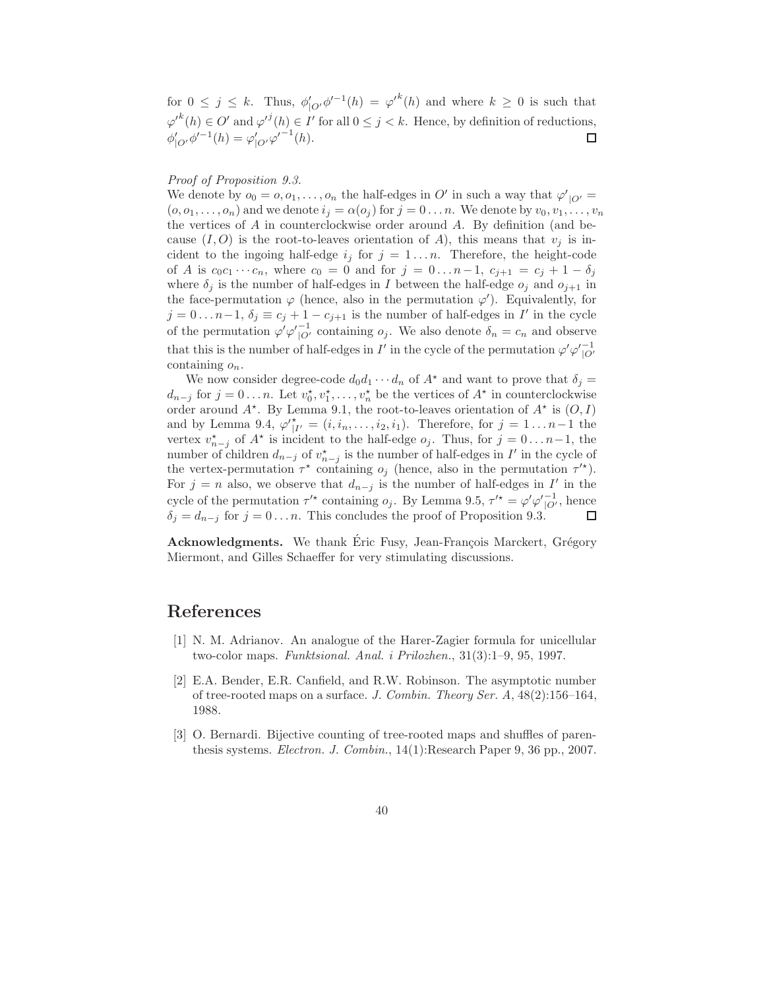for  $0 \leq j \leq k$ . Thus,  $\phi'_{|O'}\phi'^{-1}(h) = {\varphi'}^k(h)$  and where  $k \geq 0$  is such that  $\varphi'^k(h) \in O'$  and  $\varphi'^j(h) \in I'$  for all  $0 \leq j < k$ . Hence, by definition of reductions,  $\phi'_{|O'}\phi'^{-1}(h) = \varphi'_{|O'}{\varphi'}^{-1}(h).$ 

#### Proof of Proposition 9.3.

We denote by  $o_0 = 0, o_1, \ldots, o_n$  the half-edges in O' in such a way that  $\varphi'_{|O'} =$  $(o, o_1, \ldots, o_n)$  and we denote  $i_j = \alpha(o_j)$  for  $j = 0 \ldots n$ . We denote by  $v_0, v_1, \ldots, v_n$ the vertices of  $A$  in counterclockwise order around  $A$ . By definition (and because  $(I, O)$  is the root-to-leaves orientation of A), this means that  $v_i$  is incident to the ingoing half-edge  $i_j$  for  $j = 1...n$ . Therefore, the height-code of A is  $c_0c_1 \cdots c_n$ , where  $c_0 = 0$  and for  $j = 0 \ldots n-1$ ,  $c_{j+1} = c_j + 1 - \delta_j$ where  $\delta_j$  is the number of half-edges in I between the half-edge  $o_j$  and  $o_{j+1}$  in the face-permutation  $\varphi$  (hence, also in the permutation  $\varphi'$ ). Equivalently, for  $j = 0 \dots n-1$ ,  $\delta_j \equiv c_j + 1 - c_{j+1}$  is the number of half-edges in I' in the cycle of the permutation  $\varphi' \varphi_{|O'}^{-1}$  containing  $o_j$ . We also denote  $\delta_n = c_n$  and observe that this is the number of half-edges in  $I'$  in the cycle of the permutation  $\varphi' \varphi_{|O'}^{-1}$ containing  $o_n$ .

We now consider degree-code  $d_0d_1 \cdots d_n$  of  $A^*$  and want to prove that  $\delta_j =$  $d_{n-j}$  for  $j=0...n$ . Let  $v_0^*, v_1^*, \ldots, v_n^*$  be the vertices of  $A^*$  in counterclockwise order around  $A^*$ . By Lemma 9.1, the root-to-leaves orientation of  $A^*$  is  $(O, I)$ and by Lemma 9.4,  $\varphi'_{|I'} = (i, i_n, \dots, i_2, i_1)$ . Therefore, for  $j = 1 \dots n-1$  the vertex  $v_{n-j}^*$  of  $A^*$  is incident to the half-edge  $o_j$ . Thus, for  $j = 0 \dots n-1$ , the number of children  $d_{n-j}$  of  $v_{n-j}^{\star}$  is the number of half-edges in  $I'$  in the cycle of the vertex-permutation  $\tau^*$  containing  $o_j$  (hence, also in the permutation  $\tau'^*$ ). For  $j = n$  also, we observe that  $d_{n-j}$  is the number of half-edges in I' in the cycle of the permutation  $\tau'^*$  containing  $o_j$ . By Lemma 9.5,  $\tau'^* = \varphi' \varphi'_{|O'}^{-1}$ , hence  $\delta_j = d_{n-j}$  for  $j = 0 \ldots n$ . This concludes the proof of Proposition 9.3. П

Acknowledgments. We thank Eric Fusy, Jean-François Marckert, Grégory Miermont, and Gilles Schaeffer for very stimulating discussions.

### References

- [1] N. M. Adrianov. An analogue of the Harer-Zagier formula for unicellular two-color maps. Funktsional. Anal. i Prilozhen., 31(3):1–9, 95, 1997.
- [2] E.A. Bender, E.R. Canfield, and R.W. Robinson. The asymptotic number of tree-rooted maps on a surface. J. Combin. Theory Ser. A, 48(2):156–164, 1988.
- [3] O. Bernardi. Bijective counting of tree-rooted maps and shuffles of parenthesis systems. Electron. J. Combin., 14(1):Research Paper 9, 36 pp., 2007.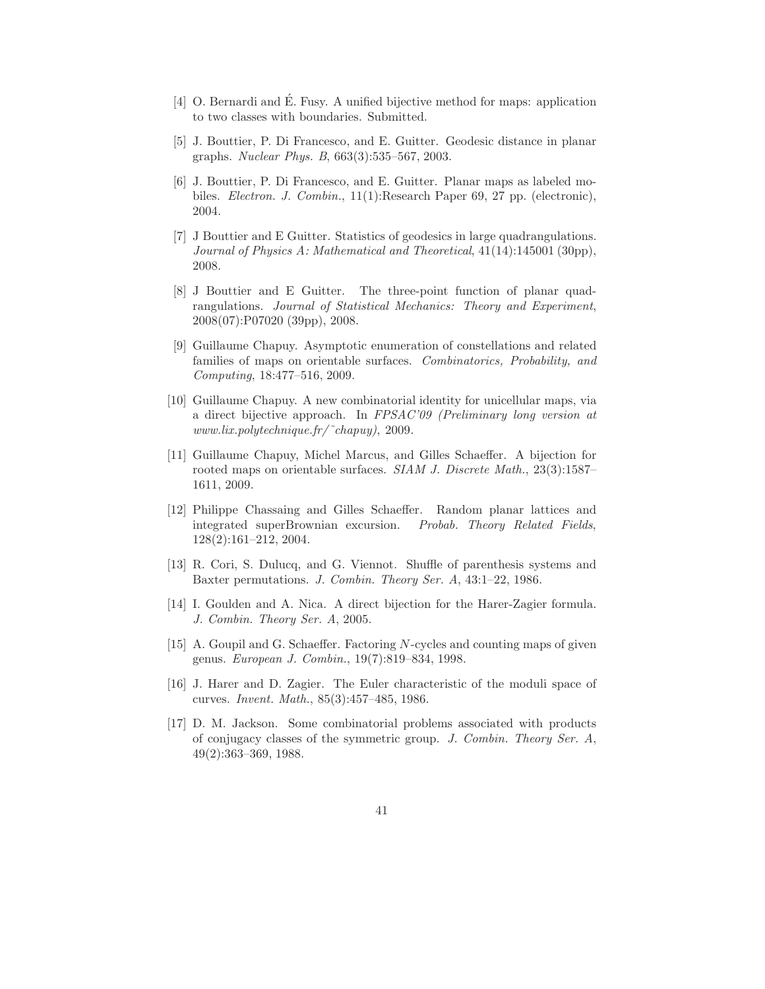- [4] O. Bernardi and E. Fusy. A unified bijective method for maps: application ´ to two classes with boundaries. Submitted.
- [5] J. Bouttier, P. Di Francesco, and E. Guitter. Geodesic distance in planar graphs. Nuclear Phys. B, 663(3):535–567, 2003.
- [6] J. Bouttier, P. Di Francesco, and E. Guitter. Planar maps as labeled mobiles. Electron. J. Combin., 11(1):Research Paper 69, 27 pp. (electronic), 2004.
- [7] J Bouttier and E Guitter. Statistics of geodesics in large quadrangulations. Journal of Physics A: Mathematical and Theoretical, 41(14):145001 (30pp), 2008.
- [8] J Bouttier and E Guitter. The three-point function of planar quadrangulations. Journal of Statistical Mechanics: Theory and Experiment, 2008(07):P07020 (39pp), 2008.
- [9] Guillaume Chapuy. Asymptotic enumeration of constellations and related families of maps on orientable surfaces. Combinatorics, Probability, and Computing, 18:477–516, 2009.
- [10] Guillaume Chapuy. A new combinatorial identity for unicellular maps, via a direct bijective approach. In FPSAC'09 (Preliminary long version at www.lix.polytechnique.fr/˜chapuy), 2009.
- [11] Guillaume Chapuy, Michel Marcus, and Gilles Schaeffer. A bijection for rooted maps on orientable surfaces. SIAM J. Discrete Math., 23(3):1587– 1611, 2009.
- [12] Philippe Chassaing and Gilles Schaeffer. Random planar lattices and integrated superBrownian excursion. Probab. Theory Related Fields, 128(2):161–212, 2004.
- [13] R. Cori, S. Dulucq, and G. Viennot. Shuffle of parenthesis systems and Baxter permutations. J. Combin. Theory Ser. A, 43:1–22, 1986.
- [14] I. Goulden and A. Nica. A direct bijection for the Harer-Zagier formula. J. Combin. Theory Ser. A, 2005.
- [15] A. Goupil and G. Schaeffer. Factoring N-cycles and counting maps of given genus. European J. Combin., 19(7):819–834, 1998.
- [16] J. Harer and D. Zagier. The Euler characteristic of the moduli space of curves. Invent. Math., 85(3):457–485, 1986.
- [17] D. M. Jackson. Some combinatorial problems associated with products of conjugacy classes of the symmetric group. J. Combin. Theory Ser. A, 49(2):363–369, 1988.